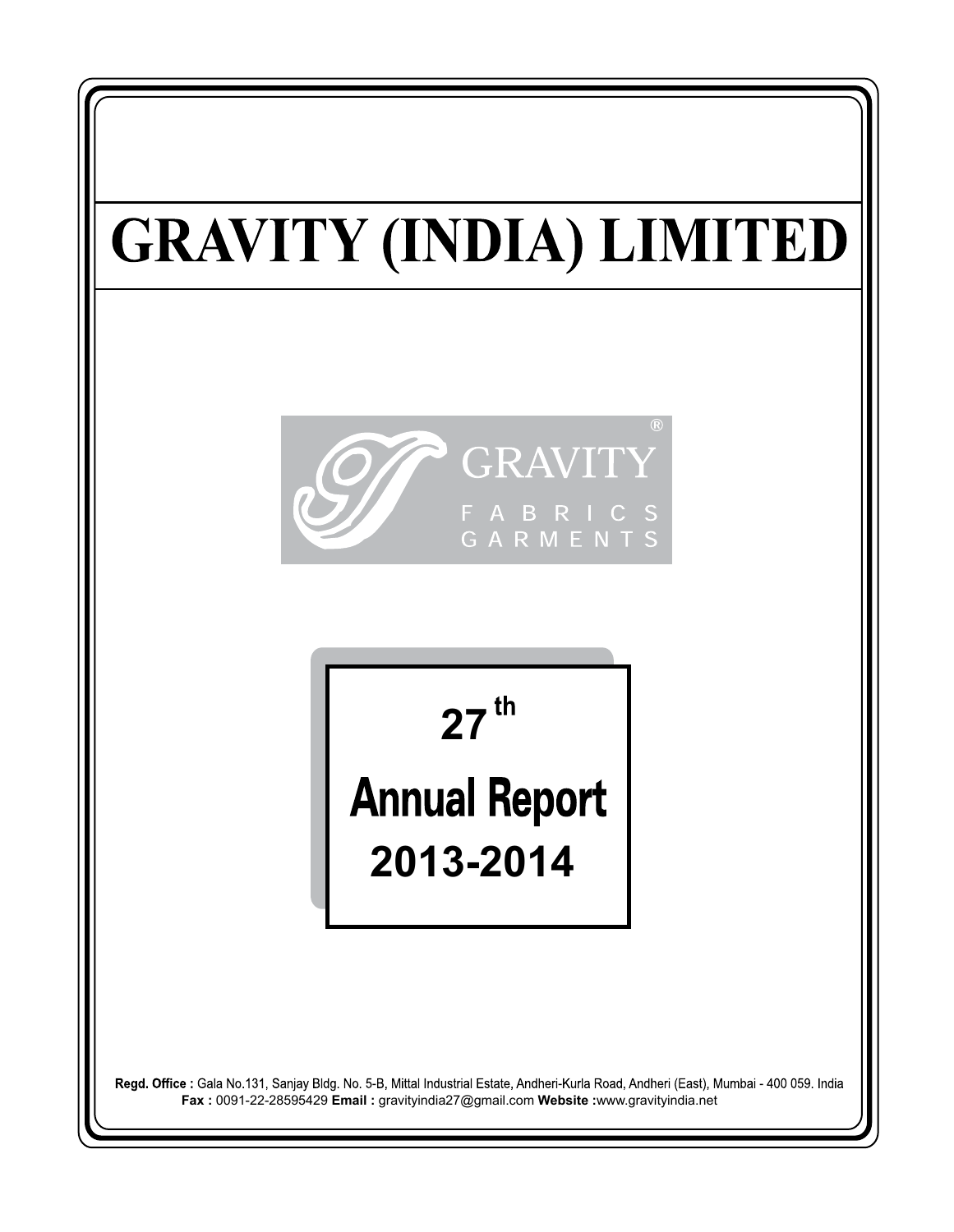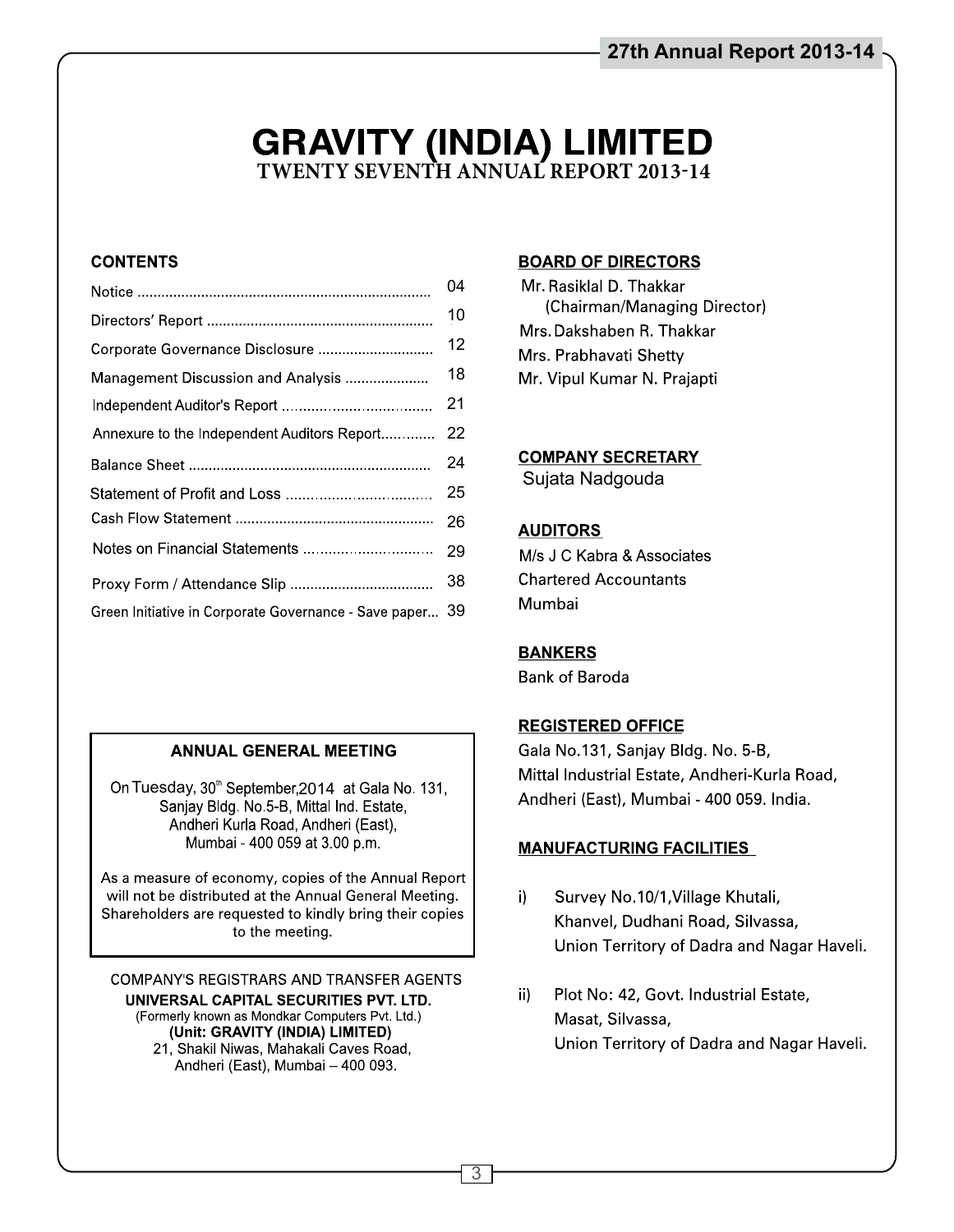# **GRAVITY (INDIA) LIMITED**<br>TWENTY SEVENTH ANNUAL REPORT 2013-14

#### **CONTENTS**

|                                                          | 04 |
|----------------------------------------------------------|----|
|                                                          | 10 |
|                                                          | 12 |
| Management Discussion and Analysis                       | 18 |
|                                                          | 21 |
| Annexure to the Independent Auditors Report              | 22 |
|                                                          | 24 |
|                                                          | 25 |
|                                                          | 26 |
|                                                          | 29 |
|                                                          | 38 |
| Green Initiative in Corporate Governance - Save paper 39 |    |
|                                                          |    |

#### **BOARD OF DIRECTORS**

Mr. Rasiklal D. Thakkar (Chairman/Managing Director) Mrs. Dakshaben R. Thakkar Mrs. Prabhavati Shetty Mr. Vipul Kumar N. Prajapti

**COMPANY SECRETARY** Sujata Nadgouda

#### **AUDITORS**

M/s J C Kabra & Associates **Chartered Accountants** Mumhai

#### **BANKERS**

**Bank of Baroda** 

#### **REGISTERED OFFICE**

Gala No.131, Sanjay Bldg. No. 5-B, Mittal Industrial Estate, Andheri-Kurla Road, Andheri (East), Mumbai - 400 059. India.

#### **MANUFACTURING FACILITIES**

- i) Survey No.10/1, Village Khutali, Khanvel, Dudhani Road, Silvassa, Union Territory of Dadra and Nagar Haveli.
- Plot No: 42, Govt. Industrial Estate, ii) Masat, Silvassa, Union Territory of Dadra and Nagar Haveli.

#### **ANNUAL GENERAL MEETING**

Tuesday, 2014Andheri Kurla Road, Andheri (East). Mumbai - 400 059 at 3.00 p.m.

As a measure of economy, copies of the Annual Report will not be distributed at the Annual General Meeting. Shareholders are requested to kindly bring their copies to the meeting.

COMPANY'S REGISTRARS AND TRANSFER AGENTS UNIVERSAL CAPITAL SECURITIES PVT. LTD. (Formerly known as Mondkar Computers Pvt. Ltd.) (Unit: GRAVITY (INDIA) LIMITED) 21, Shakil Niwas, Mahakali Caves Road,

Andheri (East), Mumbai - 400 093.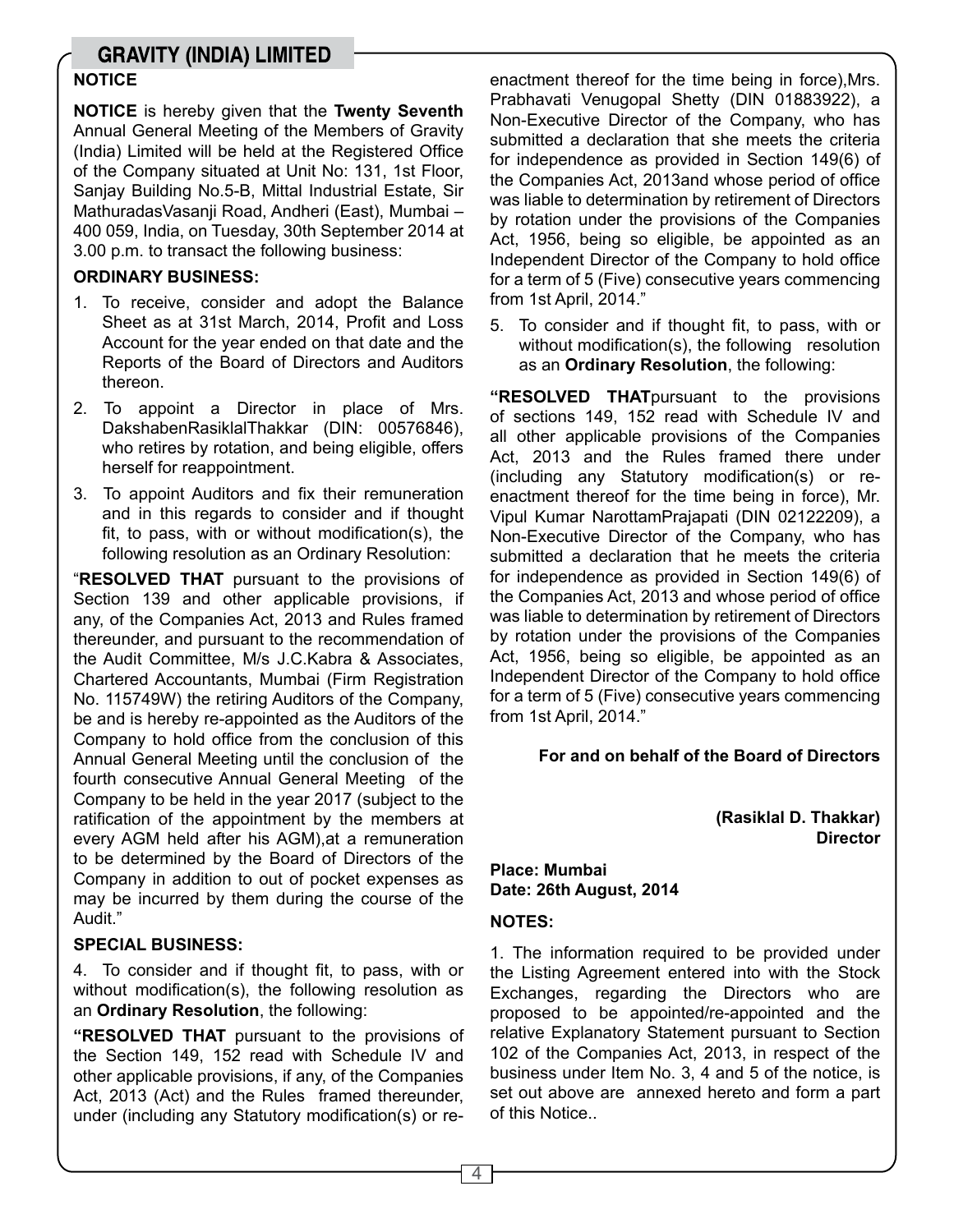#### **NOTICE**

**NOTICE** is hereby given that the **Twenty Seventh**  Annual General Meeting of the Members of Gravity (India) Limited will be held at the Registered Office of the Company situated at Unit No: 131, 1st Floor, Sanjay Building No.5-B, Mittal Industrial Estate, Sir MathuradasVasanji Road, Andheri (East), Mumbai – 400 059, India, on Tuesday, 30th September 2014 at 3.00 p.m. to transact the following business:

#### **ORDINARY BUSINESS:**

- 1. To receive, consider and adopt the Balance Sheet as at 31st March, 2014, Profit and Loss Account for the year ended on that date and the Reports of the Board of Directors and Auditors thereon.
- 2. To appoint a Director in place of Mrs. DakshabenRasiklalThakkar (DIN: 00576846), who retires by rotation, and being eligible, offers herself for reappointment.
- 3. To appoint Auditors and fix their remuneration and in this regards to consider and if thought fit, to pass, with or without modification(s), the following resolution as an Ordinary Resolution:

"**RESOLVED THAT** pursuant to the provisions of Section 139 and other applicable provisions, if any, of the Companies Act, 2013 and Rules framed thereunder, and pursuant to the recommendation of the Audit Committee, M/s J.C.Kabra & Associates, Chartered Accountants, Mumbai (Firm Registration No. 115749W) the retiring Auditors of the Company, be and is hereby re-appointed as the Auditors of the Company to hold office from the conclusion of this Annual General Meeting until the conclusion of the fourth consecutive Annual General Meeting of the Company to be held in the year 2017 (subject to the ratification of the appointment by the members at every AGM held after his AGM),at a remuneration to be determined by the Board of Directors of the Company in addition to out of pocket expenses as may be incurred by them during the course of the Audit."

#### **SPECIAL BUSINESS:**

4. To consider and if thought fit, to pass, with or without modification(s), the following resolution as an **Ordinary Resolution**, the following:

**"RESOLVED THAT** pursuant to the provisions of the Section 149, 152 read with Schedule IV and other applicable provisions, if any, of the Companies Act, 2013 (Act) and the Rules framed thereunder, under (including any Statutory modification(s) or reenactment thereof for the time being in force),Mrs. Prabhavati Venugopal Shetty (DIN 01883922), a Non-Executive Director of the Company, who has submitted a declaration that she meets the criteria for independence as provided in Section 149(6) of the Companies Act, 2013and whose period of office was liable to determination by retirement of Directors by rotation under the provisions of the Companies Act, 1956, being so eligible, be appointed as an Independent Director of the Company to hold office for a term of 5 (Five) consecutive years commencing from 1st April, 2014."

5. To consider and if thought fit, to pass, with or without modification(s), the following resolution as an **Ordinary Resolution**, the following:

**"RESOLVED THAT**pursuant to the provisions of sections 149, 152 read with Schedule IV and all other applicable provisions of the Companies Act, 2013 and the Rules framed there under (including any Statutory modification(s) or reenactment thereof for the time being in force), Mr. Vipul Kumar NarottamPrajapati (DIN 02122209), a Non-Executive Director of the Company, who has submitted a declaration that he meets the criteria for independence as provided in Section 149(6) of the Companies Act, 2013 and whose period of office was liable to determination by retirement of Directors by rotation under the provisions of the Companies Act, 1956, being so eligible, be appointed as an Independent Director of the Company to hold office for a term of 5 (Five) consecutive years commencing from 1st April, 2014."

#### **For and on behalf of the Board of Directors**

**(Rasiklal D. Thakkar) Director**

## **NOTES:**

**Place: Mumbai** 

**Date: 26th August, 2014**

1. The information required to be provided under the Listing Agreement entered into with the Stock Exchanges, regarding the Directors who are proposed to be appointed/re-appointed and the relative Explanatory Statement pursuant to Section 102 of the Companies Act, 2013, in respect of the business under Item No. 3, 4 and 5 of the notice, is set out above are annexed hereto and form a part of this Notice..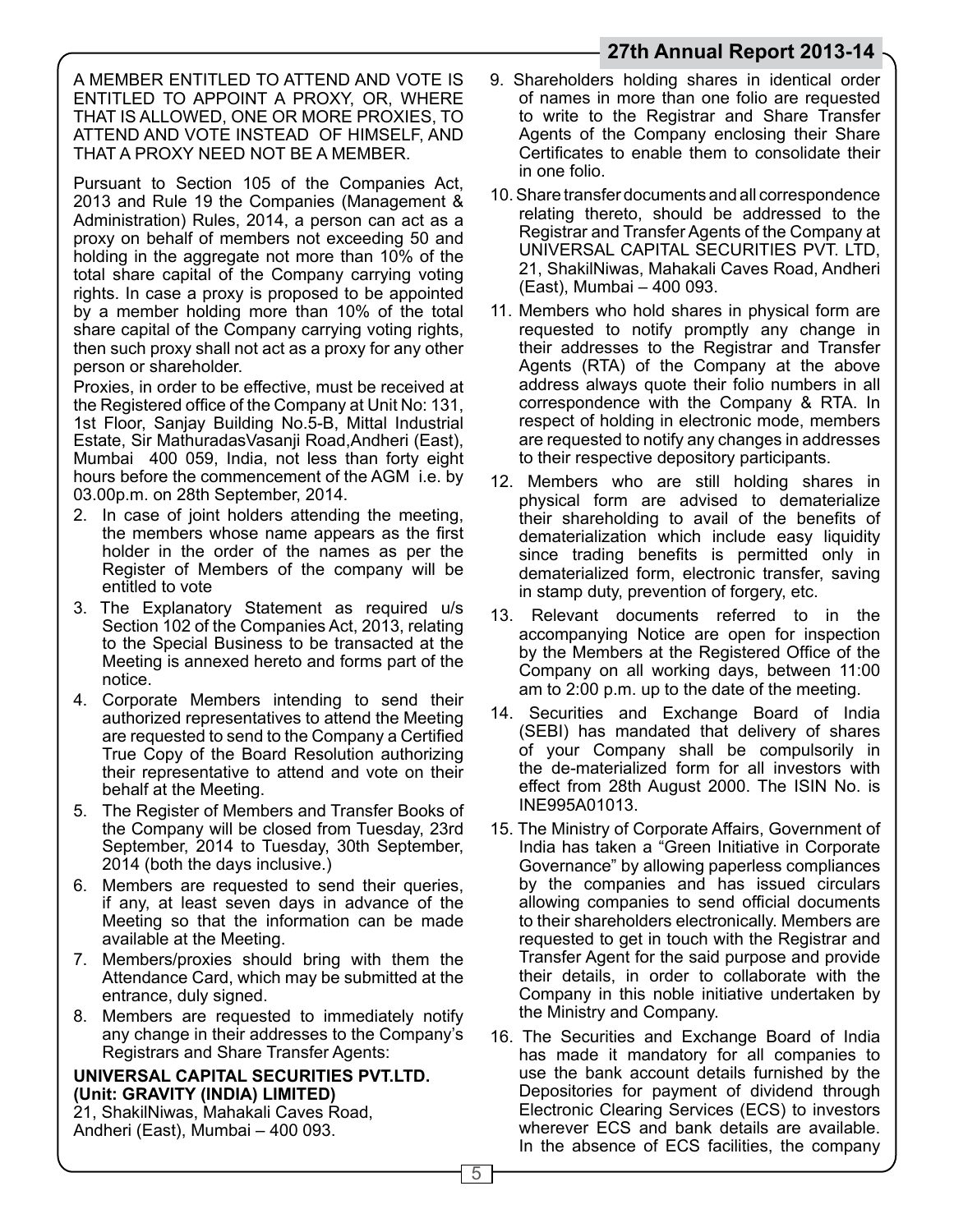## **27th Annual Report 2013-14**

A MEMBER ENTITLED TO ATTEND AND VOTE IS ENTITLED TO APPOINT A PROXY, OR, WHERE THAT IS ALLOWED, ONE OR MORE PROXIES, TO ATTEND AND VOTE INSTEAD OF HIMSELF, AND THAT A PROXY NEED NOT BE A MEMBER.

Pursuant to Section 105 of the Companies Act, 2013 and Rule 19 the Companies (Management & Administration) Rules, 2014, a person can act as a proxy on behalf of members not exceeding 50 and holding in the aggregate not more than 10% of the total share capital of the Company carrying voting rights. In case a proxy is proposed to be appointed by a member holding more than 10% of the total share capital of the Company carrying voting rights, then such proxy shall not act as a proxy for any other person or shareholder.

Proxies, in order to be effective, must be received at the Registered office of the Company at Unit No: 131, 1st Floor, Sanjay Building No.5-B, Mittal Industrial Estate, Sir MathuradasVasanji Road,Andheri (East), Mumbai 400 059, India, not less than forty eight hours before the commencement of the AGM i.e. by 03.00p.m. on 28th September, 2014.

- 2. In case of joint holders attending the meeting, the members whose name appears as the first holder in the order of the names as per the Register of Members of the company will be entitled to vote
- 3. The Explanatory Statement as required u/s Section 102 of the Companies Act, 2013, relating to the Special Business to be transacted at the Meeting is annexed hereto and forms part of the notice.
- 4. Corporate Members intending to send their authorized representatives to attend the Meeting are requested to send to the Company a Certified True Copy of the Board Resolution authorizing their representative to attend and vote on their behalf at the Meeting.
- 5. The Register of Members and Transfer Books of the Company will be closed from Tuesday, 23rd September, 2014 to Tuesday, 30th September, 2014 (both the days inclusive.)
- 6. Members are requested to send their queries, if any, at least seven days in advance of the Meeting so that the information can be made available at the Meeting.
- 7. Members/proxies should bring with them the Attendance Card, which may be submitted at the entrance, duly signed.
- 8. Members are requested to immediately notify any change in their addresses to the Company's Registrars and Share Transfer Agents:

#### **UNIVERSAL CAPITAL SECURITIES PVT.LTD. (Unit: GRAVITY (INDIA) LIMITED)**

21, ShakilNiwas, Mahakali Caves Road, Andheri (East), Mumbai – 400 093.

- 9. Shareholders holding shares in identical order of names in more than one folio are requested to write to the Registrar and Share Transfer Agents of the Company enclosing their Share Certificates to enable them to consolidate their in one folio.
- 10. Share transfer documents and all correspondence relating thereto, should be addressed to the Registrar and Transfer Agents of the Company at UNIVERSAL CAPITAL SECURITIES PVT. LTD, 21, ShakilNiwas, Mahakali Caves Road, Andheri (East), Mumbai – 400 093.
- 11. Members who hold shares in physical form are requested to notify promptly any change in their addresses to the Registrar and Transfer Agents (RTA) of the Company at the above address always quote their folio numbers in all correspondence with the Company & RTA. In respect of holding in electronic mode, members are requested to notify any changes in addresses to their respective depository participants.
- 12. Members who are still holding shares in physical form are advised to dematerialize their shareholding to avail of the benefits of dematerialization which include easy liquidity since trading benefits is permitted only in dematerialized form, electronic transfer, saving in stamp duty, prevention of forgery, etc.
- 13. Relevant documents referred to in the accompanying Notice are open for inspection by the Members at the Registered Office of the Company on all working days, between 11:00 am to 2:00 p.m. up to the date of the meeting.
- 14. Securities and Exchange Board of India (SEBI) has mandated that delivery of shares of your Company shall be compulsorily in the de-materialized form for all investors with effect from 28th August 2000. The ISIN No. is INE995A01013.
- 15. The Ministry of Corporate Affairs, Government of India has taken a "Green Initiative in Corporate Governance" by allowing paperless compliances by the companies and has issued circulars allowing companies to send official documents to their shareholders electronically. Members are requested to get in touch with the Registrar and Transfer Agent for the said purpose and provide their details, in order to collaborate with the Company in this noble initiative undertaken by the Ministry and Company.
- 16. The Securities and Exchange Board of India has made it mandatory for all companies to use the bank account details furnished by the Depositories for payment of dividend through Electronic Clearing Services (ECS) to investors wherever ECS and bank details are available. In the absence of ECS facilities, the company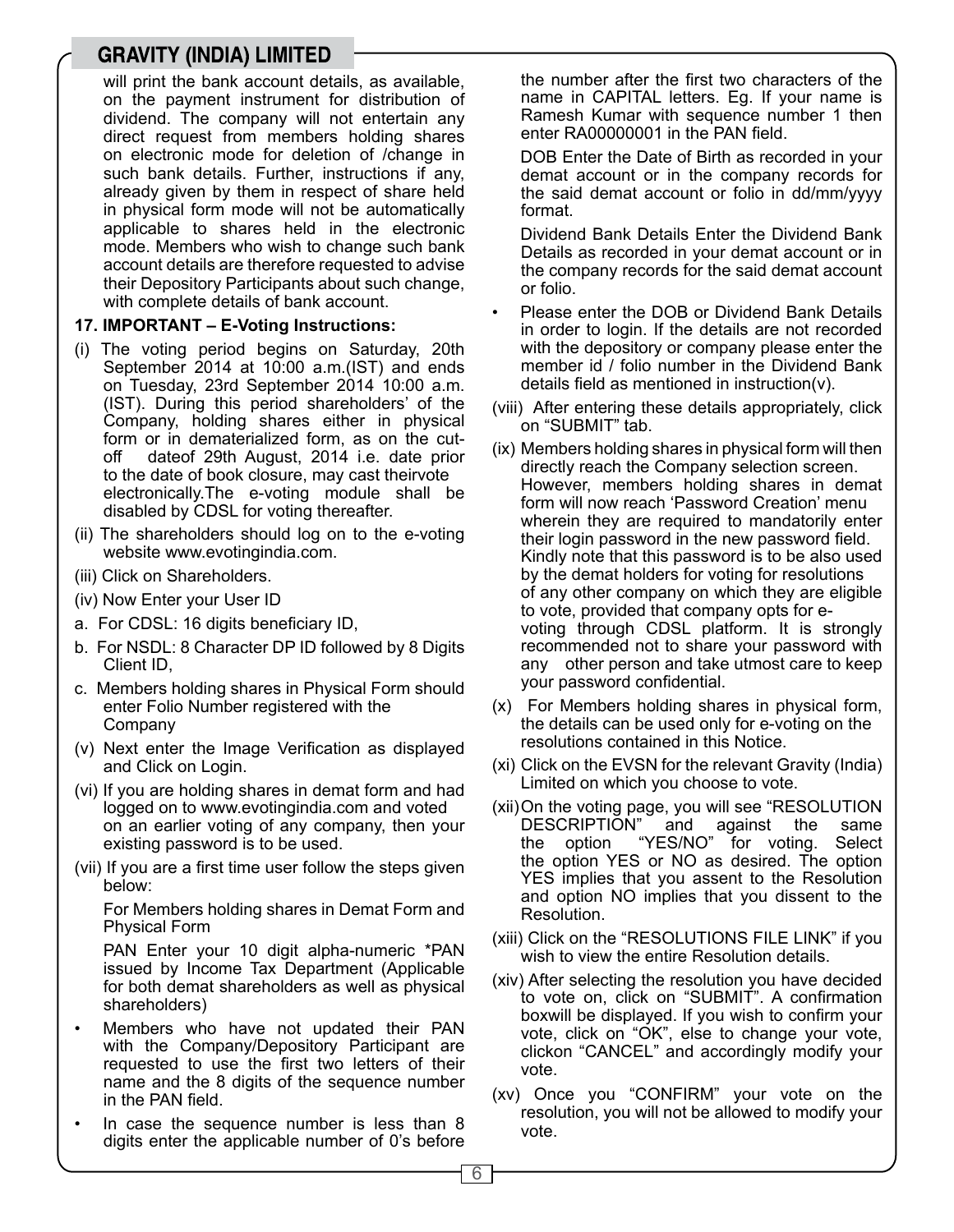will print the bank account details, as available. on the payment instrument for distribution of dividend. The company will not entertain any direct request from members holding shares on electronic mode for deletion of /change in such bank details. Further, instructions if any, already given by them in respect of share held in physical form mode will not be automatically applicable to shares held in the electronic mode. Members who wish to change such bank account details are therefore requested to advise their Depository Participants about such change, with complete details of bank account.

#### **17. IMPORTANT – E-Voting Instructions:**

- (i) The voting period begins on Saturday, 20th September 2014 at 10:00 a.m.(IST) and ends on Tuesday, 23rd September 2014 10:00 a.m. (IST). During this period shareholders' of the Company, holding shares either in physical form or in dematerialized form, as on the cut-<br>off dateof 29th August, 2014 i.e. date prior dateof 29th August, 2014 i.e. date prior to the date of book closure, may cast theirvote electronically.The e-voting module shall be disabled by CDSL for voting thereafter.
- (ii) The shareholders should log on to the e-voting website www.evotingindia.com.
- (iii) Click on Shareholders.
- (iv) Now Enter your User ID
- a. For CDSL: 16 digits beneficiary ID,
- b. For NSDL: 8 Character DP ID followed by 8 Digits Client ID,
- c. Members holding shares in Physical Form should enter Folio Number registered with the Company
- (v) Next enter the Image Verification as displayed and Click on Login.
- (vi) If you are holding shares in demat form and had logged on to www.evotingindia.com and voted on an earlier voting of any company, then your existing password is to be used.
- (vii) If you are a first time user follow the steps given below:

For Members holding shares in Demat Form and Physical Form

PAN Enter your 10 digit alpha-numeric \*PAN issued by Income Tax Department (Applicable for both demat shareholders as well as physical shareholders)

- Members who have not updated their PAN with the Company/Depository Participant are requested to use the first two letters of their name and the 8 digits of the sequence number in the PAN field.
- In case the sequence number is less than 8 digits enter the applicable number of 0's before

the number after the first two characters of the name in CAPITAL letters. Eg. If your name is Ramesh Kumar with sequence number 1 then enter RA00000001 in the PAN field.

DOB Enter the Date of Birth as recorded in your demat account or in the company records for the said demat account or folio in dd/mm/yyyy format.

Dividend Bank Details Enter the Dividend Bank Details as recorded in your demat account or in the company records for the said demat account or folio.

- Please enter the DOB or Dividend Bank Details in order to login. If the details are not recorded with the depository or company please enter the member id / folio number in the Dividend Bank details field as mentioned in instruction(v).
- (viii) After entering these details appropriately, click on "SUBMIT" tab.
- (ix) Members holding shares in physical form will then directly reach the Company selection screen. However, members holding shares in demat form will now reach 'Password Creation' menu wherein they are required to mandatorily enter their login password in the new password field. Kindly note that this password is to be also used by the demat holders for voting for resolutions of any other company on which they are eligible to vote, provided that company opts for evoting through CDSL platform. It is strongly recommended not to share your password with any other person and take utmost care to keep your password confidential.
- (x) For Members holding shares in physical form, the details can be used only for e-voting on the resolutions contained in this Notice.
- (xi) Click on the EVSN for the relevant Gravity (India) Limited on which you choose to vote.
- (xii)On the voting page, you will see "RESOLUTION DESCRIPTION" and against the same the option "YES/NO" for voting. Select the option YES or NO as desired. The option YES implies that you assent to the Resolution and option NO implies that you dissent to the Resolution.
- (xiii) Click on the "RESOLUTIONS FILE LINK" if you wish to view the entire Resolution details.
- (xiv) After selecting the resolution you have decided to vote on, click on "SUBMIT". A confirmation boxwill be displayed. If you wish to confirm your vote, click on "OK", else to change your vote, clickon "CANCEL" and accordingly modify your vote.
- (xv) Once you "CONFIRM" your vote on the resolution, you will not be allowed to modify your vote.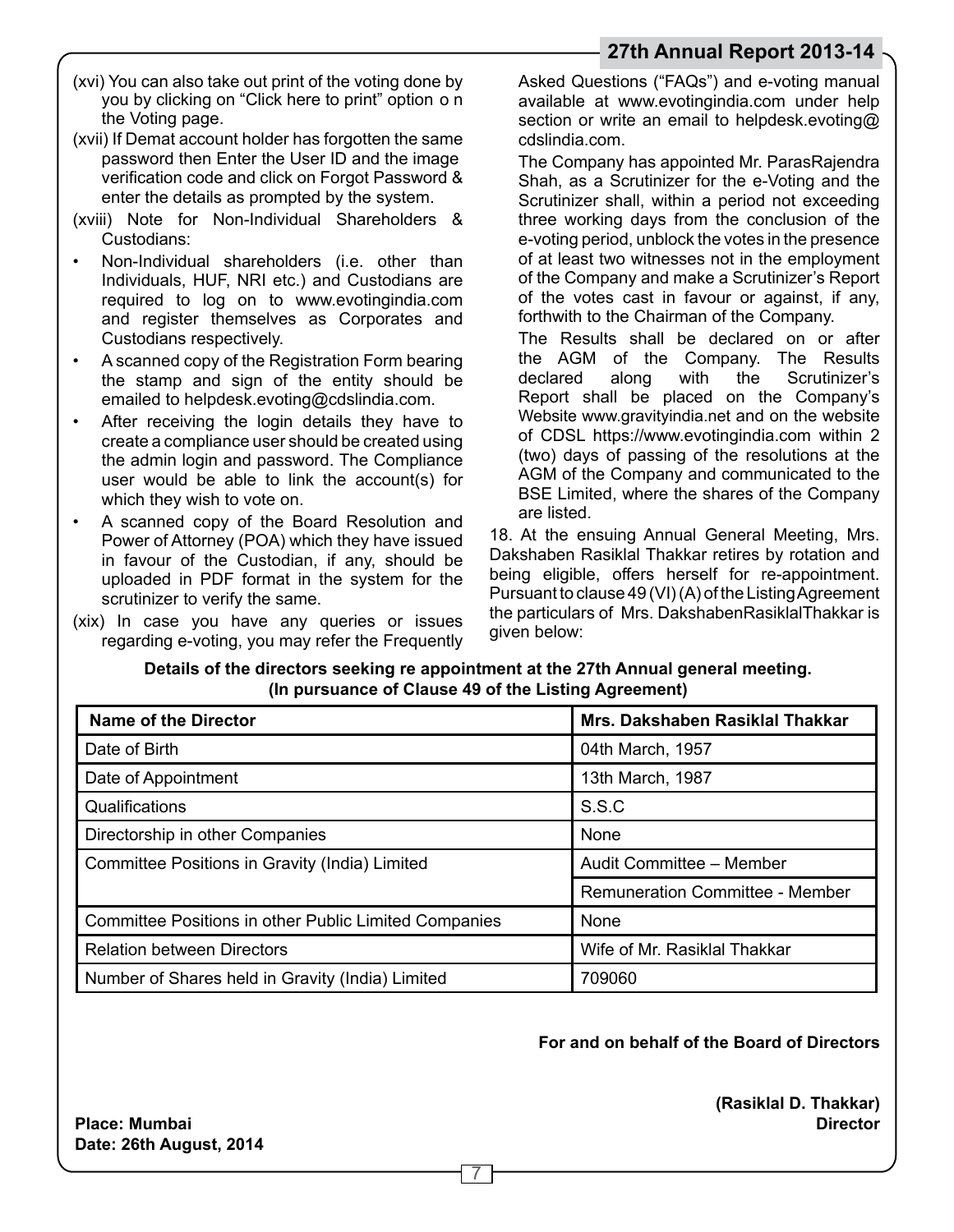## **27th Annual Report 2013-14**

- (xvi) You can also take out print of the voting done by you by clicking on "Click here to print" option o n the Voting page.
- (xvii) If Demat account holder has forgotten the same password then Enter the User ID and the image verification code and click on Forgot Password & enter the details as prompted by the system.
- (xviii) Note for Non-Individual Shareholders & Custodians:
- Non-Individual shareholders (i.e. other than Individuals, HUF, NRI etc.) and Custodians are required to log on to www.evotingindia.com and register themselves as Corporates and Custodians respectively.
- A scanned copy of the Registration Form bearing the stamp and sign of the entity should be emailed to helpdesk.evoting@cdslindia.com.
- After receiving the login details they have to create a compliance user should be created using the admin login and password. The Compliance user would be able to link the account(s) for which they wish to vote on.
- A scanned copy of the Board Resolution and Power of Attorney (POA) which they have issued in favour of the Custodian, if any, should be uploaded in PDF format in the system for the scrutinizer to verify the same.
- (xix) In case you have any queries or issues regarding e-voting, you may refer the Frequently

Asked Questions ("FAQs") and e-voting manual available at www.evotingindia.com under help section or write an email to helpdesk.evoting@ cdslindia.com.

The Company has appointed Mr. ParasRajendra Shah, as a Scrutinizer for the e-Voting and the Scrutinizer shall, within a period not exceeding three working days from the conclusion of the e-voting period, unblock the votes in the presence of at least two witnesses not in the employment of the Company and make a Scrutinizer's Report of the votes cast in favour or against, if any, forthwith to the Chairman of the Company.

The Results shall be declared on or after the AGM of the Company. The Results declared along with the Scrutinizer's Report shall be placed on the Company's Website www.gravityindia.net and on the website of CDSL https://www.evotingindia.com within 2 (two) days of passing of the resolutions at the AGM of the Company and communicated to the BSE Limited, where the shares of the Company are listed.

18. At the ensuing Annual General Meeting, Mrs. Dakshaben Rasiklal Thakkar retires by rotation and being eligible, offers herself for re-appointment. Pursuant to clause 49 (VI) (A) of the Listing Agreement the particulars of Mrs. DakshabenRasiklalThakkar is given below:

**Details of the directors seeking re appointment at the 27th Annual general meeting. (In pursuance of Clause 49 of the Listing Agreement)**

| Name of the Director                                  | Mrs. Dakshaben Rasiklal Thakkar        |
|-------------------------------------------------------|----------------------------------------|
| Date of Birth                                         | 04th March, 1957                       |
| Date of Appointment                                   | 13th March, 1987                       |
| Qualifications                                        | S.S.C                                  |
| Directorship in other Companies                       | None                                   |
| Committee Positions in Gravity (India) Limited        | Audit Committee - Member               |
|                                                       | <b>Remuneration Committee - Member</b> |
| Committee Positions in other Public Limited Companies | None                                   |
| <b>Relation between Directors</b>                     | Wife of Mr. Rasiklal Thakkar           |
| Number of Shares held in Gravity (India) Limited      | 709060                                 |

#### **For and on behalf of the Board of Directors**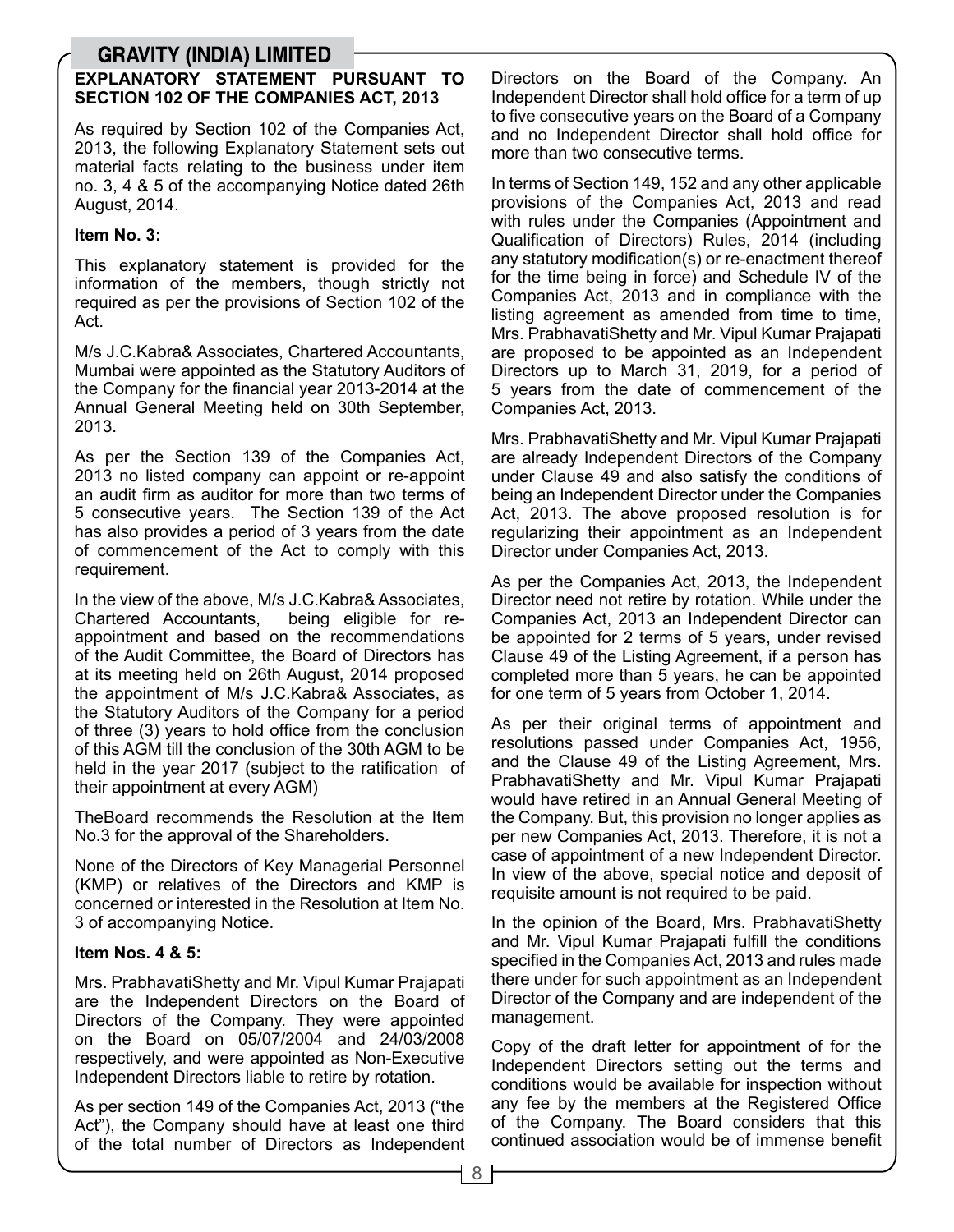#### **EXPLANATORY STATEMENT PURSUANT TO SECTION 102 OF THE COMPANIES ACT, 2013**

As required by Section 102 of the Companies Act, 2013, the following Explanatory Statement sets out material facts relating to the business under item no. 3, 4 & 5 of the accompanying Notice dated 26th August, 2014.

#### **Item No. 3:**

This explanatory statement is provided for the information of the members, though strictly not required as per the provisions of Section 102 of the Act.

M/s J.C.Kabra& Associates, Chartered Accountants, Mumbai were appointed as the Statutory Auditors of the Company for the financial year 2013-2014 at the Annual General Meeting held on 30th September, 2013.

As per the Section 139 of the Companies Act, 2013 no listed company can appoint or re-appoint an audit firm as auditor for more than two terms of 5 consecutive years. The Section 139 of the Act has also provides a period of 3 years from the date of commencement of the Act to comply with this requirement.

In the view of the above, M/s J.C.Kabra& Associates,<br>Chartered Accountants, being eligible for re-Chartered Accountants, appointment and based on the recommendations of the Audit Committee, the Board of Directors has at its meeting held on 26th August, 2014 proposed the appointment of M/s J.C.Kabra& Associates, as the Statutory Auditors of the Company for a period of three (3) years to hold office from the conclusion of this AGM till the conclusion of the 30th AGM to be held in the year 2017 (subject to the ratification of their appointment at every AGM)

TheBoard recommends the Resolution at the Item No.3 for the approval of the Shareholders.

None of the Directors of Key Managerial Personnel (KMP) or relatives of the Directors and KMP is concerned or interested in the Resolution at Item No. 3 of accompanying Notice.

#### **Item Nos. 4 & 5:**

Mrs. PrabhavatiShetty and Mr. Vipul Kumar Prajapati are the Independent Directors on the Board of Directors of the Company. They were appointed on the Board on 05/07/2004 and 24/03/2008 respectively, and were appointed as Non-Executive Independent Directors liable to retire by rotation.

As per section 149 of the Companies Act, 2013 ("the Act"), the Company should have at least one third of the total number of Directors as Independent

Directors on the Board of the Company. An Independent Director shall hold office for a term of up to five consecutive years on the Board of a Company and no Independent Director shall hold office for more than two consecutive terms.

In terms of Section 149, 152 and any other applicable provisions of the Companies Act, 2013 and read with rules under the Companies (Appointment and Qualification of Directors) Rules, 2014 (including any statutory modification(s) or re-enactment thereof for the time being in force) and Schedule IV of the Companies Act, 2013 and in compliance with the listing agreement as amended from time to time, Mrs. PrabhavatiShetty and Mr. Vipul Kumar Prajapati are proposed to be appointed as an Independent Directors up to March 31, 2019, for a period of 5 years from the date of commencement of the Companies Act, 2013.

Mrs. PrabhavatiShetty and Mr. Vipul Kumar Prajapati are already Independent Directors of the Company under Clause 49 and also satisfy the conditions of being an Independent Director under the Companies Act, 2013. The above proposed resolution is for regularizing their appointment as an Independent Director under Companies Act, 2013.

As per the Companies Act, 2013, the Independent Director need not retire by rotation. While under the Companies Act, 2013 an Independent Director can be appointed for 2 terms of 5 years, under revised Clause 49 of the Listing Agreement, if a person has completed more than 5 years, he can be appointed for one term of 5 years from October 1, 2014.

As per their original terms of appointment and resolutions passed under Companies Act, 1956, and the Clause 49 of the Listing Agreement, Mrs. PrabhavatiShetty and Mr. Vipul Kumar Prajapati would have retired in an Annual General Meeting of the Company. But, this provision no longer applies as per new Companies Act, 2013. Therefore, it is not a case of appointment of a new Independent Director. In view of the above, special notice and deposit of requisite amount is not required to be paid.

In the opinion of the Board, Mrs. PrabhavatiShetty and Mr. Vipul Kumar Prajapati fulfill the conditions specified in the Companies Act, 2013 and rules made there under for such appointment as an Independent Director of the Company and are independent of the management.

Copy of the draft letter for appointment of for the Independent Directors setting out the terms and conditions would be available for inspection without any fee by the members at the Registered Office of the Company. The Board considers that this continued association would be of immense benefit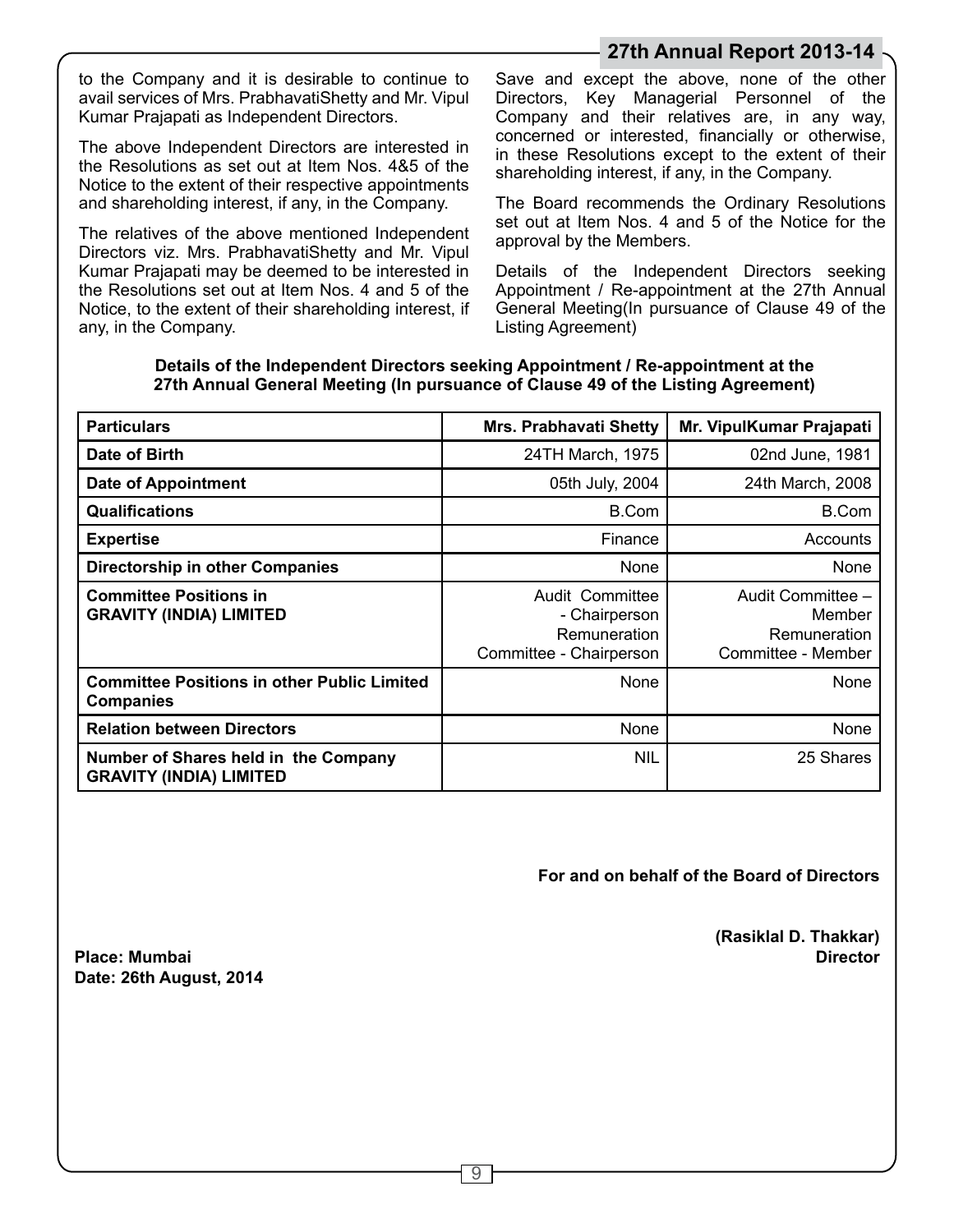## **27th Annual Report 2013-14**

to the Company and it is desirable to continue to avail services of Mrs. PrabhavatiShetty and Mr. Vipul Kumar Prajapati as Independent Directors.

The above Independent Directors are interested in the Resolutions as set out at Item Nos. 4&5 of the Notice to the extent of their respective appointments and shareholding interest, if any, in the Company.

The relatives of the above mentioned Independent Directors viz. Mrs. PrabhavatiShetty and Mr. Vipul Kumar Prajapati may be deemed to be interested in the Resolutions set out at Item Nos. 4 and 5 of the Notice, to the extent of their shareholding interest, if any, in the Company.

Save and except the above, none of the other Directors, Key Managerial Personnel of the Company and their relatives are, in any way, concerned or interested, financially or otherwise, in these Resolutions except to the extent of their shareholding interest, if any, in the Company.

The Board recommends the Ordinary Resolutions set out at Item Nos. 4 and 5 of the Notice for the approval by the Members.

Details of the Independent Directors seeking Appointment / Re-appointment at the 27th Annual General Meeting(In pursuance of Clause 49 of the Listing Agreement)

#### **Details of the Independent Directors seeking Appointment / Re-appointment at the 27th Annual General Meeting (In pursuance of Clause 49 of the Listing Agreement)**

| <b>Particulars</b>                                                     | <b>Mrs. Prabhavati Shetty</b>                                               | Mr. VipulKumar Prajapati                                          |
|------------------------------------------------------------------------|-----------------------------------------------------------------------------|-------------------------------------------------------------------|
| Date of Birth                                                          | 24TH March, 1975                                                            | 02nd June, 1981                                                   |
| <b>Date of Appointment</b>                                             | 05th July, 2004                                                             | 24th March, 2008                                                  |
| Qualifications                                                         | B.Com                                                                       | B.Com                                                             |
| <b>Expertise</b>                                                       | Finance                                                                     | Accounts                                                          |
| Directorship in other Companies                                        | None                                                                        | None                                                              |
| <b>Committee Positions in</b><br><b>GRAVITY (INDIA) LIMITED</b>        | Audit Committee<br>- Chairperson<br>Remuneration<br>Committee - Chairperson | Audit Committee -<br>Member<br>Remuneration<br>Committee - Member |
| <b>Committee Positions in other Public Limited</b><br><b>Companies</b> | None                                                                        | None                                                              |
| <b>Relation between Directors</b>                                      | None                                                                        | None                                                              |
| Number of Shares held in the Company<br><b>GRAVITY (INDIA) LIMITED</b> | NIL                                                                         | 25 Shares                                                         |

**For and on behalf of the Board of Directors** 

**(Rasiklal D. Thakkar)** 

**Place: Mumbai Director Date: 26th August, 2014**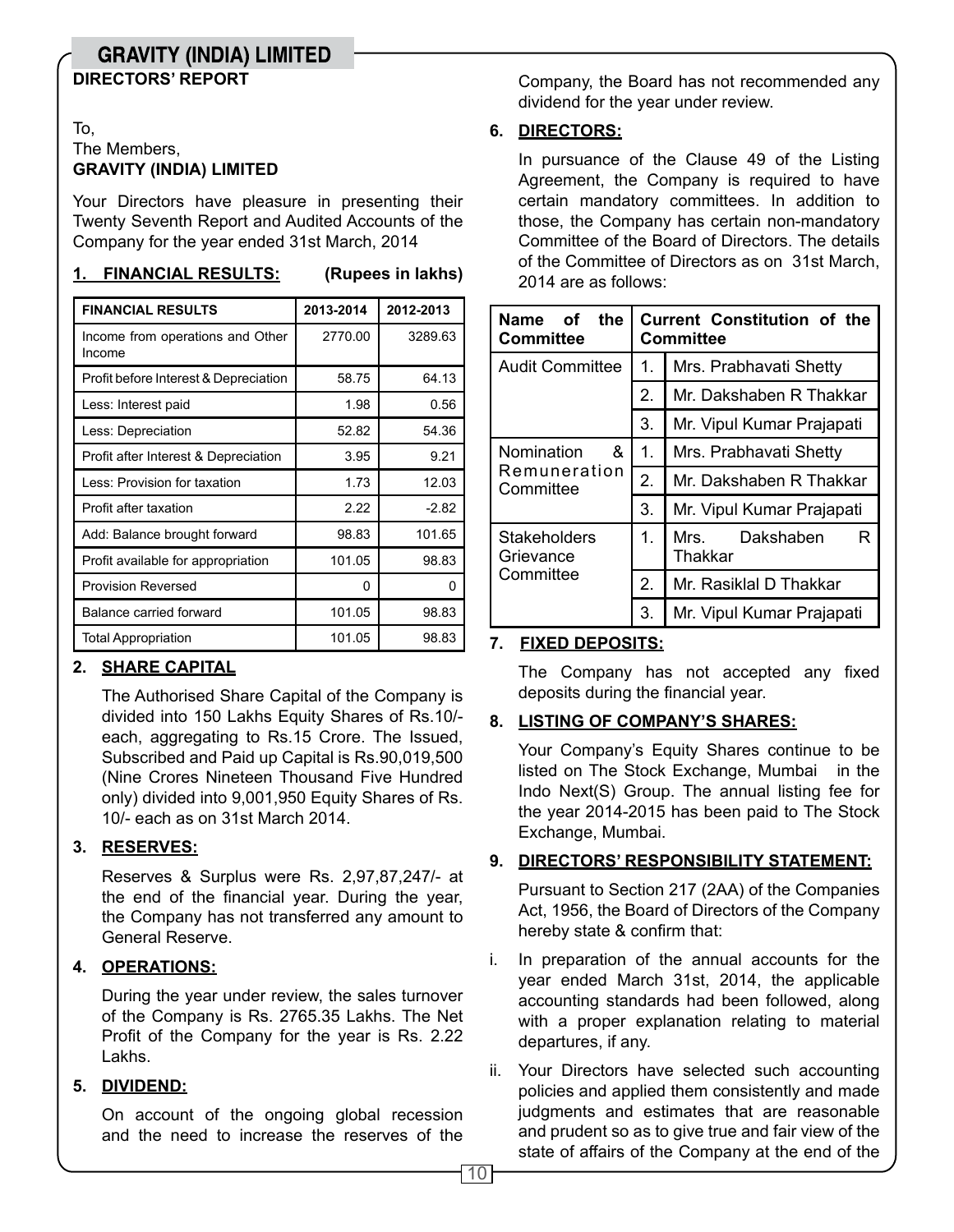**DIRECTORS' REPORT**

#### To, The Members, **GRAVITY (INDIA) LIMITED**

Your Directors have pleasure in presenting their Twenty Seventh Report and Audited Accounts of the Company for the year ended 31st March, 2014

**1. FINANCIAL RESULTS: (Rupees in lakhs)**

| _________                                  |           |           |
|--------------------------------------------|-----------|-----------|
| <b>FINANCIAL RESULTS</b>                   | 2013-2014 | 2012-2013 |
| Income from operations and Other<br>Income | 2770.00   | 3289.63   |
| Profit before Interest & Depreciation      | 58.75     | 64.13     |
| Less: Interest paid                        | 1.98      | 0.56      |
| Less: Depreciation                         | 52.82     | 54.36     |
| Profit after Interest & Depreciation       | 3.95      | 9.21      |
| Less: Provision for taxation               | 1.73      | 12.03     |
| Profit after taxation                      | 2.22      | $-2.82$   |
| Add: Balance brought forward               | 98.83     | 101.65    |
| Profit available for appropriation         | 101.05    | 98.83     |
| <b>Provision Reversed</b>                  | $\Omega$  | 0         |
| Balance carried forward                    | 101.05    | 98.83     |
| <b>Total Appropriation</b>                 | 101.05    | 98.83     |

## **2. SHARE CAPITAL**

The Authorised Share Capital of the Company is divided into 150 Lakhs Equity Shares of Rs.10/ each, aggregating to Rs.15 Crore. The Issued, Subscribed and Paid up Capital is Rs.90,019,500 (Nine Crores Nineteen Thousand Five Hundred only) divided into 9,001,950 Equity Shares of Rs. 10/- each as on 31st March 2014.

#### **3. RESERVES:**

Reserves & Surplus were Rs. 2,97,87,247/- at the end of the financial year. During the year, the Company has not transferred any amount to General Reserve.

#### **4. OPERATIONS:**

During the year under review, the sales turnover of the Company is Rs. 2765.35 Lakhs. The Net Profit of the Company for the year is Rs. 2.22 Lakhs.

#### **5. DIVIDEND:**

On account of the ongoing global recession and the need to increase the reserves of the Company, the Board has not recommended any dividend for the year under review.

#### **6. DIRECTORS:**

In pursuance of the Clause 49 of the Listing Agreement, the Company is required to have certain mandatory committees. In addition to those, the Company has certain non-mandatory Committee of the Board of Directors. The details of the Committee of Directors as on 31st March, 2014 are as follows:

| of the<br>Name<br>Committee      | <b>Current Constitution of the</b><br>Committee |                                   |  |  |
|----------------------------------|-------------------------------------------------|-----------------------------------|--|--|
| Audit Committee                  | 1.                                              | Mrs. Prabhavati Shetty            |  |  |
|                                  | 2.                                              | Mr. Dakshaben R Thakkar           |  |  |
|                                  | 3.                                              | Mr. Vipul Kumar Prajapati         |  |  |
| &<br>Nomination                  | 1.                                              | Mrs. Prabhavati Shetty            |  |  |
| Remuneration<br>Committee        | 2.                                              | Mr. Dakshaben R Thakkar           |  |  |
|                                  | 3.                                              | Mr. Vipul Kumar Prajapati         |  |  |
| <b>Stakeholders</b><br>Grievance | 1.                                              | Dakshaben<br>R<br>Mrs.<br>Thakkar |  |  |
| Committee                        | 2.                                              | Mr. Rasiklal D Thakkar            |  |  |
|                                  | 3.                                              | Mr. Vipul Kumar Prajapati         |  |  |

#### **7. FIXED DEPOSITS:**

 The Company has not accepted any fixed deposits during the financial year.

#### **8. LISTING OF COMPANY'S SHARES:**

Your Company's Equity Shares continue to be listed on The Stock Exchange, Mumbai in the Indo Next(S) Group. The annual listing fee for the year 2014-2015 has been paid to The Stock Exchange, Mumbai.

#### **9. DIRECTORS' RESPONSIBILITY STATEMENT:**

Pursuant to Section 217 (2AA) of the Companies Act, 1956, the Board of Directors of the Company hereby state & confirm that:

- i. In preparation of the annual accounts for the year ended March 31st, 2014, the applicable accounting standards had been followed, along with a proper explanation relating to material departures, if any.
- ii. Your Directors have selected such accounting policies and applied them consistently and made judgments and estimates that are reasonable and prudent so as to give true and fair view of the state of affairs of the Company at the end of the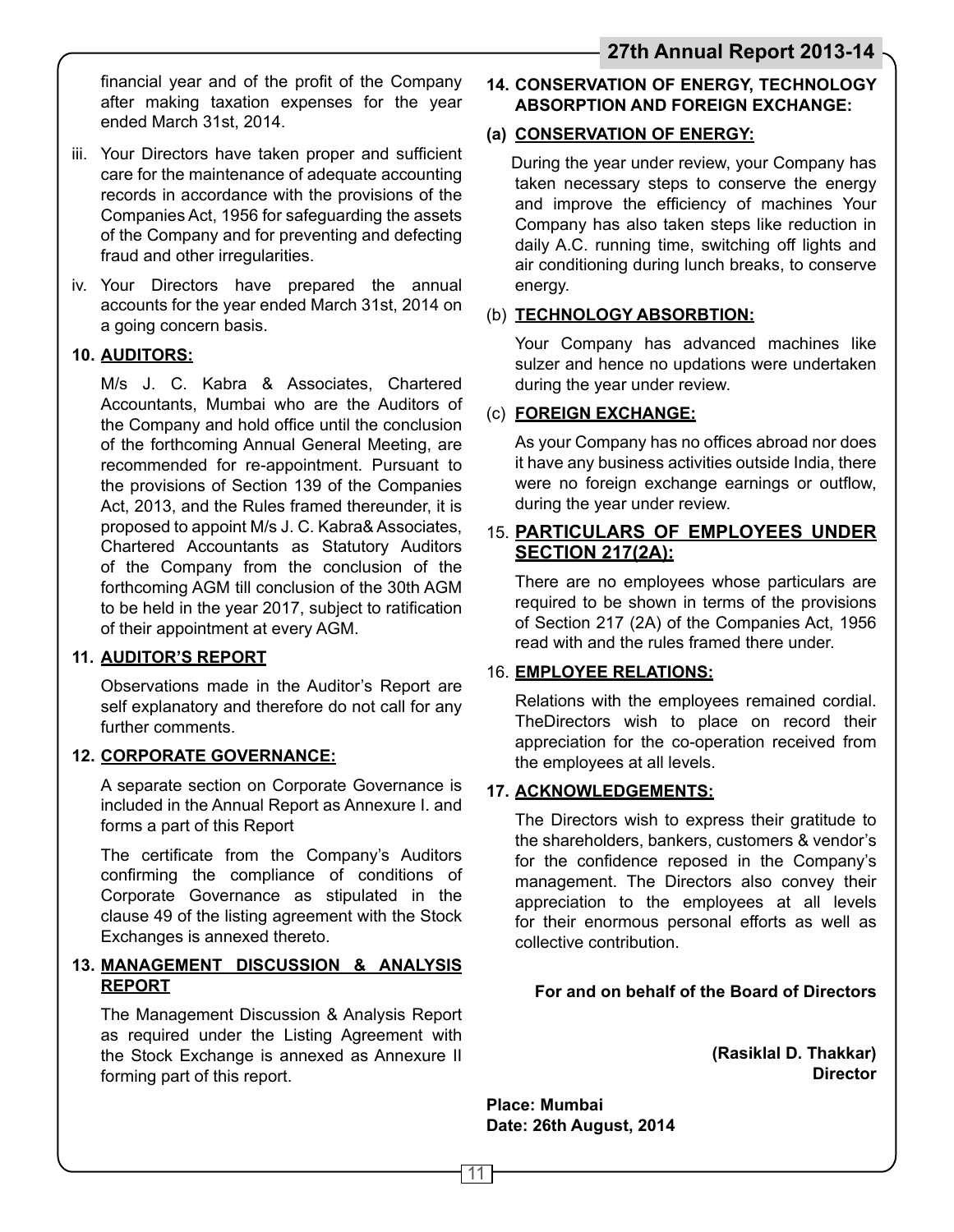financial year and of the profit of the Company after making taxation expenses for the year ended March 31st, 2014.

- iii. Your Directors have taken proper and sufficient care for the maintenance of adequate accounting records in accordance with the provisions of the Companies Act, 1956 for safeguarding the assets of the Company and for preventing and defecting fraud and other irregularities.
- iv. Your Directors have prepared the annual accounts for the year ended March 31st, 2014 on a going concern basis.

#### **10. AUDITORS:**

M/s J. C. Kabra & Associates, Chartered Accountants, Mumbai who are the Auditors of the Company and hold office until the conclusion of the forthcoming Annual General Meeting, are recommended for re-appointment. Pursuant to the provisions of Section 139 of the Companies Act, 2013, and the Rules framed thereunder, it is proposed to appoint M/s J. C. Kabra& Associates, Chartered Accountants as Statutory Auditors of the Company from the conclusion of the forthcoming AGM till conclusion of the 30th AGM to be held in the year 2017, subject to ratification of their appointment at every AGM.

#### **11. AUDITOR'S REPORT**

Observations made in the Auditor's Report are self explanatory and therefore do not call for any further comments.

#### **12. CORPORATE GOVERNANCE:**

A separate section on Corporate Governance is included in the Annual Report as Annexure I. and forms a part of this Report

The certificate from the Company's Auditors confirming the compliance of conditions of Corporate Governance as stipulated in the clause 49 of the listing agreement with the Stock Exchanges is annexed thereto.

#### **13. MANAGEMENT DISCUSSION & ANALYSIS REPORT**

The Management Discussion & Analysis Report as required under the Listing Agreement with the Stock Exchange is annexed as Annexure II forming part of this report.

#### **14. CONSERVATION OF ENERGY, TECHNOLOGY ABSORPTION AND FOREIGN EXCHANGE:**

#### **(a) CONSERVATION OF ENERGY:**

 During the year under review, your Company has taken necessary steps to conserve the energy and improve the efficiency of machines Your Company has also taken steps like reduction in daily A.C. running time, switching off lights and air conditioning during lunch breaks, to conserve energy.

#### (b) **TECHNOLOGY ABSORBTION:**

Your Company has advanced machines like sulzer and hence no updations were undertaken during the year under review.

#### (c) **FOREIGN EXCHANGE:**

As your Company has no offices abroad nor does it have any business activities outside India, there were no foreign exchange earnings or outflow, during the year under review.

#### 15. **PARTICULARS OF EMPLOYEES UNDER SECTION 217(2A):**

There are no employees whose particulars are required to be shown in terms of the provisions of Section 217 (2A) of the Companies Act, 1956 read with and the rules framed there under.

#### 16. **EMPLOYEE RELATIONS:**

Relations with the employees remained cordial. TheDirectors wish to place on record their appreciation for the co-operation received from the employees at all levels.

#### **17. ACKNOWLEDGEMENTS:**

The Directors wish to express their gratitude to the shareholders, bankers, customers & vendor's for the confidence reposed in the Company's management. The Directors also convey their appreciation to the employees at all levels for their enormous personal efforts as well as collective contribution.

#### **For and on behalf of the Board of Directors**

**(Rasiklal D. Thakkar) Director**

**Place: Mumbai Date: 26th August, 2014**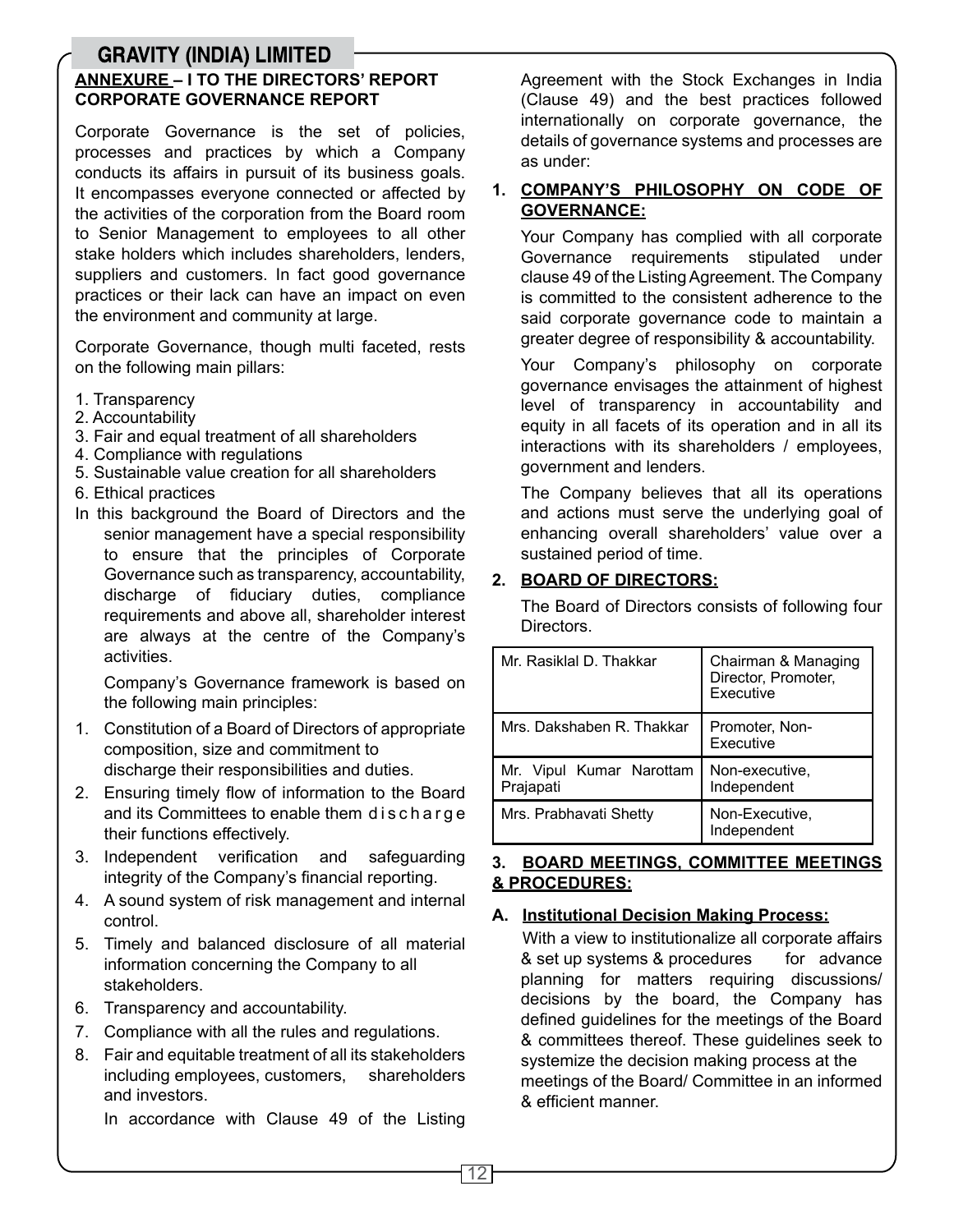#### **GRAVITY (INDIA) LIMITED ANNEXURE – I TO THE DIRECTORS' REPORT CORPORATE GOVERNANCE REPORT**

Corporate Governance is the set of policies, processes and practices by which a Company conducts its affairs in pursuit of its business goals. It encompasses everyone connected or affected by the activities of the corporation from the Board room to Senior Management to employees to all other stake holders which includes shareholders, lenders, suppliers and customers. In fact good governance practices or their lack can have an impact on even the environment and community at large.

Corporate Governance, though multi faceted, rests on the following main pillars:

- 1. Transparency
- 2. Accountability
- 3. Fair and equal treatment of all shareholders
- 4. Compliance with regulations
- 5. Sustainable value creation for all shareholders
- 6. Ethical practices
- In this background the Board of Directors and the senior management have a special responsibility to ensure that the principles of Corporate Governance such as transparency, accountability, discharge of fiduciary duties, compliance requirements and above all, shareholder interest are always at the centre of the Company's activities.

Company's Governance framework is based on the following main principles:

- 1. Constitution of a Board of Directors of appropriate composition, size and commitment to discharge their responsibilities and duties.
- 2. Ensuring timely flow of information to the Board and its Committees to enable them discharge their functions effectively.
- 3. Independent verification and safeguarding integrity of the Company's financial reporting.
- 4. A sound system of risk management and internal control.
- 5. Timely and balanced disclosure of all material information concerning the Company to all stakeholders.
- 6. Transparency and accountability.
- 7. Compliance with all the rules and regulations.
- 8. Fair and equitable treatment of all its stakeholders including employees, customers, shareholders and investors.

In accordance with Clause 49 of the Listing

Agreement with the Stock Exchanges in India (Clause 49) and the best practices followed internationally on corporate governance, the details of governance systems and processes are as under:

#### **1. COMPANY'S PHILOSOPHY ON CODE OF GOVERNANCE:**

Your Company has complied with all corporate Governance requirements stipulated under clause 49 of the Listing Agreement. The Company is committed to the consistent adherence to the said corporate governance code to maintain a greater degree of responsibility & accountability.

Your Company's philosophy on corporate governance envisages the attainment of highest level of transparency in accountability and equity in all facets of its operation and in all its interactions with its shareholders / employees, government and lenders.

The Company believes that all its operations and actions must serve the underlying goal of enhancing overall shareholders' value over a sustained period of time.

#### **2. BOARD OF DIRECTORS:**

The Board of Directors consists of following four Directors.

| Mr. Rasiklal D. Thakkar               | Chairman & Managing<br>Director, Promoter,<br>Executive |
|---------------------------------------|---------------------------------------------------------|
| Mrs. Dakshaben R. Thakkar             | Promoter, Non-<br>Executive                             |
| Mr. Vipul Kumar Narottam<br>Prajapati | Non-executive,<br>Independent                           |
| Mrs. Prabhavati Shetty                | Non-Executive.<br>Independent                           |

#### **3. BOARD MEETINGS, COMMITTEE MEETINGS & PROCEDURES:**

#### **A. Institutional Decision Making Process:**

 With a view to institutionalize all corporate affairs & set up systems & procedures for advance planning for matters requiring discussions/ decisions by the board, the Company has defined guidelines for the meetings of the Board & committees thereof. These guidelines seek to systemize the decision making process at the meetings of the Board/ Committee in an informed & efficient manner.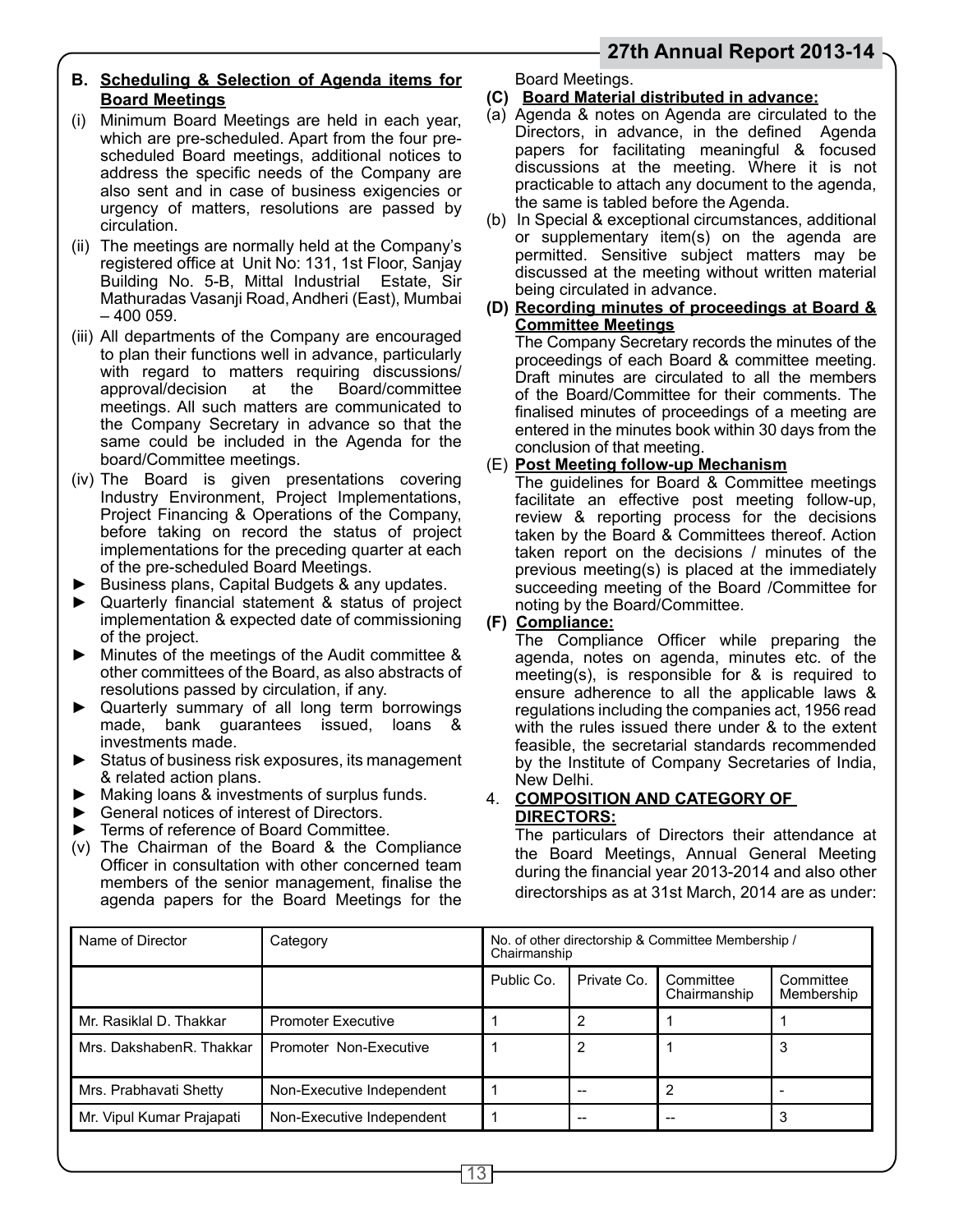#### **B. Scheduling & Selection of Agenda items for Board Meetings**

- (i) Minimum Board Meetings are held in each year, which are pre-scheduled. Apart from the four prescheduled Board meetings, additional notices to address the specific needs of the Company are also sent and in case of business exigencies or urgency of matters, resolutions are passed by circulation.
- (ii) The meetings are normally held at the Company's registered office at Unit No: 131, 1st Floor, Sanjay Building No. 5-B, Mittal Industrial Estate, Sir Mathuradas Vasanji Road, Andheri (East), Mumbai – 400 059.
- (iii) All departments of the Company are encouraged to plan their functions well in advance, particularly with regard to matters requiring discussions/<br>approval/decision at the Board/committee approval/decision at meetings. All such matters are communicated to the Company Secretary in advance so that the same could be included in the Agenda for the board/Committee meetings.
- (iv) The Board is given presentations covering Industry Environment, Project Implementations, Project Financing & Operations of the Company, before taking on record the status of project implementations for the preceding quarter at each of the pre-scheduled Board Meetings.
- Business plans, Capital Budgets & any updates.
- Quarterly financial statement & status of project implementation & expected date of commissioning of the project.
- ► Minutes of the meetings of the Audit committee & other committees of the Board, as also abstracts of resolutions passed by circulation, if any.
- ► Quarterly summary of all long term borrowings made, bank guarantees issued, loans & investments made.
- Status of business risk exposures, its management & related action plans.
- ► Making loans & investments of surplus funds.
- ► General notices of interest of Directors.<br>► Terms of reference of Board Committee
- Terms of reference of Board Committee.
- (v) The Chairman of the Board & the Compliance Officer in consultation with other concerned team members of the senior management, finalise the agenda papers for the Board Meetings for the

Board Meetings.

#### **(C) Board Material distributed in advance:**

- (a) Agenda & notes on Agenda are circulated to the Directors, in advance, in the defined Agenda papers for facilitating meaningful & focused discussions at the meeting. Where it is not practicable to attach any document to the agenda, the same is tabled before the Agenda.
- (b) In Special & exceptional circumstances, additional or supplementary item(s) on the agenda are permitted. Sensitive subject matters may be discussed at the meeting without written material being circulated in advance.
- **(D) Recording minutes of proceedings at Board & Committee Meetings**

The Company Secretary records the minutes of the proceedings of each Board & committee meeting. Draft minutes are circulated to all the members of the Board/Committee for their comments. The finalised minutes of proceedings of a meeting are entered in the minutes book within 30 days from the conclusion of that meeting.

## (E) **Post Meeting follow-up Mechanism**

The guidelines for Board & Committee meetings facilitate an effective post meeting follow-up, review & reporting process for the decisions taken by the Board & Committees thereof. Action taken report on the decisions / minutes of the previous meeting(s) is placed at the immediately succeeding meeting of the Board /Committee for noting by the Board/Committee.

## **(F) Compliance:**

The Compliance Officer while preparing the agenda, notes on agenda, minutes etc. of the meeting(s), is responsible for & is required to ensure adherence to all the applicable laws & regulations including the companies act, 1956 read with the rules issued there under & to the extent feasible, the secretarial standards recommended by the Institute of Company Secretaries of India, New Delhi.

#### 4. **COMPOSITION AND CATEGORY OF DIRECTORS:**

The particulars of Directors their attendance at the Board Meetings, Annual General Meeting during the financial year 2013-2014 and also other directorships as at 31st March, 2014 are as under:

| Name of Director          | Category                  | No. of other directorship & Committee Membership /<br>Chairmanship |             |                           |                         |
|---------------------------|---------------------------|--------------------------------------------------------------------|-------------|---------------------------|-------------------------|
|                           |                           | Public Co.                                                         | Private Co. | Committee<br>Chairmanship | Committee<br>Membership |
| Mr. Rasiklal D. Thakkar   | <b>Promoter Executive</b> |                                                                    |             |                           |                         |
| Mrs. DakshabenR. Thakkar  | Promoter Non-Executive    |                                                                    | 2           |                           | 3                       |
| Mrs. Prabhavati Shetty    | Non-Executive Independent |                                                                    |             |                           |                         |
| Mr. Vipul Kumar Prajapati | Non-Executive Independent |                                                                    |             |                           |                         |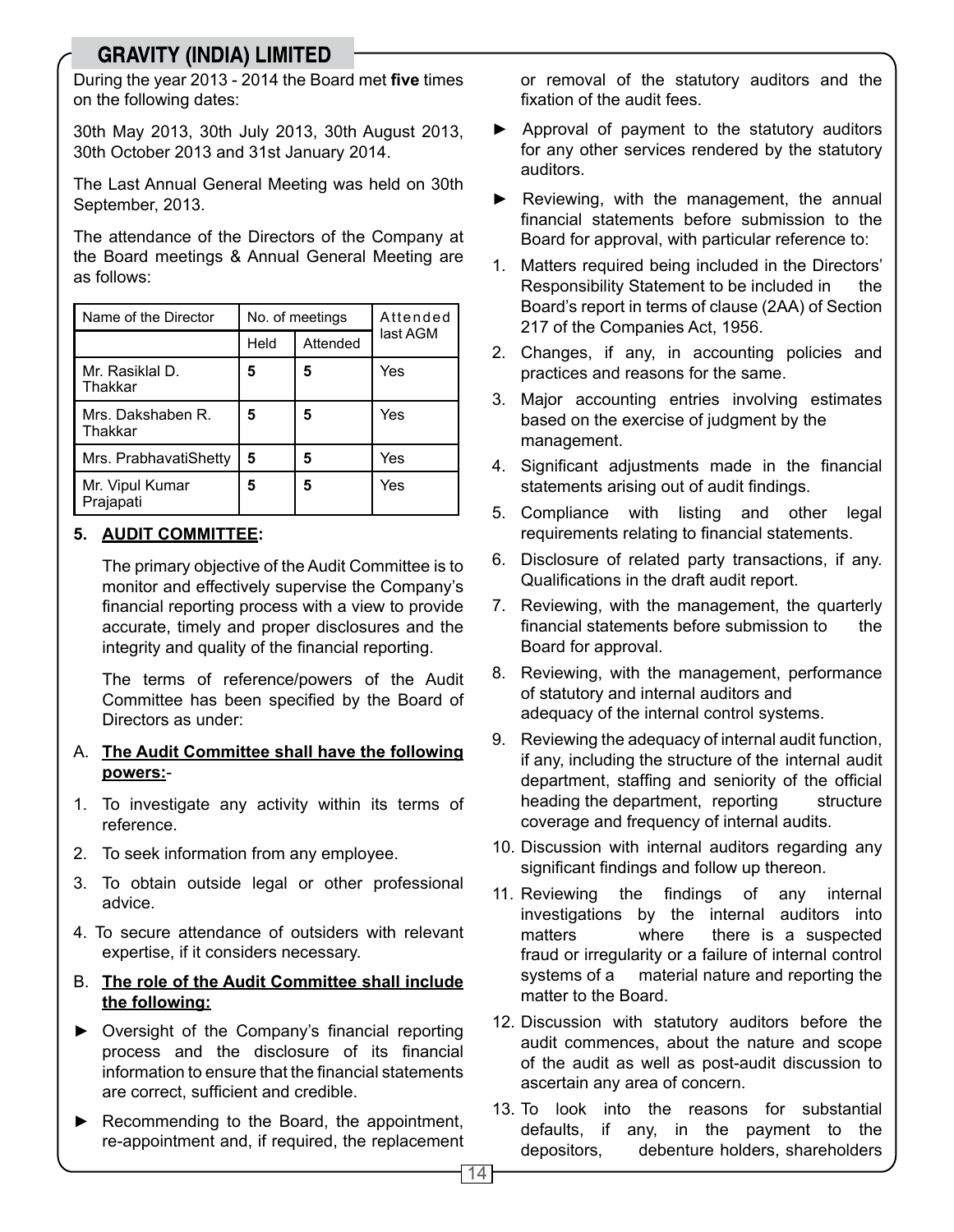During the year 2013 - 2014 the Board met **five** times on the following dates:

30th May 2013, 30th July 2013, 30th August 2013, 30th October 2013 and 31st January 2014.

The Last Annual General Meeting was held on 30th September, 2013.

The attendance of the Directors of the Company at the Board meetings & Annual General Meeting are as follows:

| Name of the Director         | No. of meetings |          | Attended |  |
|------------------------------|-----------------|----------|----------|--|
|                              | Held            | Attended | last AGM |  |
| Mr. Rasiklal D.<br>Thakkar   | 5               | 5        | Yes      |  |
| Mrs. Dakshaben R.<br>Thakkar | 5               | 5        | Yes      |  |
| Mrs. PrabhavatiShetty        | 5               | 5        | Yes      |  |
| Mr. Vipul Kumar<br>Prajapati | 5               | 5        | Yes      |  |

#### **5. AUDIT COMMITTEE:**

The primary objective of the Audit Committee is to monitor and effectively supervise the Company's financial reporting process with a view to provide accurate, timely and proper disclosures and the integrity and quality of the financial reporting.

The terms of reference/powers of the Audit Committee has been specified by the Board of Directors as under:

#### A. **The Audit Committee shall have the following powers:**-

- 1. To investigate any activity within its terms of reference.
- 2. To seek information from any employee.
- 3. To obtain outside legal or other professional advice.
- 4. To secure attendance of outsiders with relevant expertise, if it considers necessary.

#### B. **The role of the Audit Committee shall include the following:**

- ► Oversight of the Company's financial reporting process and the disclosure of its financial information to ensure that the financial statements are correct, sufficient and credible.
- ► Recommending to the Board, the appointment, re-appointment and, if required, the replacement

or removal of the statutory auditors and the fixation of the audit fees.

- ► Approval of payment to the statutory auditors for any other services rendered by the statutory auditors.
- ► Reviewing, with the management, the annual financial statements before submission to the Board for approval, with particular reference to:
- 1. Matters required being included in the Directors' Responsibility Statement to be included in the Board's report in terms of clause (2AA) of Section 217 of the Companies Act, 1956.
- 2. Changes, if any, in accounting policies and practices and reasons for the same.
- 3. Major accounting entries involving estimates based on the exercise of judgment by the management.
- 4. Significant adjustments made in the financial statements arising out of audit findings.
- 5. Compliance with listing and other legal requirements relating to financial statements.
- 6. Disclosure of related party transactions, if any. Qualifications in the draft audit report.
- 7. Reviewing, with the management, the quarterly financial statements before submission to the Board for approval.
- 8. Reviewing, with the management, performance of statutory and internal auditors and adequacy of the internal control systems.
- 9. Reviewing the adequacy of internal audit function, if any, including the structure of the internal audit department, staffing and seniority of the official heading the department, reporting structure coverage and frequency of internal audits.
- 10. Discussion with internal auditors regarding any significant findings and follow up thereon.
- 11. Reviewing the findings of any internal investigations by the internal auditors into matters where there is a suspected fraud or irregularity or a failure of internal control systems of a material nature and reporting the matter to the Board.
- 12. Discussion with statutory auditors before the audit commences, about the nature and scope of the audit as well as post-audit discussion to ascertain any area of concern.
- 13. To look into the reasons for substantial defaults, if any, in the payment to the depositors, debenture holders, shareholders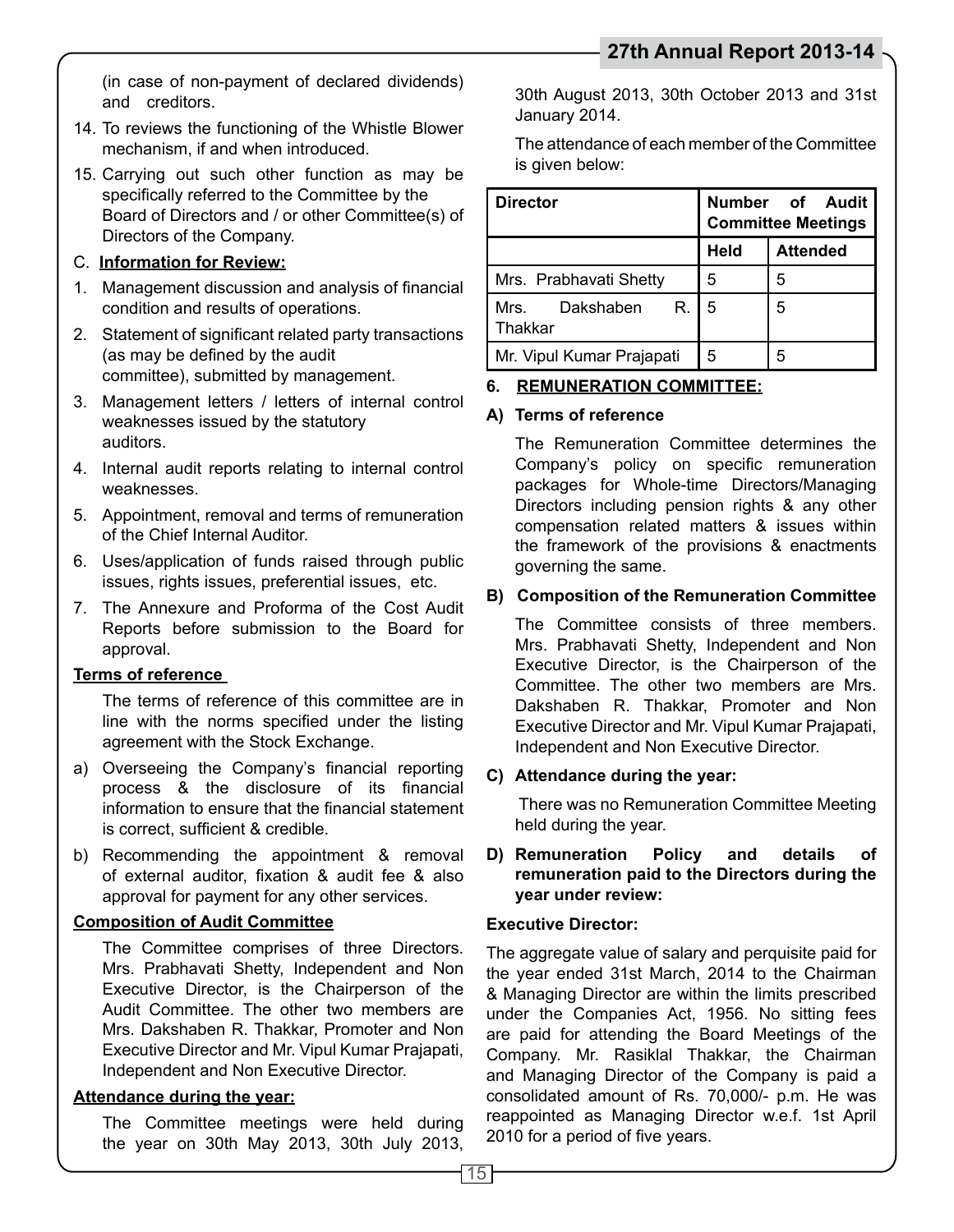(in case of non-payment of declared dividends) and creditors.

- 14. To reviews the functioning of the Whistle Blower mechanism, if and when introduced.
- 15. Carrying out such other function as may be specifically referred to the Committee by the Board of Directors and / or other Committee(s) of Directors of the Company.
- C. **Information for Review:**
- 1. Management discussion and analysis of financial condition and results of operations.
- 2. Statement of significant related party transactions (as may be defined by the audit committee), submitted by management.
- 3. Management letters / letters of internal control weaknesses issued by the statutory auditors.
- 4. Internal audit reports relating to internal control weaknesses.
- 5. Appointment, removal and terms of remuneration of the Chief Internal Auditor.
- 6. Uses/application of funds raised through public issues, rights issues, preferential issues, etc.
- 7. The Annexure and Proforma of the Cost Audit Reports before submission to the Board for approval.

#### **Terms of reference**

The terms of reference of this committee are in line with the norms specified under the listing agreement with the Stock Exchange.

- a) Overseeing the Company's financial reporting process & the disclosure of its financial information to ensure that the financial statement is correct, sufficient & credible.
- b) Recommending the appointment & removal of external auditor, fixation & audit fee & also approval for payment for any other services.

#### **Composition of Audit Committee**

The Committee comprises of three Directors. Mrs. Prabhavati Shetty, Independent and Non Executive Director, is the Chairperson of the Audit Committee. The other two members are Mrs. Dakshaben R. Thakkar, Promoter and Non Executive Director and Mr. Vipul Kumar Prajapati, Independent and Non Executive Director.

#### **Attendance during the year:**

The Committee meetings were held during the year on 30th May 2013, 30th July 2013, 30th August 2013, 30th October 2013 and 31st January 2014.

The attendance of each member of the Committee is given below:

| <b>Director</b>              | Number of Audit<br><b>Committee Meetings</b> |                 |
|------------------------------|----------------------------------------------|-----------------|
|                              | Held                                         | <b>Attended</b> |
| Mrs. Prabhavati Shetty       | 5                                            | 5               |
| Mrs. Dakshaben R.<br>Thakkar | 5                                            | 5               |
| Mr. Vipul Kumar Prajapati    | 5                                            | 5               |

#### **6. REMUNERATION COMMITTEE:**

#### **A) Terms of reference**

The Remuneration Committee determines the Company's policy on specific remuneration packages for Whole-time Directors/Managing Directors including pension rights & any other compensation related matters & issues within the framework of the provisions & enactments governing the same.

#### **B) Composition of the Remuneration Committee**

The Committee consists of three members. Mrs. Prabhavati Shetty, Independent and Non Executive Director, is the Chairperson of the Committee. The other two members are Mrs. Dakshaben R. Thakkar, Promoter and Non Executive Director and Mr. Vipul Kumar Prajapati, Independent and Non Executive Director.

#### **C) Attendance during the year:**

 There was no Remuneration Committee Meeting held during the year.

#### **D) Remuneration Policy and details of remuneration paid to the Directors during the year under review:**

#### **Executive Director:**

The aggregate value of salary and perquisite paid for the year ended 31st March, 2014 to the Chairman & Managing Director are within the limits prescribed under the Companies Act, 1956. No sitting fees are paid for attending the Board Meetings of the Company. Mr. Rasiklal Thakkar, the Chairman and Managing Director of the Company is paid a consolidated amount of Rs. 70,000/- p.m. He was reappointed as Managing Director w.e.f. 1st April 2010 for a period of five years.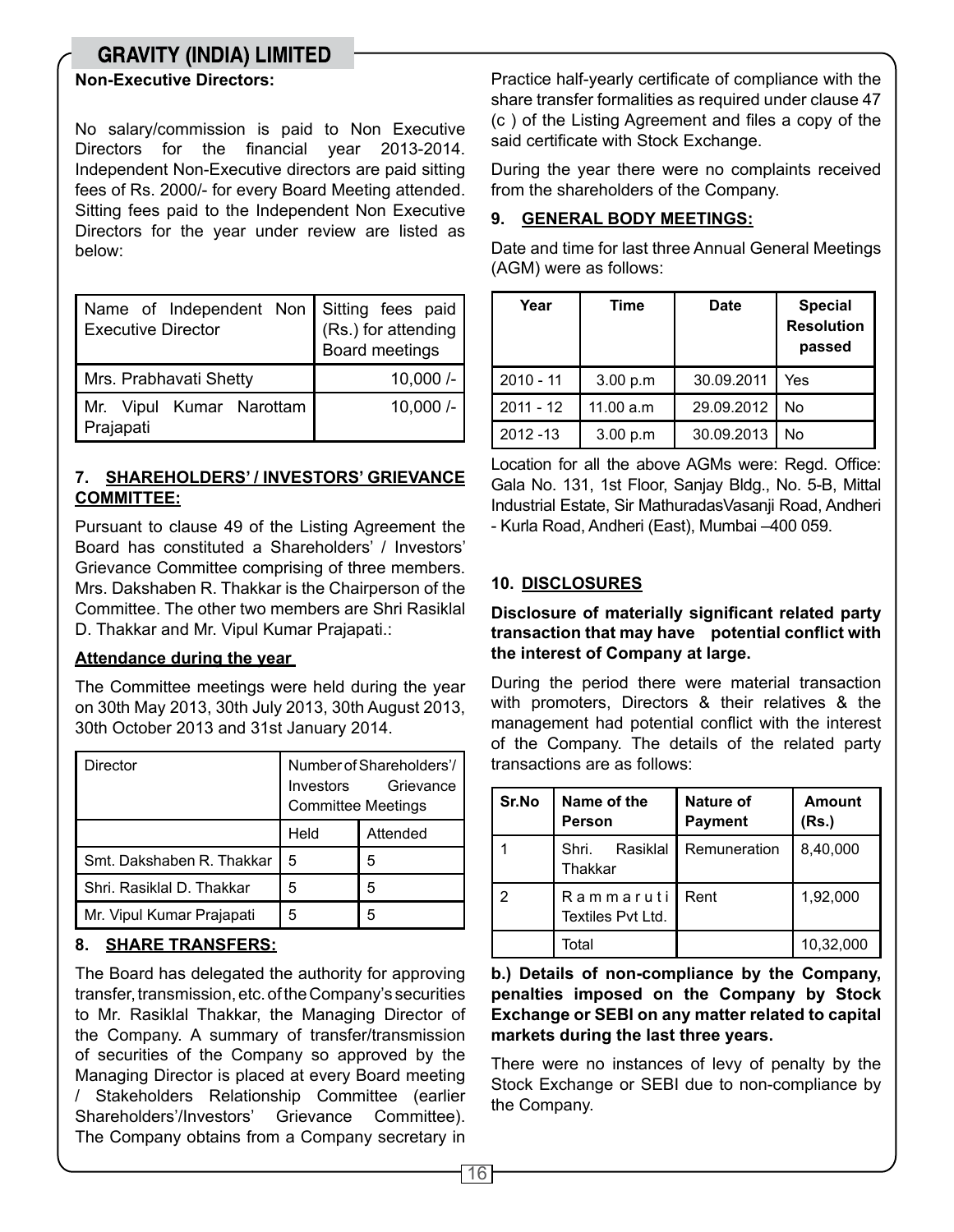#### **Non-Executive Directors:**

No salary/commission is paid to Non Executive Directors for the financial year 2013-2014. Independent Non-Executive directors are paid sitting fees of Rs. 2000/- for every Board Meeting attended. Sitting fees paid to the Independent Non Executive Directors for the year under review are listed as below:

| Name of Independent Non Sitting fees paid<br><b>Executive Director</b> | (Rs.) for attending<br>Board meetings |
|------------------------------------------------------------------------|---------------------------------------|
| Mrs. Prabhavati Shetty                                                 | $10,000/-$                            |
| Mr. Vipul Kumar Narottam<br>Prajapati                                  | $10,000/-$                            |

#### **7. SHAREHOLDERS' / INVESTORS' GRIEVANCE COMMITTEE:**

Pursuant to clause 49 of the Listing Agreement the Board has constituted a Shareholders' / Investors' Grievance Committee comprising of three members. Mrs. Dakshaben R. Thakkar is the Chairperson of the Committee. The other two members are Shri Rasiklal D. Thakkar and Mr. Vipul Kumar Prajapati.:

#### **Attendance during the year**

The Committee meetings were held during the year on 30th May 2013, 30th July 2013, 30th August 2013, 30th October 2013 and 31st January 2014.

| <b>Director</b>           | Number of Shareholders'/<br>Investors Grievance<br><b>Committee Meetings</b> |   |
|---------------------------|------------------------------------------------------------------------------|---|
|                           | Held<br>Attended                                                             |   |
| Smt. Dakshaben R. Thakkar | 5                                                                            | 5 |
| Shri. Rasiklal D. Thakkar | 5                                                                            | 5 |
| Mr. Vipul Kumar Prajapati | 5                                                                            | 5 |

#### **8. SHARE TRANSFERS:**

The Board has delegated the authority for approving transfer, transmission, etc. of the Company's securities to Mr. Rasiklal Thakkar, the Managing Director of the Company. A summary of transfer/transmission of securities of the Company so approved by the Managing Director is placed at every Board meeting / Stakeholders Relationship Committee (earlier Shareholders'/Investors' Grievance Committee). The Company obtains from a Company secretary in Practice half-yearly certificate of compliance with the share transfer formalities as required under clause 47 (c ) of the Listing Agreement and files a copy of the said certificate with Stock Exchange.

During the year there were no complaints received from the shareholders of the Company.

#### **9. GENERAL BODY MEETINGS:**

Date and time for last three Annual General Meetings (AGM) were as follows:

| Year        | Time      | Date       | <b>Special</b><br><b>Resolution</b><br>passed |
|-------------|-----------|------------|-----------------------------------------------|
| $2010 - 11$ | 3.00 p.m  | 30.09.2011 | Yes                                           |
| $2011 - 12$ | 11.00 a.m | 29.09.2012 | N٥                                            |
| $2012 - 13$ | 3.00 p.m  | 30.09.2013 | No                                            |

Location for all the above AGMs were: Regd. Office: Gala No. 131, 1st Floor, Sanjay Bldg., No. 5-B, Mittal Industrial Estate, Sir MathuradasVasanji Road, Andheri - Kurla Road, Andheri (East), Mumbai –400 059.

#### **10. DISCLOSURES**

**Disclosure of materially significant related party transaction that may have potential conflict with the interest of Company at large.**

During the period there were material transaction with promoters, Directors & their relatives & the management had potential conflict with the interest of the Company. The details of the related party transactions are as follows:

| Sr.No          | Name of the<br>Person           | Nature of<br>Payment | Amount<br>(Rs.) |  |
|----------------|---------------------------------|----------------------|-----------------|--|
|                | Rasiklal<br>Shri.<br>Thakkar    | Remuneration         | 8,40,000        |  |
| $\mathfrak{p}$ | Rammarutil<br>Textiles Pvt Ltd. | Rent                 | 1,92,000        |  |
|                | Total                           |                      | 10,32,000       |  |

**b.) Details of non-compliance by the Company, penalties imposed on the Company by Stock Exchange or SEBI on any matter related to capital markets during the last three years.**

There were no instances of levy of penalty by the Stock Exchange or SEBI due to non-compliance by the Company.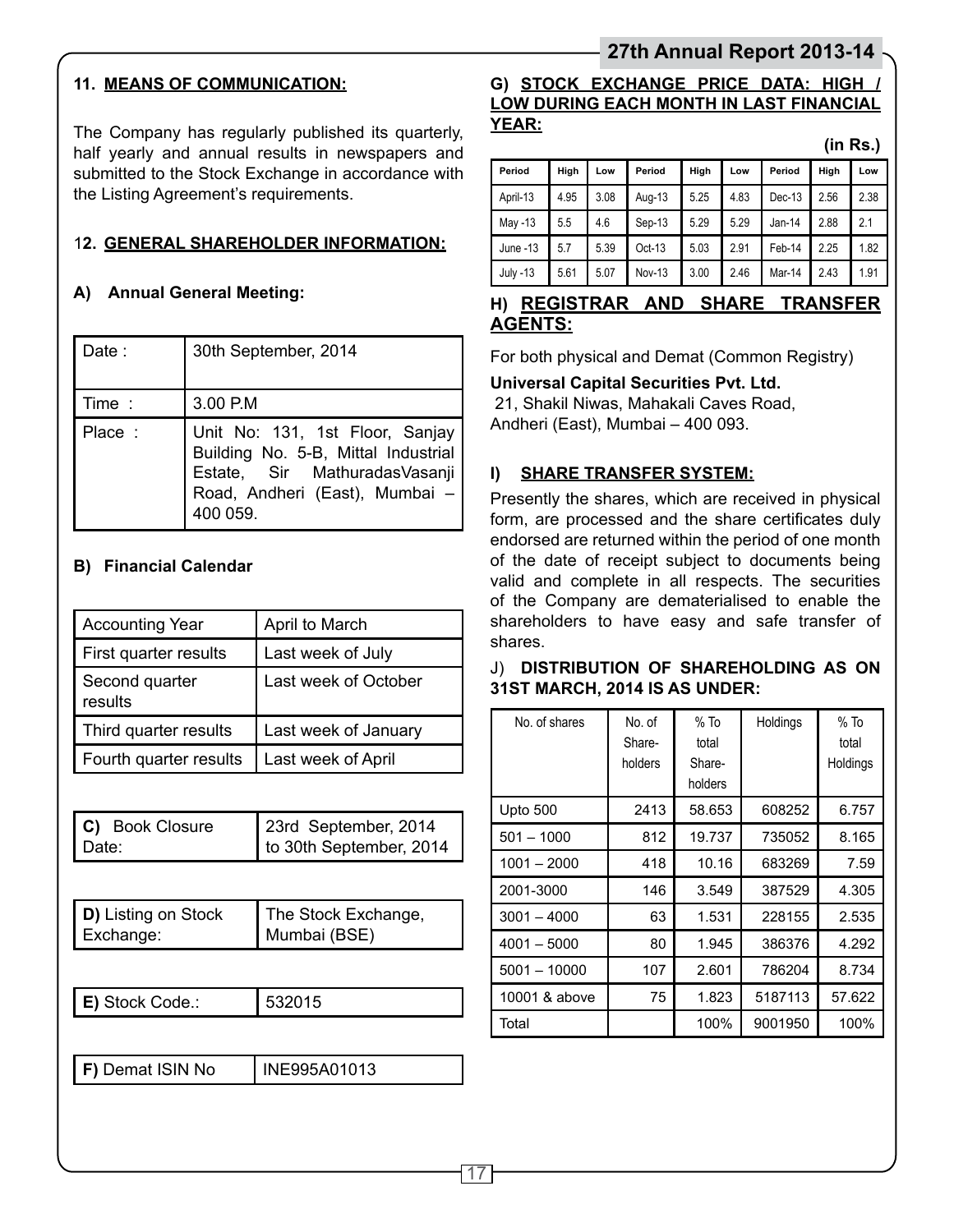## **27th Annual Report 2013-14**

#### **11. MEANS OF COMMUNICATION:**

The Company has regularly published its quarterly, half yearly and annual results in newspapers and submitted to the Stock Exchange in accordance with the Listing Agreement's requirements.

#### 1**2. GENERAL SHAREHOLDER INFORMATION:**

#### **A) Annual General Meeting:**

| Date : | 30th September, 2014                                                                                                                                  |  |
|--------|-------------------------------------------------------------------------------------------------------------------------------------------------------|--|
| Time:  | 3.00 P.M                                                                                                                                              |  |
| Place: | Unit No: 131, 1st Floor, Sanjay<br>Building No. 5-B, Mittal Industrial<br>Estate, Sir MathuradasVasanji<br>Road, Andheri (East), Mumbai -<br>400 059. |  |

#### **B) Financial Calendar**

| <b>Accounting Year</b>    | April to March       |
|---------------------------|----------------------|
| First quarter results     | Last week of July    |
| Second quarter<br>results | Last week of October |
| Third quarter results     | Last week of January |
| Fourth quarter results    | Last week of April   |

| C) Book Closure | 23rd September, 2014    |
|-----------------|-------------------------|
| l Date:         | to 30th September, 2014 |

| D) Listing on Stock | The Stock Exchange, |
|---------------------|---------------------|
| Exchange:           | Mumbai (BSE)        |

| E) Stock Code.: | 532015 |
|-----------------|--------|
|-----------------|--------|

**F)** Demat ISIN No | INE995A01013

#### **G) STOCK EXCHANGE PRICE DATA: HIGH / LOW DURING EACH MONTH IN LAST FINANCIAL YEAR:**

**(in Rs.)**

| Period   | High | Low  | Period | High | Low  | Period   | High | Low  |
|----------|------|------|--------|------|------|----------|------|------|
| April-13 | 4.95 | 3.08 | Aug-13 | 5.25 | 4.83 | Dec-13   | 2.56 | 2.38 |
| May -13  | 5.5  | 4.6  | Sep-13 | 5.29 | 5.29 | $Jan-14$ | 2.88 | 2.1  |
| June -13 | 5.7  | 5.39 | Oct-13 | 5.03 | 2.91 | Feb-14   | 2.25 | 1.82 |
| July -13 | 5.61 | 5.07 | Nov-13 | 3.00 | 2.46 | Mar-14   | 2.43 | 1.91 |

#### **H) REGISTRAR AND SHARE TRANSFER AGENTS:**

For both physical and Demat (Common Registry)

**Universal Capital Securities Pvt. Ltd.** 

 21, Shakil Niwas, Mahakali Caves Road, Andheri (East), Mumbai – 400 093.

#### **I) SHARE TRANSFER SYSTEM:**

Presently the shares, which are received in physical form, are processed and the share certificates duly endorsed are returned within the period of one month of the date of receipt subject to documents being valid and complete in all respects. The securities of the Company are dematerialised to enable the shareholders to have easy and safe transfer of shares.

J) **DISTRIBUTION OF SHAREHOLDING AS ON 31ST MARCH, 2014 IS AS UNDER:**

| No. of shares  | No. of<br>Share-<br>holders | $%$ To<br>total<br>Share-<br>holders | Holdings | $%$ To<br>total<br>Holdings |
|----------------|-----------------------------|--------------------------------------|----------|-----------------------------|
| Upto 500       | 2413                        | 58.653                               | 608252   | 6.757                       |
| $501 - 1000$   | 812                         | 19.737                               | 735052   | 8.165                       |
| $1001 - 2000$  | 418                         | 10.16                                | 683269   | 7.59                        |
| 2001-3000      | 146                         | 3.549                                | 387529   | 4.305                       |
| $3001 - 4000$  | 63                          | 1.531                                | 228155   | 2.535                       |
| $4001 - 5000$  | 80                          | 1.945                                | 386376   | 4.292                       |
| $5001 - 10000$ | 107                         | 2.601                                | 786204   | 8.734                       |
| 10001 & above  | 75                          | 1.823                                | 5187113  | 57.622                      |
| Total          |                             | 100%                                 | 9001950  | 100%                        |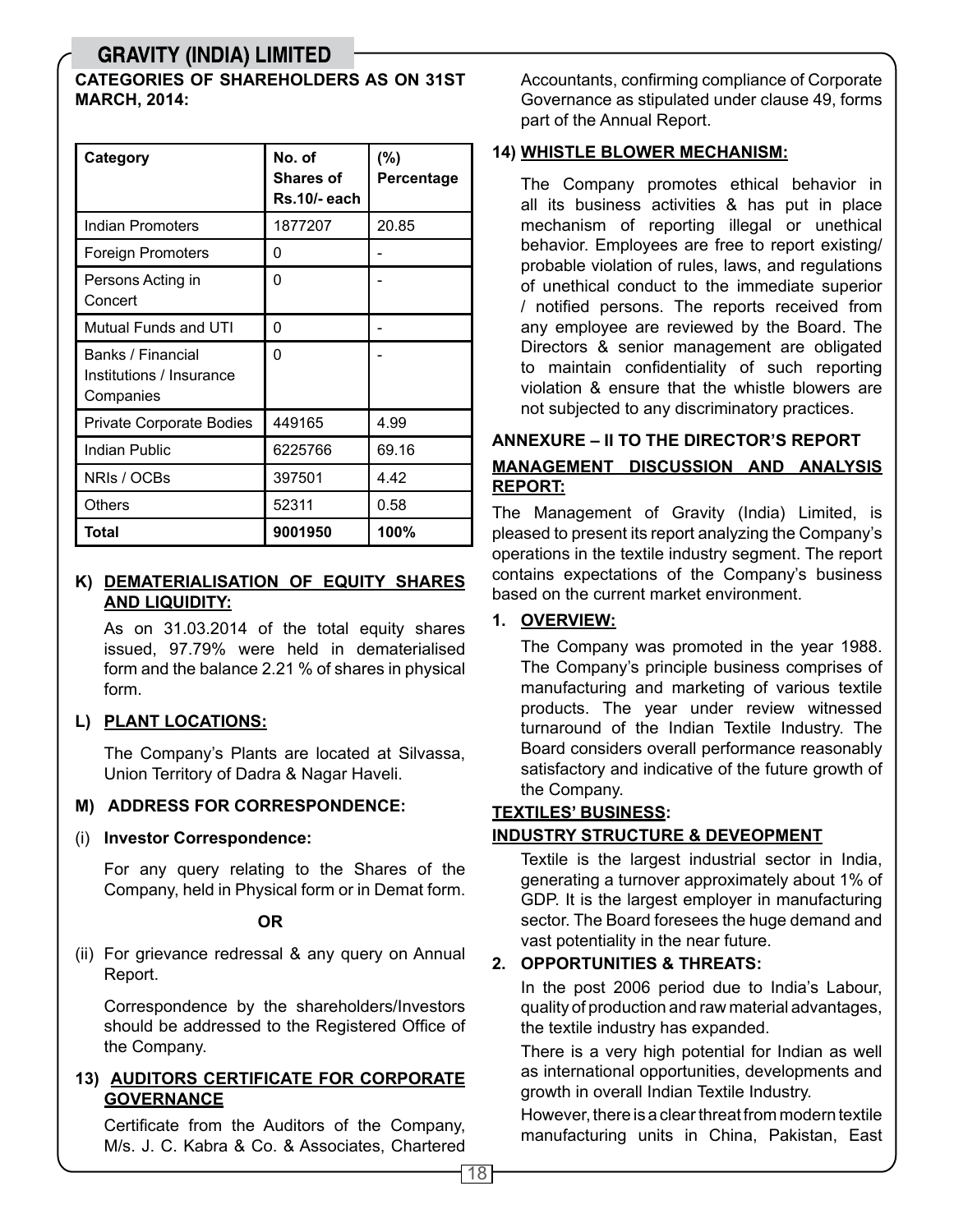#### **CATEGORIES OF SHAREHOLDERS AS ON 31ST MARCH, 2014:**

| Category                                                   | No. of<br>Shares of<br><b>Rs.10/-each</b> | (%)<br>Percentage |
|------------------------------------------------------------|-------------------------------------------|-------------------|
| <b>Indian Promoters</b>                                    | 1877207                                   | 20.85             |
| <b>Foreign Promoters</b>                                   | 0                                         |                   |
| Persons Acting in<br>Concert                               | 0                                         |                   |
| Mutual Funds and UTI                                       | 0                                         |                   |
| Banks / Financial<br>Institutions / Insurance<br>Companies | 0                                         |                   |
| <b>Private Corporate Bodies</b>                            | 449165                                    | 4.99              |
| <b>Indian Public</b>                                       | 6225766                                   | 69.16             |
| NRIs / OCBs                                                | 397501                                    | 4.42              |
| Others                                                     | 52311                                     | 0.58              |
| Total                                                      | 9001950                                   | 100%              |

#### **K) DEMATERIALISATION OF EQUITY SHARES AND LIQUIDITY:**

As on 31.03.2014 of the total equity shares issued, 97.79% were held in dematerialised form and the balance 2.21 % of shares in physical form.

#### **L) PLANT LOCATIONS:**

The Company's Plants are located at Silvassa, Union Territory of Dadra & Nagar Haveli.

#### **M) ADDRESS FOR CORRESPONDENCE:**

#### (i) **Investor Correspondence:**

For any query relating to the Shares of the Company, held in Physical form or in Demat form.

#### **OR**

(ii) For grievance redressal & any query on Annual Report.

Correspondence by the shareholders/Investors should be addressed to the Registered Office of the Company.

#### **13) AUDITORS CERTIFICATE FOR CORPORATE GOVERNANCE**

Certificate from the Auditors of the Company, M/s. J. C. Kabra & Co. & Associates, Chartered Accountants, confirming compliance of Corporate Governance as stipulated under clause 49, forms part of the Annual Report.

#### **14) WHISTLE BLOWER MECHANISM:**

The Company promotes ethical behavior in all its business activities & has put in place mechanism of reporting illegal or unethical behavior. Employees are free to report existing/ probable violation of rules, laws, and regulations of unethical conduct to the immediate superior / notified persons. The reports received from any employee are reviewed by the Board. The Directors & senior management are obligated to maintain confidentiality of such reporting violation & ensure that the whistle blowers are not subjected to any discriminatory practices.

#### **ANNEXURE – II TO THE DIRECTOR'S REPORT MANAGEMENT DISCUSSION AND ANALYSIS REPORT:**

The Management of Gravity (India) Limited, is pleased to present its report analyzing the Company's operations in the textile industry segment. The report contains expectations of the Company's business based on the current market environment.

#### **1. OVERVIEW:**

The Company was promoted in the year 1988. The Company's principle business comprises of manufacturing and marketing of various textile products. The year under review witnessed turnaround of the Indian Textile Industry. The Board considers overall performance reasonably satisfactory and indicative of the future growth of the Company.

#### **TEXTILES' BUSINESS:**

#### **INDUSTRY STRUCTURE & DEVEOPMENT**

Textile is the largest industrial sector in India, generating a turnover approximately about 1% of GDP. It is the largest employer in manufacturing sector. The Board foresees the huge demand and vast potentiality in the near future.

#### **2. OPPORTUNITIES & THREATS:**

In the post 2006 period due to India's Labour, quality of production and raw material advantages, the textile industry has expanded.

There is a very high potential for Indian as well as international opportunities, developments and growth in overall Indian Textile Industry.

However, there is a clear threat from modern textile manufacturing units in China, Pakistan, East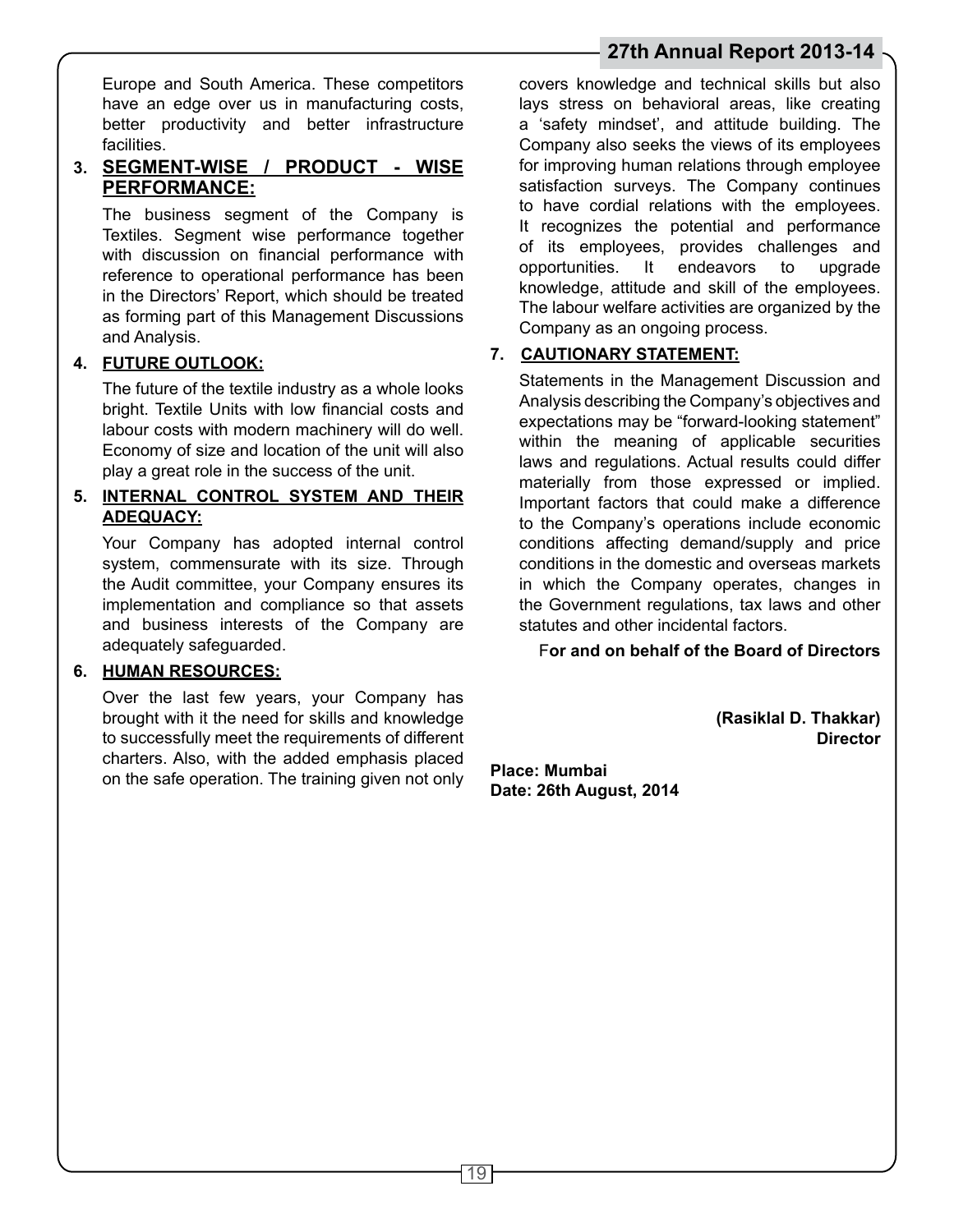Europe and South America. These competitors have an edge over us in manufacturing costs, better productivity and better infrastructure facilities.

#### **3. SEGMENT-WISE / PRODUCT - WISE PERFORMANCE:**

The business segment of the Company is Textiles. Segment wise performance together with discussion on financial performance with reference to operational performance has been in the Directors' Report, which should be treated as forming part of this Management Discussions and Analysis.

#### **4. FUTURE OUTLOOK:**

The future of the textile industry as a whole looks bright. Textile Units with low financial costs and labour costs with modern machinery will do well. Economy of size and location of the unit will also play a great role in the success of the unit.

#### **5. INTERNAL CONTROL SYSTEM AND THEIR ADEQUACY:**

Your Company has adopted internal control system, commensurate with its size. Through the Audit committee, your Company ensures its implementation and compliance so that assets and business interests of the Company are adequately safeguarded.

#### **6. HUMAN RESOURCES:**

Over the last few years, your Company has brought with it the need for skills and knowledge to successfully meet the requirements of different charters. Also, with the added emphasis placed on the safe operation. The training given not only covers knowledge and technical skills but also lays stress on behavioral areas, like creating a 'safety mindset', and attitude building. The Company also seeks the views of its employees for improving human relations through employee satisfaction surveys. The Company continues to have cordial relations with the employees. It recognizes the potential and performance of its employees, provides challenges and opportunities. It endeavors to upgrade knowledge, attitude and skill of the employees. The labour welfare activities are organized by the Company as an ongoing process.

#### **7. CAUTIONARY STATEMENT:**

Statements in the Management Discussion and Analysis describing the Company's objectives and expectations may be "forward-looking statement" within the meaning of applicable securities laws and regulations. Actual results could differ materially from those expressed or implied. Important factors that could make a difference to the Company's operations include economic conditions affecting demand/supply and price conditions in the domestic and overseas markets in which the Company operates, changes in the Government regulations, tax laws and other statutes and other incidental factors.

F**or and on behalf of the Board of Directors** 

**(Rasiklal D. Thakkar) Director**

**Place: Mumbai Date: 26th August, 2014**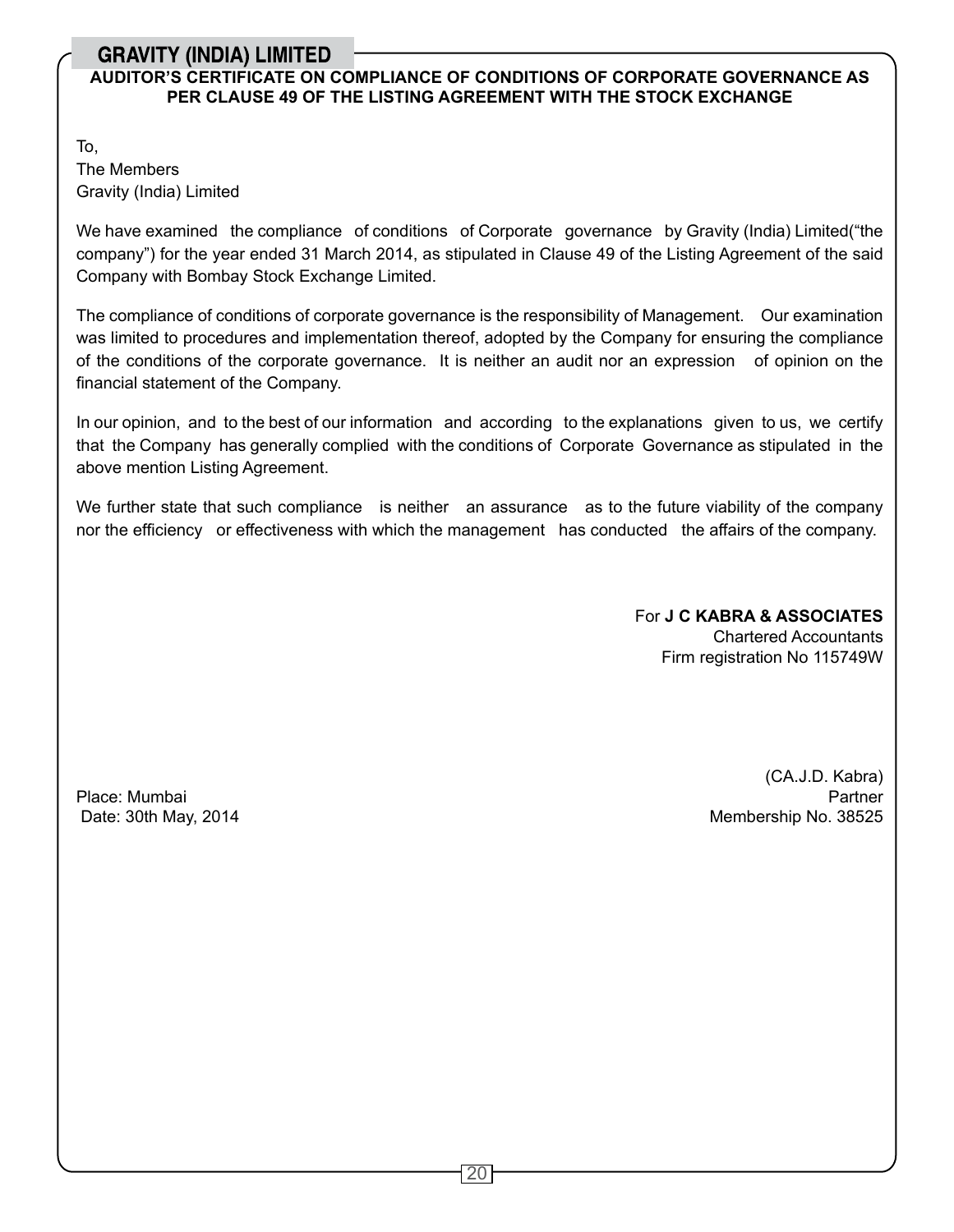#### **AUDITOR'S CERTIFICATE ON COMPLIANCE OF CONDITIONS OF CORPORATE GOVERNANCE AS PER CLAUSE 49 OF THE LISTING AGREEMENT WITH THE STOCK EXCHANGE**

To, The Members Gravity (India) Limited

We have examined the compliance of conditions of Corporate governance by Gravity (India) Limited "the company") for the year ended 31 March 2014, as stipulated in Clause 49 of the Listing Agreement of the said Company with Bombay Stock Exchange Limited.

The compliance of conditions of corporate governance is the responsibility of Management. Our examination was limited to procedures and implementation thereof, adopted by the Company for ensuring the compliance of the conditions of the corporate governance. It is neither an audit nor an expression of opinion on the financial statement of the Company.

In our opinion, and to the best of our information and according to the explanations given to us, we certify that the Company has generally complied with the conditions of Corporate Governance as stipulated in the above mention Listing Agreement.

We further state that such compliance is neither an assurance as to the future viability of the company nor the efficiency or effectiveness with which the management has conducted the affairs of the company.

> For **J C KABRA & ASSOCIATES** Chartered Accountants Firm registration No 115749W

(CA.J.D. Kabra) Place: Mumbai Partner Date: 30th May, 2014 Membership No. 38525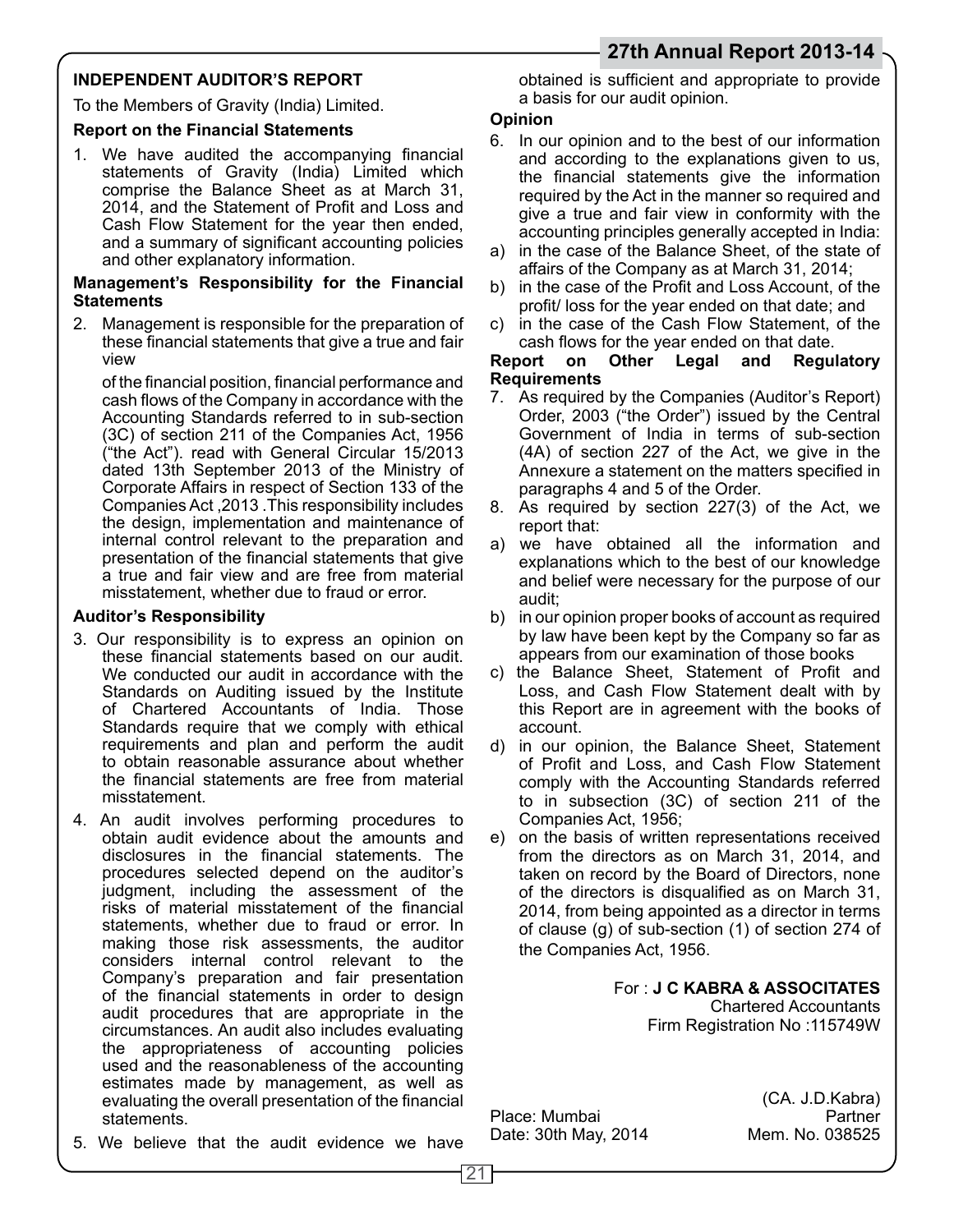## **Independent Auditor's Report**

To the Members of Gravity (India) Limited.

#### **Report on the Financial Statements**

1. We have audited the accompanying financial statements of Gravity (India) Limited which comprise the Balance Sheet as at March 31, 2014, and the Statement of Profit and Loss and Cash Flow Statement for the year then ended, and a summary of significant accounting policies and other explanatory information.

#### **Management's Responsibility for the Financial Statements**

2. Management is responsible for the preparation of these financial statements that give a true and fair view

of the financial position, financial performance and cash flows of the Company in accordance with the Accounting Standards referred to in sub-section (3C) of section 211 of the Companies Act, 1956 ("the Act"). read with General Circular 15/2013 dated 13th September 2013 of the Ministry of Corporate Affairs in respect of Section 133 of the Companies Act ,2013 .This responsibility includes the design, implementation and maintenance of internal control relevant to the preparation and presentation of the financial statements that give a true and fair view and are free from material misstatement, whether due to fraud or error.

#### **Auditor's Responsibility**

- 3. Our responsibility is to express an opinion on these financial statements based on our audit. We conducted our audit in accordance with the Standards on Auditing issued by the Institute of Chartered Accountants of India. Those Standards require that we comply with ethical requirements and plan and perform the audit to obtain reasonable assurance about whether the financial statements are free from material misstatement.
- 4. An audit involves performing procedures to obtain audit evidence about the amounts and disclosures in the financial statements. The procedures selected depend on the auditor's judgment, including the assessment of the risks of material misstatement of the financial statements, whether due to fraud or error. In making those risk assessments, the auditor considers internal control relevant to the Company's preparation and fair presentation of the financial statements in order to design audit procedures that are appropriate in the circumstances. An audit also includes evaluating the appropriateness of accounting policies used and the reasonableness of the accounting estimates made by management, as well as evaluating the overall presentation of the financial statements.
- 5. We believe that the audit evidence we have

obtained is sufficient and appropriate to provide a basis for our audit opinion.

#### **Opinion**

- 6. In our opinion and to the best of our information and according to the explanations given to us, the financial statements give the information required by the Act in the manner so required and give a true and fair view in conformity with the accounting principles generally accepted in India:
- a) in the case of the Balance Sheet, of the state of affairs of the Company as at March 31, 2014;
- b) in the case of the Profit and Loss Account, of the profit/ loss for the year ended on that date; and
- c) in the case of the Cash Flow Statement, of the cash flows for the year ended on that date.

#### **Report on Other Legal and Regulatory Requirements**

- 7. As required by the Companies (Auditor's Report) Order, 2003 ("the Order") issued by the Central Government of India in terms of sub-section (4A) of section 227 of the Act, we give in the Annexure a statement on the matters specified in paragraphs 4 and 5 of the Order.
- 8. As required by section 227(3) of the Act, we report that:
- a) we have obtained all the information and explanations which to the best of our knowledge and belief were necessary for the purpose of our audit;
- b) in our opinion proper books of account as required by law have been kept by the Company so far as appears from our examination of those books
- c) the Balance Sheet, Statement of Profit and Loss, and Cash Flow Statement dealt with by this Report are in agreement with the books of account.
- d) in our opinion, the Balance Sheet, Statement of Profit and Loss, and Cash Flow Statement comply with the Accounting Standards referred to in subsection (3C) of section 211 of the Companies Act, 1956;
- e) on the basis of written representations received from the directors as on March 31, 2014, and taken on record by the Board of Directors, none of the directors is disqualified as on March 31, 2014, from being appointed as a director in terms of clause (g) of sub-section (1) of section 274 of the Companies Act, 1956.

For : **J C KABRA & ASSOCITATES** Chartered Accountants Firm Registration No :115749W

Place: Mumbai Date: 30th May, 2014 Mem. No. 038525

(CA. J.D.Kabra)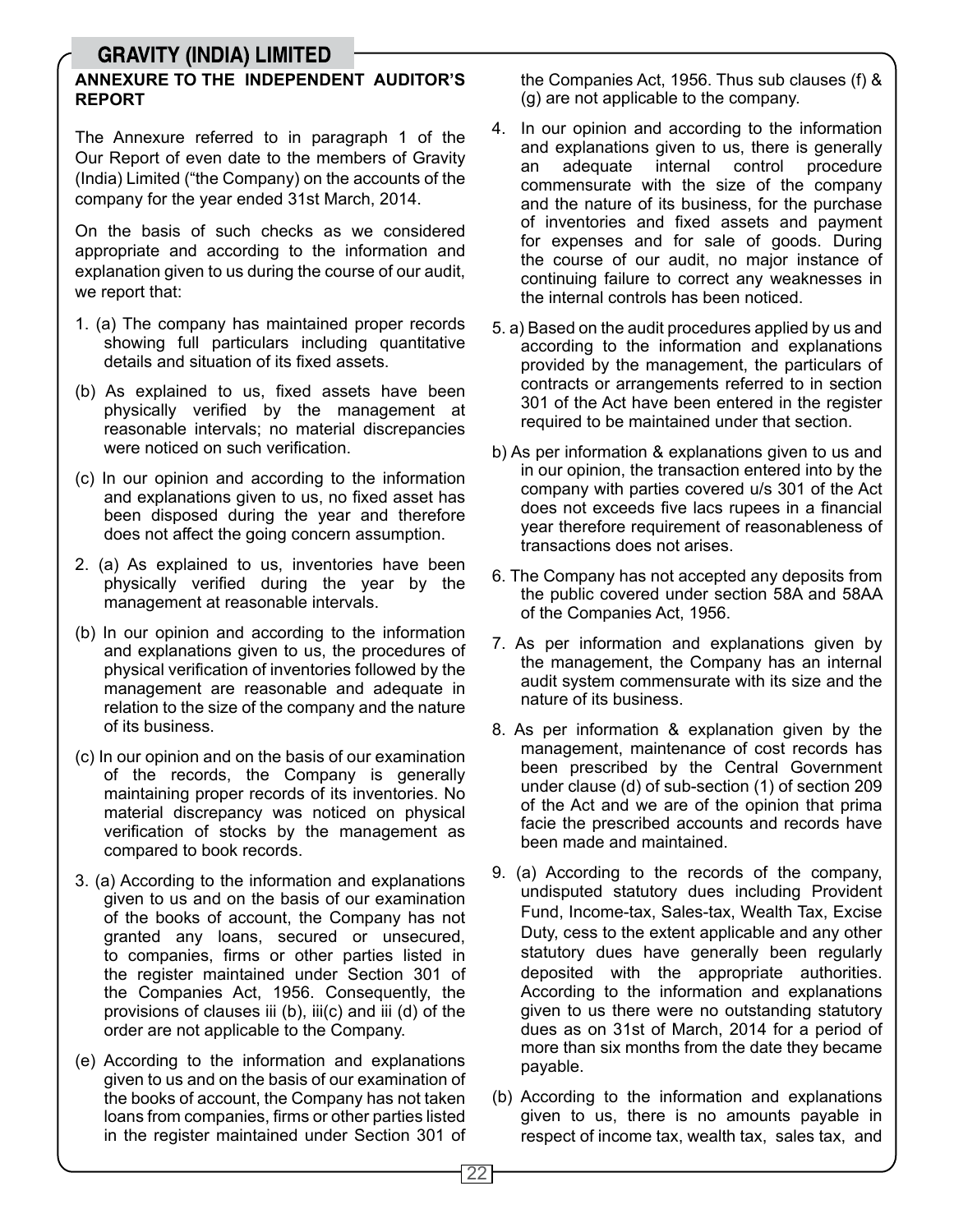#### **Annexure to the Independent Auditor's Report**

The Annexure referred to in paragraph 1 of the Our Report of even date to the members of Gravity (India) Limited ("the Company) on the accounts of the company for the year ended 31st March, 2014.

On the basis of such checks as we considered appropriate and according to the information and explanation given to us during the course of our audit, we report that:

- 1. (a) The company has maintained proper records showing full particulars including quantitative details and situation of its fixed assets.
- (b) As explained to us, fixed assets have been physically verified by the management at reasonable intervals; no material discrepancies were noticed on such verification.
- (c) In our opinion and according to the information and explanations given to us, no fixed asset has been disposed during the year and therefore does not affect the going concern assumption.
- 2. (a) As explained to us, inventories have been physically verified during the year by the management at reasonable intervals.
- (b) In our opinion and according to the information and explanations given to us, the procedures of physical verification of inventories followed by the management are reasonable and adequate in relation to the size of the company and the nature of its business.
- (c) In our opinion and on the basis of our examination of the records, the Company is generally maintaining proper records of its inventories. No material discrepancy was noticed on physical verification of stocks by the management as compared to book records.
- 3. (a) According to the information and explanations given to us and on the basis of our examination of the books of account, the Company has not granted any loans, secured or unsecured, to companies, firms or other parties listed in the register maintained under Section 301 of the Companies Act, 1956. Consequently, the provisions of clauses iii (b), iii(c) and iii (d) of the order are not applicable to the Company.
- (e) According to the information and explanations given to us and on the basis of our examination of the books of account, the Company has not taken loans from companies, firms or other parties listed in the register maintained under Section 301 of

the Companies Act, 1956. Thus sub clauses (f) & (g) are not applicable to the company.

- 4. In our opinion and according to the information and explanations given to us, there is generally<br>an adequate internal control procedure adequate internal control commensurate with the size of the company and the nature of its business, for the purchase of inventories and fixed assets and payment for expenses and for sale of goods. During the course of our audit, no major instance of continuing failure to correct any weaknesses in the internal controls has been noticed.
- 5. a) Based on the audit procedures applied by us and according to the information and explanations provided by the management, the particulars of contracts or arrangements referred to in section 301 of the Act have been entered in the register required to be maintained under that section.
- b) As per information & explanations given to us and in our opinion, the transaction entered into by the company with parties covered u/s 301 of the Act does not exceeds five lacs rupees in a financial year therefore requirement of reasonableness of transactions does not arises.
- 6. The Company has not accepted any deposits from the public covered under section 58A and 58AA of the Companies Act, 1956.
- 7. As per information and explanations given by the management, the Company has an internal audit system commensurate with its size and the nature of its business.
- 8. As per information & explanation given by the management, maintenance of cost records has been prescribed by the Central Government under clause (d) of sub-section (1) of section 209 of the Act and we are of the opinion that prima facie the prescribed accounts and records have been made and maintained.
- 9. (a) According to the records of the company, undisputed statutory dues including Provident Fund, Income-tax, Sales-tax, Wealth Tax, Excise Duty, cess to the extent applicable and any other statutory dues have generally been regularly deposited with the appropriate authorities. According to the information and explanations given to us there were no outstanding statutory dues as on 31st of March, 2014 for a period of more than six months from the date they became payable.
- (b) According to the information and explanations given to us, there is no amounts payable in respect of income tax, wealth tax, sales tax, and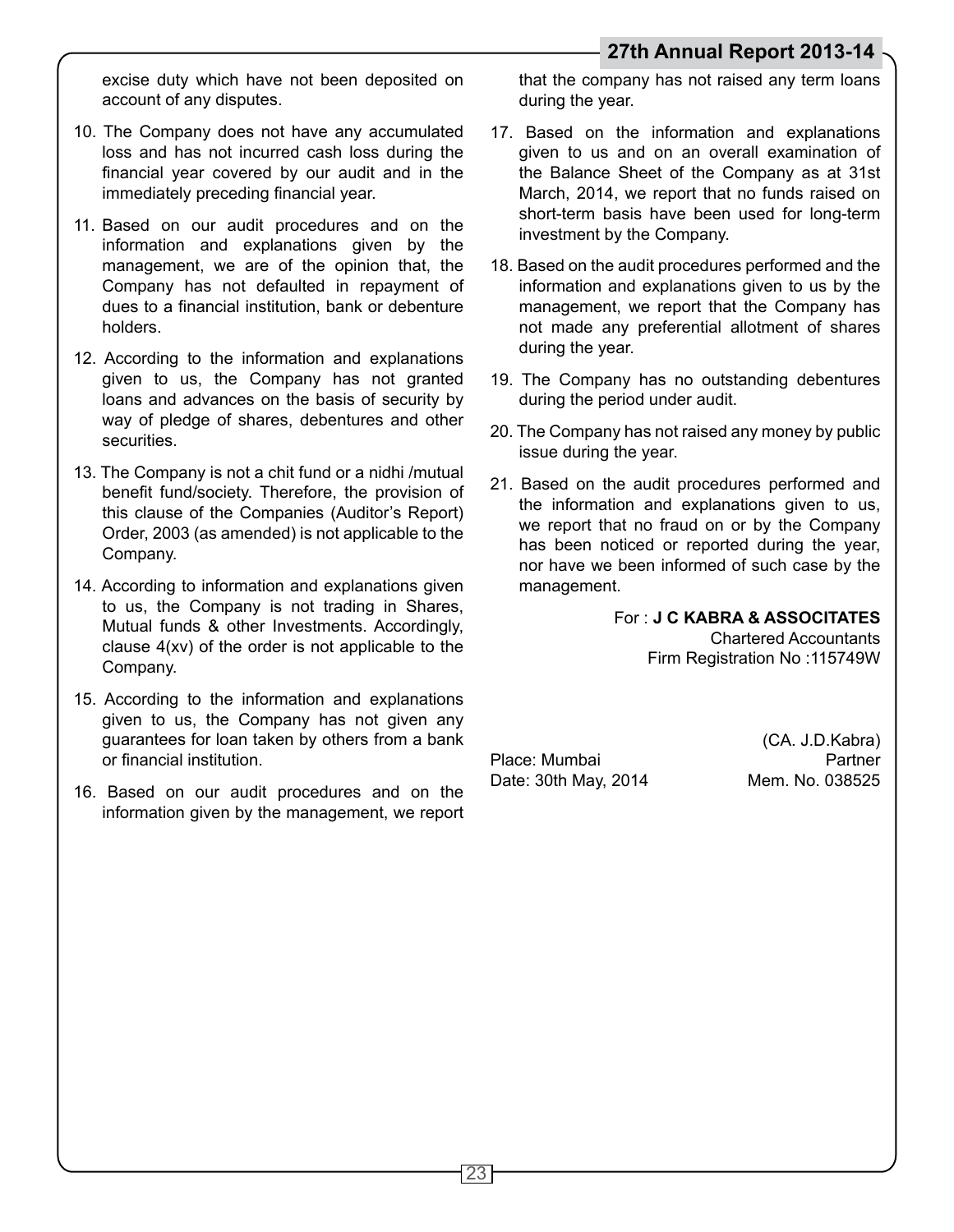excise duty which have not been deposited on account of any disputes.

- 10. The Company does not have any accumulated loss and has not incurred cash loss during the financial year covered by our audit and in the immediately preceding financial year.
- 11. Based on our audit procedures and on the information and explanations given by the management, we are of the opinion that, the Company has not defaulted in repayment of dues to a financial institution, bank or debenture holders.
- 12. According to the information and explanations given to us, the Company has not granted loans and advances on the basis of security by way of pledge of shares, debentures and other securities.
- 13. The Company is not a chit fund or a nidhi /mutual benefit fund/society. Therefore, the provision of this clause of the Companies (Auditor's Report) Order, 2003 (as amended) is not applicable to the Company.
- 14. According to information and explanations given to us, the Company is not trading in Shares, Mutual funds & other Investments. Accordingly, clause 4(xv) of the order is not applicable to the Company.
- 15. According to the information and explanations given to us, the Company has not given any guarantees for loan taken by others from a bank or financial institution.
- 16. Based on our audit procedures and on the information given by the management, we report

that the company has not raised any term loans during the year.

- 17. Based on the information and explanations given to us and on an overall examination of the Balance Sheet of the Company as at 31st March, 2014, we report that no funds raised on short-term basis have been used for long-term investment by the Company.
- 18. Based on the audit procedures performed and the information and explanations given to us by the management, we report that the Company has not made any preferential allotment of shares during the year.
- 19. The Company has no outstanding debentures during the period under audit.
- 20. The Company has not raised any money by public issue during the year.
- 21. Based on the audit procedures performed and the information and explanations given to us, we report that no fraud on or by the Company has been noticed or reported during the year, nor have we been informed of such case by the management.

#### For : **J C KABRA & ASSOCITATES** Chartered Accountants Firm Registration No :115749W

Place: Mumbai Partner Date: 30th May, 2014 Mem. No. 038525

(CA. J.D.Kabra)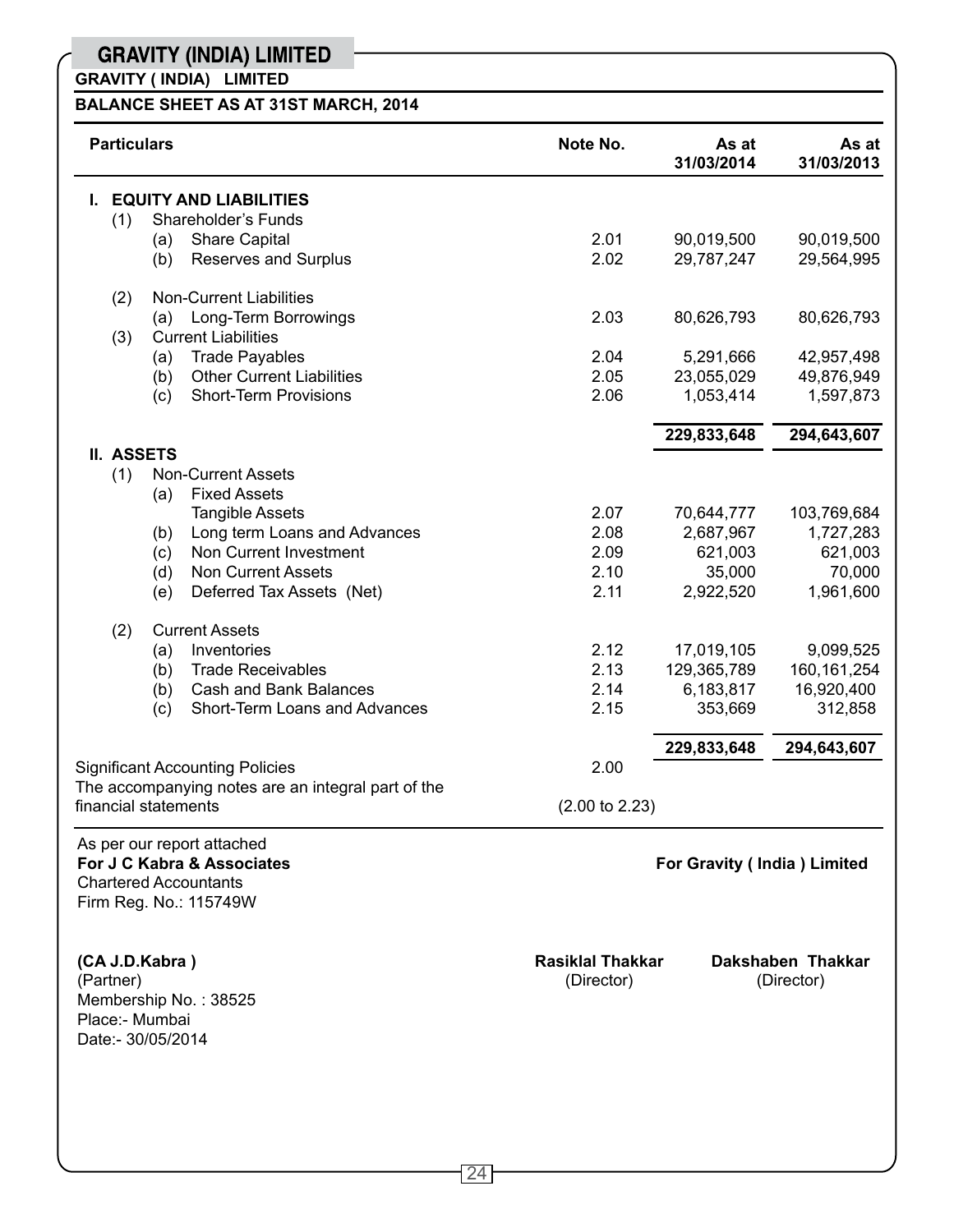## **GRAVITY ( INDIA) LIMITED**

## **BALANCE SHEET AS AT 31ST MARCH, 2014**

|           | <b>Particulars</b>                  |                                                                                          | Note No.                              | As at                       | As at                           |
|-----------|-------------------------------------|------------------------------------------------------------------------------------------|---------------------------------------|-----------------------------|---------------------------------|
|           |                                     |                                                                                          |                                       | 31/03/2014                  | 31/03/2013                      |
|           |                                     | <b>I. EQUITY AND LIABILITIES</b>                                                         |                                       |                             |                                 |
|           | (1)                                 | Shareholder's Funds                                                                      |                                       |                             |                                 |
|           |                                     | Share Capital<br>(a)                                                                     | 2.01                                  | 90,019,500                  | 90,019,500                      |
|           | (b)                                 | Reserves and Surplus                                                                     | 2.02                                  | 29,787,247                  | 29,564,995                      |
|           | (2)                                 | <b>Non-Current Liabilities</b>                                                           |                                       |                             |                                 |
|           |                                     | (a) Long-Term Borrowings                                                                 | 2.03                                  | 80,626,793                  | 80,626,793                      |
|           | (3)                                 | <b>Current Liabilities</b>                                                               |                                       |                             |                                 |
|           |                                     | <b>Trade Payables</b><br>(a)                                                             | 2.04                                  | 5,291,666                   | 42,957,498                      |
|           |                                     | <b>Other Current Liabilities</b><br>(b)                                                  | 2.05                                  | 23,055,029                  | 49,876,949                      |
|           | (c)                                 | <b>Short-Term Provisions</b>                                                             | 2.06                                  | 1,053,414                   | 1,597,873                       |
|           |                                     |                                                                                          |                                       | 229,833,648                 | 294,643,607                     |
|           | <b>II. ASSETS</b>                   |                                                                                          |                                       |                             |                                 |
|           | (1)                                 | Non-Current Assets                                                                       |                                       |                             |                                 |
|           |                                     | (a)<br><b>Fixed Assets</b>                                                               | 2.07                                  |                             |                                 |
|           |                                     | <b>Tangible Assets</b><br>Long term Loans and Advances<br>(b)                            | 2.08                                  | 70,644,777<br>2,687,967     | 103,769,684<br>1,727,283        |
|           |                                     | Non Current Investment<br>(c)                                                            | 2.09                                  | 621,003                     | 621,003                         |
|           |                                     | <b>Non Current Assets</b><br>(d)                                                         | 2.10                                  | 35,000                      | 70,000                          |
|           |                                     | Deferred Tax Assets (Net)<br>(e)                                                         | 2.11                                  | 2,922,520                   | 1,961,600                       |
|           |                                     |                                                                                          |                                       |                             |                                 |
|           | (2)                                 | <b>Current Assets</b><br>Inventories                                                     | 2.12                                  |                             |                                 |
|           |                                     | (a)<br><b>Trade Receivables</b><br>(b)                                                   | 2.13                                  | 17,019,105<br>129,365,789   | 9,099,525<br>160,161,254        |
|           |                                     | Cash and Bank Balances<br>(b)                                                            | 2.14                                  | 6,183,817                   | 16,920,400                      |
|           | (c)                                 | Short-Term Loans and Advances                                                            | 2.15                                  | 353,669                     | 312,858                         |
|           |                                     |                                                                                          |                                       |                             |                                 |
|           |                                     |                                                                                          |                                       | 229,833,648                 | 294,643,607                     |
|           |                                     | <b>Significant Accounting Policies</b>                                                   | 2.00                                  |                             |                                 |
|           |                                     | The accompanying notes are an integral part of the<br>financial statements               | $(2.00 \text{ to } 2.23)$             |                             |                                 |
|           |                                     | As per our report attached<br>For J C Kabra & Associates<br><b>Chartered Accountants</b> |                                       | For Gravity (India) Limited |                                 |
|           |                                     | Firm Reg. No.: 115749W                                                                   |                                       |                             |                                 |
| (Partner) | (CA J.D.Kabra)                      |                                                                                          | <b>Rasiklal Thakkar</b><br>(Director) |                             | Dakshaben Thakkar<br>(Director) |
|           | Place:- Mumbai<br>Date:- 30/05/2014 | Membership No.: 38525                                                                    |                                       |                             |                                 |
|           |                                     |                                                                                          |                                       |                             |                                 |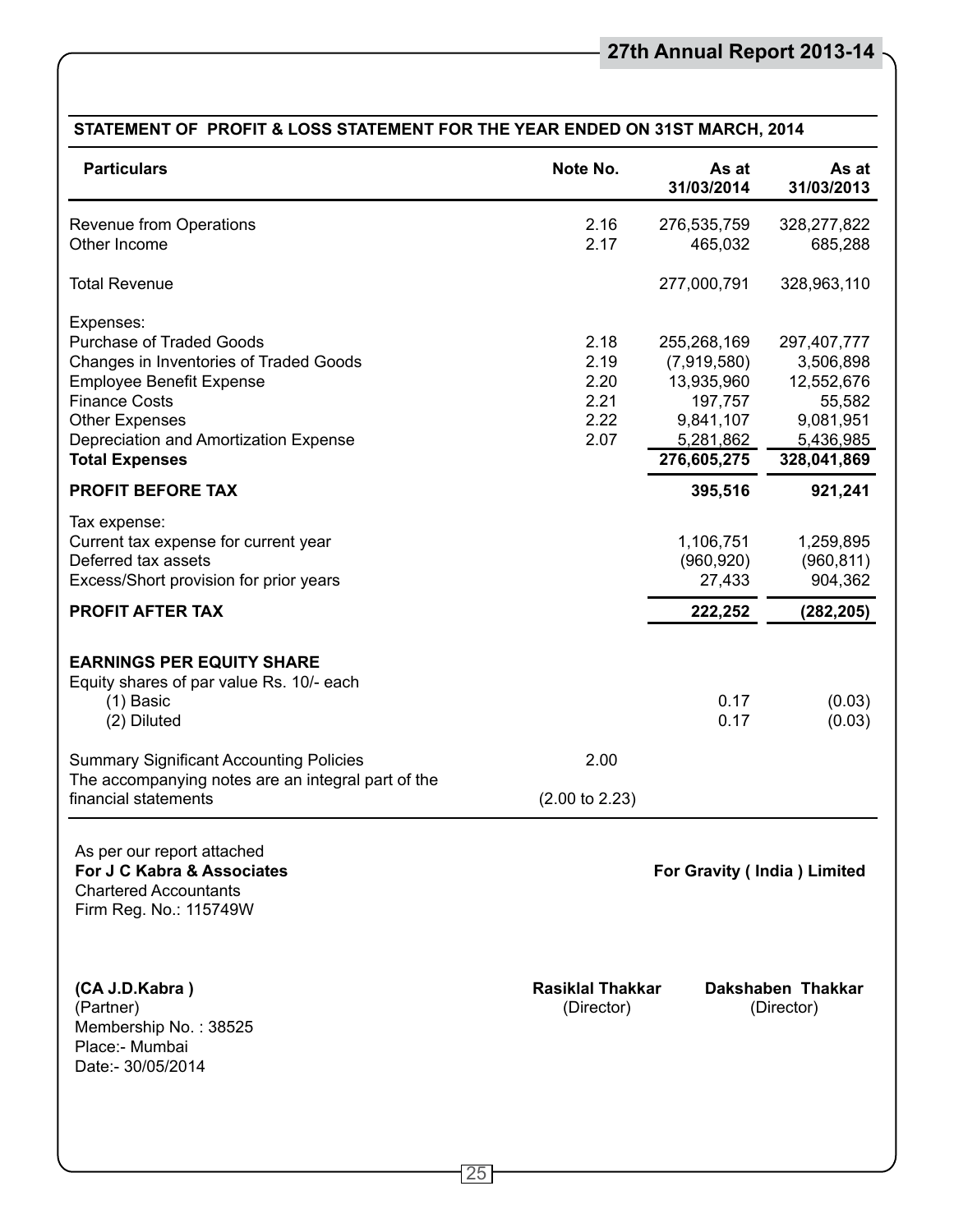| <b>Particulars</b>                                                                                                                                                                                                                    | Note No.                                     | As at<br>31/03/2014                                                                          | As at<br>31/03/2013                                                                       |
|---------------------------------------------------------------------------------------------------------------------------------------------------------------------------------------------------------------------------------------|----------------------------------------------|----------------------------------------------------------------------------------------------|-------------------------------------------------------------------------------------------|
| Revenue from Operations<br>Other Income                                                                                                                                                                                               | 2.16<br>2.17                                 | 276,535,759<br>465,032                                                                       | 328,277,822<br>685,288                                                                    |
| <b>Total Revenue</b>                                                                                                                                                                                                                  |                                              | 277,000,791                                                                                  | 328,963,110                                                                               |
| Expenses:<br>Purchase of Traded Goods<br>Changes in Inventories of Traded Goods<br><b>Employee Benefit Expense</b><br><b>Finance Costs</b><br><b>Other Expenses</b><br>Depreciation and Amortization Expense<br><b>Total Expenses</b> | 2.18<br>2.19<br>2.20<br>2.21<br>2.22<br>2.07 | 255,268,169<br>(7,919,580)<br>13,935,960<br>197,757<br>9,841,107<br>5,281,862<br>276,605,275 | 297,407,777<br>3,506,898<br>12,552,676<br>55,582<br>9,081,951<br>5,436,985<br>328,041,869 |
| <b>PROFIT BEFORE TAX</b>                                                                                                                                                                                                              |                                              | 395,516                                                                                      | 921,241                                                                                   |
| Tax expense:<br>Current tax expense for current year<br>Deferred tax assets<br>Excess/Short provision for prior years                                                                                                                 |                                              | 1,106,751<br>(960, 920)<br>27,433                                                            | 1,259,895<br>(960, 811)<br>904,362                                                        |
| <b>PROFIT AFTER TAX</b>                                                                                                                                                                                                               |                                              | 222,252                                                                                      | (282, 205)                                                                                |
| <b>EARNINGS PER EQUITY SHARE</b><br>Equity shares of par value Rs. 10/- each<br>(1) Basic<br>(2) Diluted                                                                                                                              |                                              | 0.17<br>0.17                                                                                 | (0.03)<br>(0.03)                                                                          |
| <b>Summary Significant Accounting Policies</b><br>The accompanying notes are an integral part of the                                                                                                                                  | 2.00                                         |                                                                                              |                                                                                           |
| financial statements                                                                                                                                                                                                                  | $(2.00 \text{ to } 2.23)$                    |                                                                                              |                                                                                           |
| As per our report attached<br>For J C Kabra & Associates<br><b>Chartered Accountants</b><br>Firm Reg. No.: 115749W                                                                                                                    |                                              | For Gravity (India) Limited                                                                  |                                                                                           |
| (CA J.D.Kabra)<br>(Partner)<br>Membership No.: 38525<br>Place:- Mumbai<br>Date:- 30/05/2014                                                                                                                                           | Rasiklal Thakkar<br>(Director)               |                                                                                              | Dakshaben Thakkar<br>(Director)                                                           |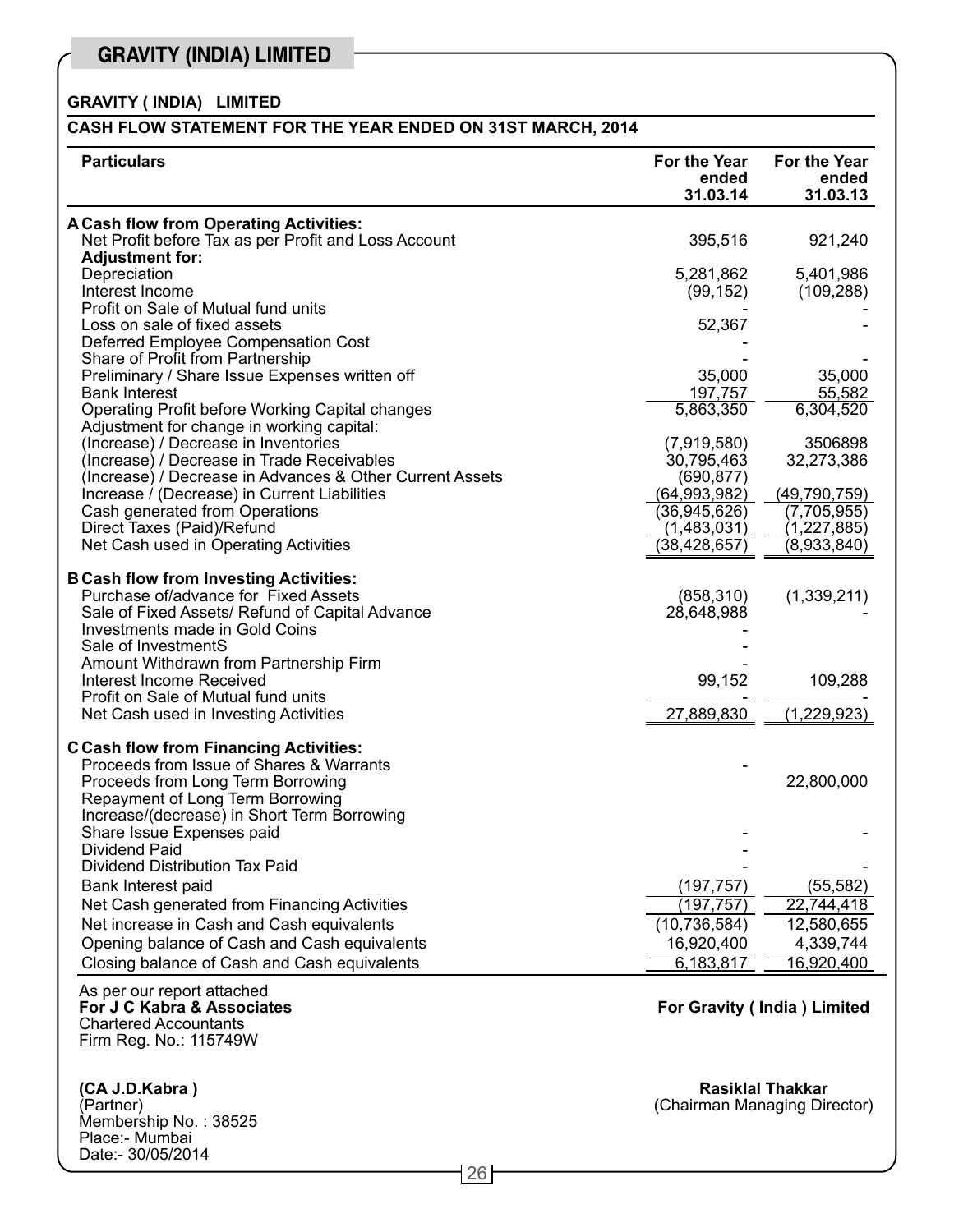#### **CASH FLOW STATEMENT FOR THE YEAR ENDED ON 31ST MARCH, 2014**

| Particulars                                                             | For the Year<br>ended<br>31.03.14 | <b>For the Year</b><br>ended<br>31.03.13 |
|-------------------------------------------------------------------------|-----------------------------------|------------------------------------------|
| <b>A Cash flow from Operating Activities:</b>                           |                                   |                                          |
| Net Profit before Tax as per Profit and Loss Account                    | 395,516                           | 921,240                                  |
| <b>Adjustment for:</b>                                                  |                                   |                                          |
| Depreciation                                                            | 5,281,862                         | 5,401,986                                |
| Interest Income                                                         | (99, 152)                         | (109, 288)                               |
| Profit on Sale of Mutual fund units                                     |                                   |                                          |
| Loss on sale of fixed assets                                            | 52,367                            |                                          |
| Deferred Employee Compensation Cost<br>Share of Profit from Partnership |                                   |                                          |
| Preliminary / Share Issue Expenses written off                          | 35,000                            | 35,000                                   |
| <b>Bank Interest</b>                                                    | 197,757                           | 55,582                                   |
| Operating Profit before Working Capital changes                         | 5,863,350                         | 6,304,520                                |
| Adjustment for change in working capital:                               |                                   |                                          |
| (Increase) / Decrease in Inventories                                    | (7,919,580)                       | 3506898                                  |
| (Increase) / Decrease in Trade Receivables                              | 30,795,463                        | 32,273,386                               |
| (Increase) / Decrease in Advances & Other Current Assets                | (690, 877)                        |                                          |
| Increase / (Decrease) in Current Liabilities                            | (64,993,982)                      | (49,790,759)                             |
| Cash generated from Operations                                          | (36,945,626)                      | (7,705,955)                              |
| Direct Taxes (Paid)/Refund                                              | (1,483,031)                       | (1,227,885)                              |
| Net Cash used in Operating Activities                                   | (38,428,657)                      | (8,933,840)                              |
| <b>B Cash flow from Investing Activities:</b>                           |                                   |                                          |
| Purchase of/advance for Fixed Assets                                    | (858, 310)                        | (1,339,211)                              |
| Sale of Fixed Assets/ Refund of Capital Advance                         | 28,648,988                        |                                          |
| Investments made in Gold Coins                                          |                                   |                                          |
| Sale of InvestmentS                                                     |                                   |                                          |
| Amount Withdrawn from Partnership Firm                                  |                                   |                                          |
| Interest Income Received                                                | 99,152                            | 109,288                                  |
| Profit on Sale of Mutual fund units                                     |                                   |                                          |
| Net Cash used in Investing Activities                                   | 27,889,830                        | (1,229,923)                              |
| <b>C Cash flow from Financing Activities:</b>                           |                                   |                                          |
| Proceeds from Issue of Shares & Warrants                                |                                   |                                          |
| Proceeds from Long Term Borrowing                                       |                                   | 22,800,000                               |
| Repayment of Long Term Borrowing                                        |                                   |                                          |
| Increase/(decrease) in Short Term Borrowing                             |                                   |                                          |
| Share Issue Expenses paid                                               |                                   |                                          |
| Dividend Paid                                                           |                                   |                                          |
| Dividend Distribution Tax Paid                                          |                                   |                                          |
| Bank Interest paid                                                      | (197, 757)                        | (55, 582)                                |
| Net Cash generated from Financing Activities                            | (197, 757)                        | 22,744,418                               |
| Net increase in Cash and Cash equivalents                               | (10, 736, 584)                    | 12,580,655                               |
| Opening balance of Cash and Cash equivalents                            | 16,920,400                        | 4,339,744                                |
| Closing balance of Cash and Cash equivalents                            | 6,183,817                         | 16,920,400                               |

As per our report attached<br>For J C Kabra & Associates Chartered Accountants Firm Reg. No.: 115749W

Membership No. : 38525 Place:- Mumbai Date:- 30/05/2014

**For Gravity ( India ) Limited** 

**(CA J.D.Kabra ) Rasiklal Thakkar** (Chairman Managing Director)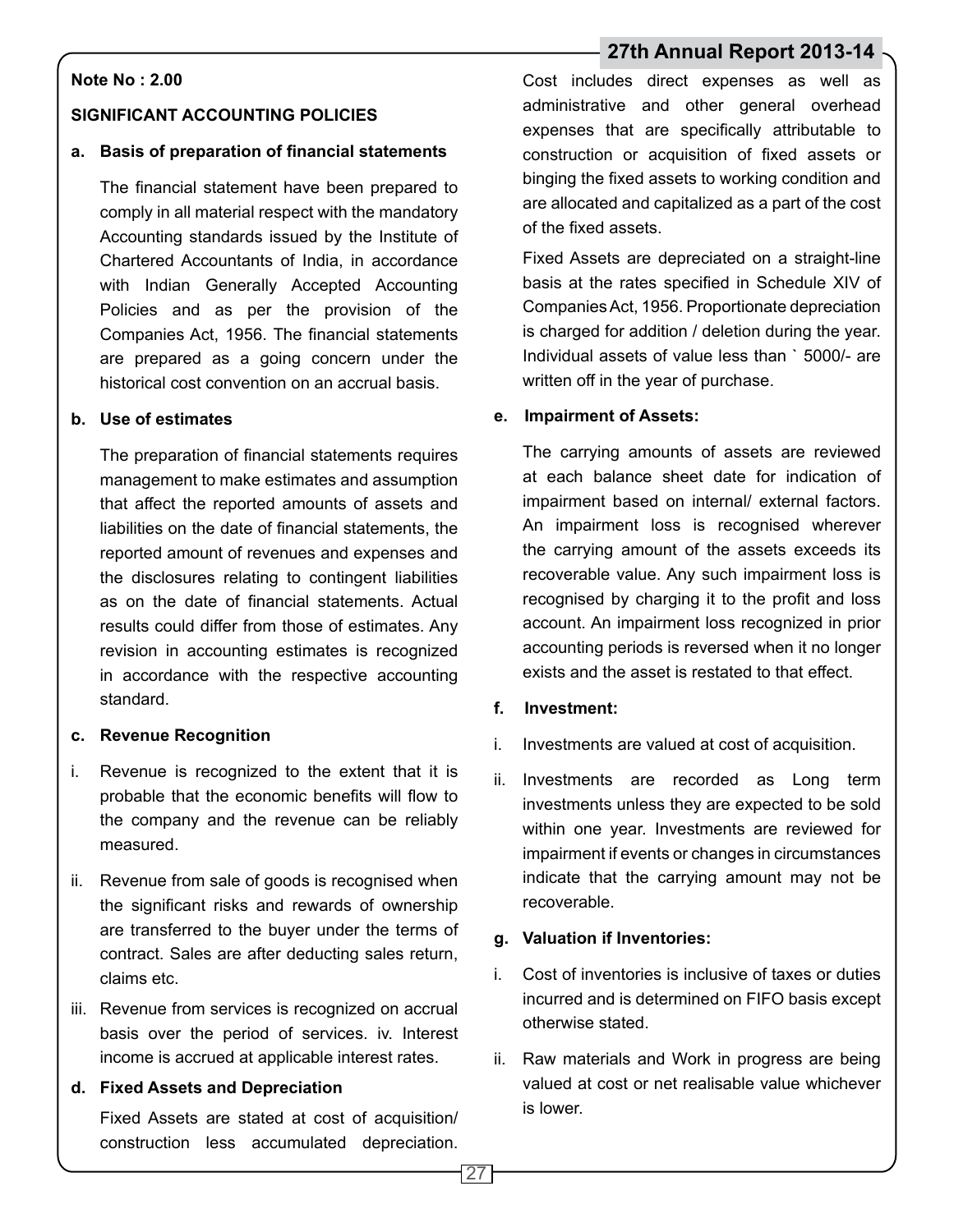## **27th Annual Report 2013-14**

#### **Note No : 2.00**

#### **SIGNIFICANT ACCOUNTING POLICIES**

#### **a. Basis of preparation of financial statements**

The financial statement have been prepared to comply in all material respect with the mandatory Accounting standards issued by the Institute of Chartered Accountants of India, in accordance with Indian Generally Accepted Accounting Policies and as per the provision of the Companies Act, 1956. The financial statements are prepared as a going concern under the historical cost convention on an accrual basis.

#### **b. Use of estimates**

The preparation of financial statements requires management to make estimates and assumption that affect the reported amounts of assets and liabilities on the date of financial statements, the reported amount of revenues and expenses and the disclosures relating to contingent liabilities as on the date of financial statements. Actual results could differ from those of estimates. Any revision in accounting estimates is recognized in accordance with the respective accounting standard.

#### **c. Revenue Recognition**

- i. Revenue is recognized to the extent that it is probable that the economic benefits will flow to the company and the revenue can be reliably measured.
- ii. Revenue from sale of goods is recognised when the significant risks and rewards of ownership are transferred to the buyer under the terms of contract. Sales are after deducting sales return, claims etc.
- iii. Revenue from services is recognized on accrual basis over the period of services. iv. Interest income is accrued at applicable interest rates.

#### **d. Fixed Assets and Depreciation**

Fixed Assets are stated at cost of acquisition/ construction less accumulated depreciation.

Cost includes direct expenses as well as administrative and other general overhead expenses that are specifically attributable to construction or acquisition of fixed assets or binging the fixed assets to working condition and are allocated and capitalized as a part of the cost of the fixed assets.

Fixed Assets are depreciated on a straight-line basis at the rates specified in Schedule XIV of Companies Act, 1956. Proportionate depreciation is charged for addition / deletion during the year. Individual assets of value less than ` 5000/- are written off in the year of purchase.

#### **e. Impairment of Assets:**

The carrying amounts of assets are reviewed at each balance sheet date for indication of impairment based on internal/ external factors. An impairment loss is recognised wherever the carrying amount of the assets exceeds its recoverable value. Any such impairment loss is recognised by charging it to the profit and loss account. An impairment loss recognized in prior accounting periods is reversed when it no longer exists and the asset is restated to that effect.

#### **f. Investment:**

- i. Investments are valued at cost of acquisition.
- ii. Investments are recorded as Long term investments unless they are expected to be sold within one year. Investments are reviewed for impairment if events or changes in circumstances indicate that the carrying amount may not be recoverable.

#### **g. Valuation if Inventories:**

- i. Cost of inventories is inclusive of taxes or duties incurred and is determined on FIFO basis except otherwise stated.
- ii. Raw materials and Work in progress are being valued at cost or net realisable value whichever is lower.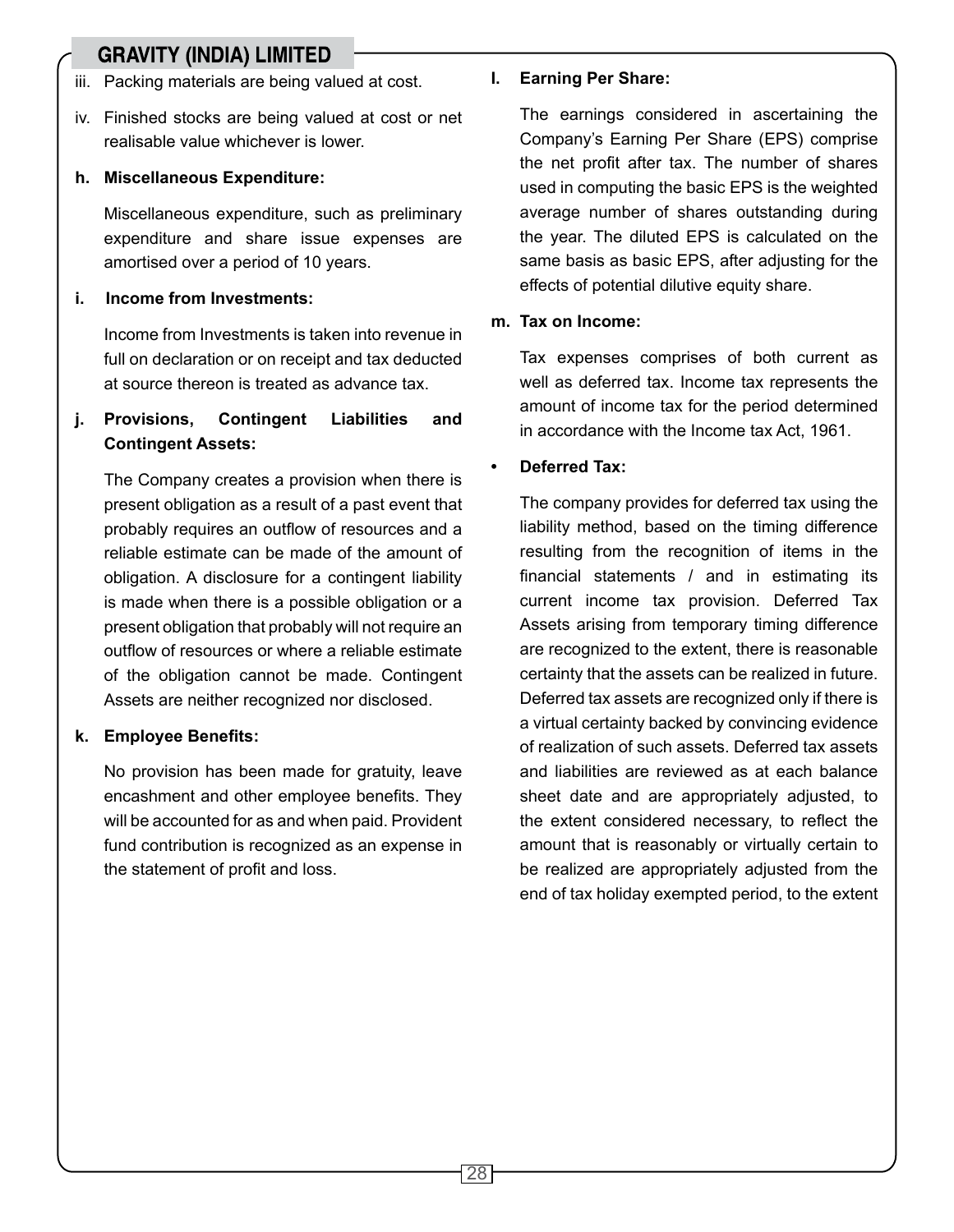- iii. Packing materials are being valued at cost.
- iv. Finished stocks are being valued at cost or net realisable value whichever is lower.

#### **h. Miscellaneous Expenditure:**

Miscellaneous expenditure, such as preliminary expenditure and share issue expenses are amortised over a period of 10 years.

#### **i. Income from Investments:**

Income from Investments is taken into revenue in full on declaration or on receipt and tax deducted at source thereon is treated as advance tax.

#### **j. Provisions, Contingent Liabilities and Contingent Assets:**

The Company creates a provision when there is present obligation as a result of a past event that probably requires an outflow of resources and a reliable estimate can be made of the amount of obligation. A disclosure for a contingent liability is made when there is a possible obligation or a present obligation that probably will not require an outflow of resources or where a reliable estimate of the obligation cannot be made. Contingent Assets are neither recognized nor disclosed.

#### **k. Employee Benefits:**

No provision has been made for gratuity, leave encashment and other employee benefits. They will be accounted for as and when paid. Provident fund contribution is recognized as an expense in the statement of profit and loss.

#### **I. Earning Per Share:**

The earnings considered in ascertaining the Company's Earning Per Share (EPS) comprise the net profit after tax. The number of shares used in computing the basic EPS is the weighted average number of shares outstanding during the year. The diluted EPS is calculated on the same basis as basic EPS, after adjusting for the effects of potential dilutive equity share.

#### **m. Tax on Income:**

Tax expenses comprises of both current as well as deferred tax. Income tax represents the amount of income tax for the period determined in accordance with the Income tax Act, 1961.

#### **• Deferred Tax:**

The company provides for deferred tax using the liability method, based on the timing difference resulting from the recognition of items in the financial statements / and in estimating its current income tax provision. Deferred Tax Assets arising from temporary timing difference are recognized to the extent, there is reasonable certainty that the assets can be realized in future. Deferred tax assets are recognized only if there is a virtual certainty backed by convincing evidence of realization of such assets. Deferred tax assets and liabilities are reviewed as at each balance sheet date and are appropriately adjusted, to the extent considered necessary, to reflect the amount that is reasonably or virtually certain to be realized are appropriately adjusted from the end of tax holiday exempted period, to the extent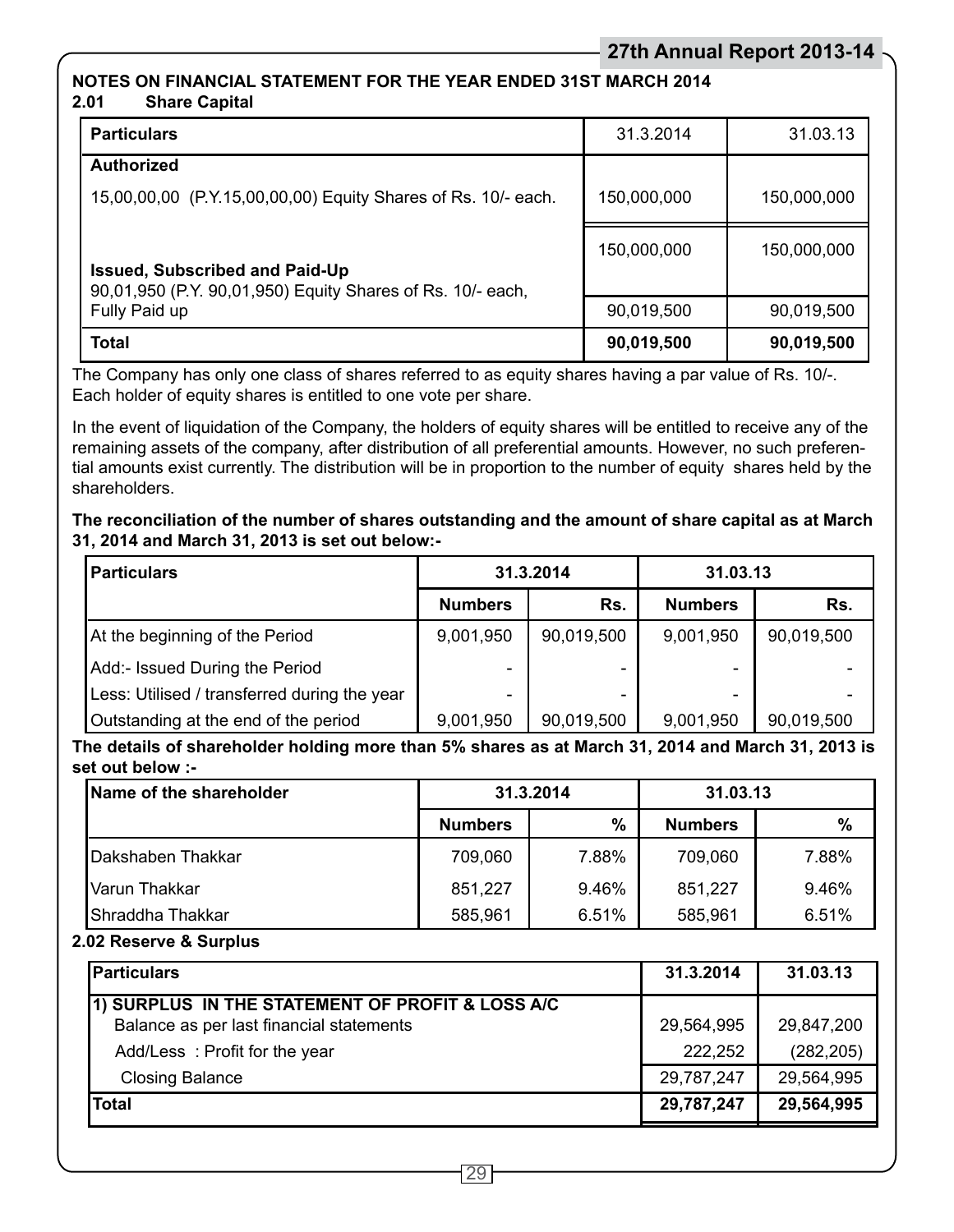#### **NOTES ON financial statement for the year ended 31st March 2014 2.01 Share Capital**

| <b>Particulars</b>                                                                                  | 31.3.2014   | 31.03.13    |
|-----------------------------------------------------------------------------------------------------|-------------|-------------|
| Authorized                                                                                          |             |             |
| 15,00,00,00 (P.Y.15,00,00,00) Equity Shares of Rs. 10/- each.                                       | 150,000,000 | 150,000,000 |
| <b>Issued, Subscribed and Paid-Up</b><br>90,01,950 (P.Y. 90,01,950) Equity Shares of Rs. 10/- each, | 150,000,000 | 150,000,000 |
| Fully Paid up                                                                                       | 90,019,500  | 90,019,500  |
| Total                                                                                               | 90,019,500  | 90,019,500  |

The Company has only one class of shares referred to as equity shares having a par value of Rs. 10/-. Each holder of equity shares is entitled to one vote per share.

In the event of liquidation of the Company, the holders of equity shares will be entitled to receive any of the remaining assets of the company, after distribution of all preferential amounts. However, no such preferential amounts exist currently. The distribution will be in proportion to the number of equity shares held by the shareholders.

#### **The reconciliation of the number of shares outstanding and the amount of share capital as at March 31, 2014 and March 31, 2013 is set out below:-**

| <b>Particulars</b>                           |                | 31.3.2014  | 31.03.13       |            |
|----------------------------------------------|----------------|------------|----------------|------------|
|                                              | <b>Numbers</b> | Rs.        | <b>Numbers</b> | Rs.        |
| At the beginning of the Period               | 9,001,950      | 90,019,500 | 9,001,950      | 90,019,500 |
| Add:- Issued During the Period               |                |            |                |            |
| Less: Utilised / transferred during the year |                |            |                |            |
| Outstanding at the end of the period         | 9,001,950      | 90,019,500 | 9,001,950      | 90,019,500 |

**The details of shareholder holding more than 5% shares as at March 31, 2014 and March 31, 2013 is set out below :-**

| Name of the shareholder |                | 31.3.2014 | 31.03.13       |       |
|-------------------------|----------------|-----------|----------------|-------|
|                         | <b>Numbers</b> | %         | <b>Numbers</b> | %     |
| l Dakshaben Thakkar     | 709.060        | 7.88%     | 709.060        | 7.88% |
| Varun Thakkar           | 851.227        | 9.46%     | 851.227        | 9.46% |
| İShraddha Thakkar       | 585.961        | 6.51%     | 585,961        | 6.51% |

#### **2.02 Reserve & Surplus**

| <b>Particulars</b>                               | 31.3.2014  | 31.03.13   |
|--------------------------------------------------|------------|------------|
| 1) SURPLUS IN THE STATEMENT OF PROFIT & LOSS A/C |            |            |
| Balance as per last financial statements         | 29,564,995 | 29.847.200 |
| Add/Less: Profit for the year                    | 222.252    | (282, 205) |
| Closing Balance                                  | 29.787.247 | 29.564.995 |
| Total                                            | 29,787,247 | 29,564,995 |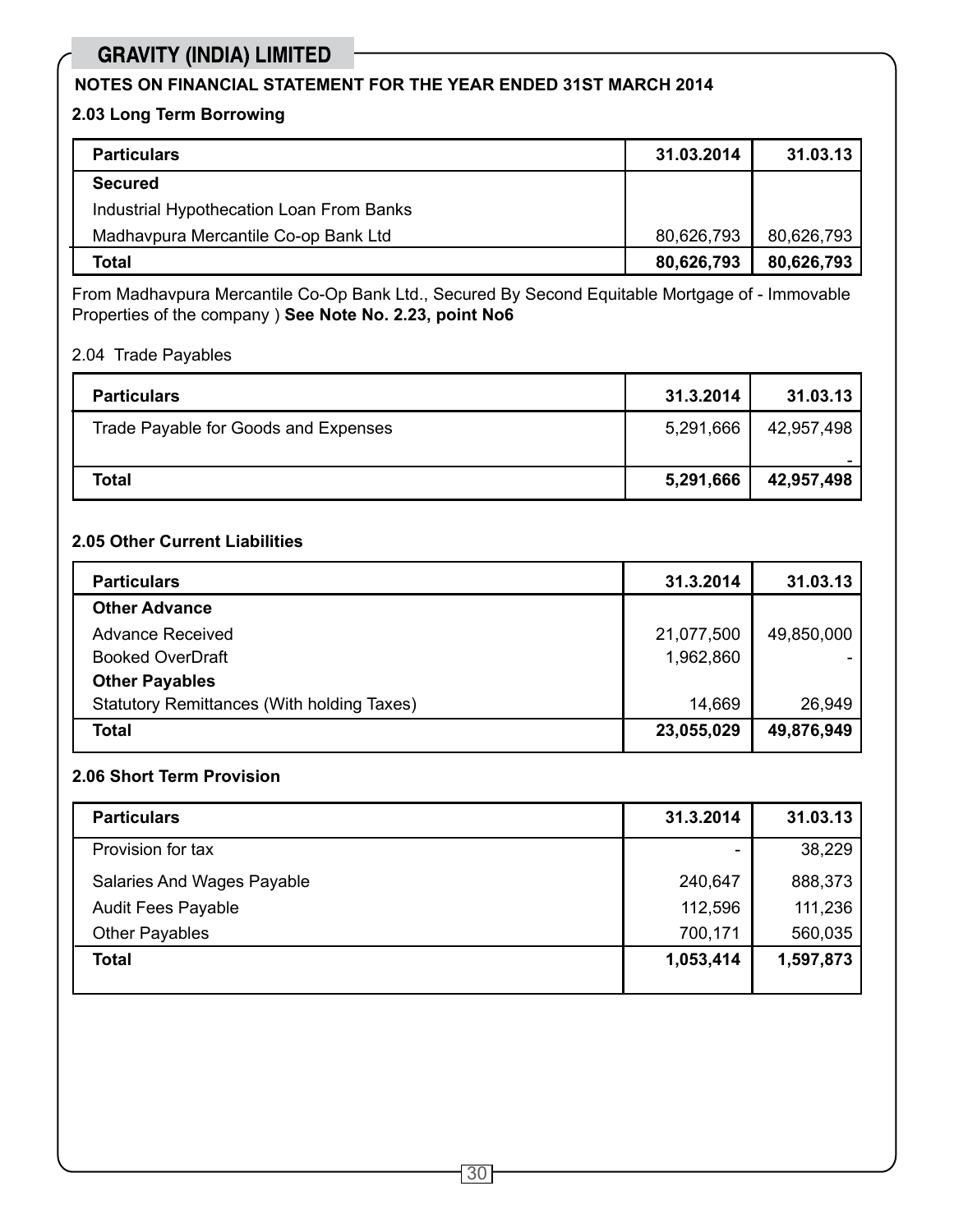## **NOTES ON financial statement for the year ended 31st March 2014**

#### **2.03 Long Term Borrowing**

| <b>Particulars</b>                       | 31.03.2014 | 31.03.13   |
|------------------------------------------|------------|------------|
| <b>Secured</b>                           |            |            |
| Industrial Hypothecation Loan From Banks |            |            |
| Madhavpura Mercantile Co-op Bank Ltd     | 80.626.793 | 80.626.793 |
| Total                                    | 80,626,793 | 80,626,793 |

From Madhavpura Mercantile Co-Op Bank Ltd., Secured By Second Equitable Mortgage of - Immovable Properties of the company ) **See Note No. 2.23, point No6** 

#### 2.04 Trade Payables

| Trade Payable for Goods and Expenses |           |            |
|--------------------------------------|-----------|------------|
|                                      | 5,291,666 | 42,957,498 |
| Total                                | 5,291,666 | 42,957,498 |

#### **2.05 Other Current Liabilities**

| <b>Particulars</b>                         | 31.3.2014  | 31.03.13   |
|--------------------------------------------|------------|------------|
| <b>Other Advance</b>                       |            |            |
| Advance Received                           | 21,077,500 | 49,850,000 |
| <b>Booked OverDraft</b>                    | 1,962,860  |            |
| <b>Other Payables</b>                      |            |            |
| Statutory Remittances (With holding Taxes) | 14.669     | 26.949     |
| Total                                      | 23,055,029 | 49,876,949 |

#### ֡֬֜֡֡ **2.06 Short Term Provision**

| <b>Particulars</b>         | 31.3.2014 | 31.03.13  |
|----------------------------|-----------|-----------|
| Provision for tax          |           | 38,229    |
| Salaries And Wages Payable | 240,647   | 888,373   |
| <b>Audit Fees Payable</b>  | 112,596   | 111,236   |
| <b>Other Payables</b>      | 700,171   | 560,035   |
| Total                      | 1,053,414 | 1,597,873 |
|                            |           |           |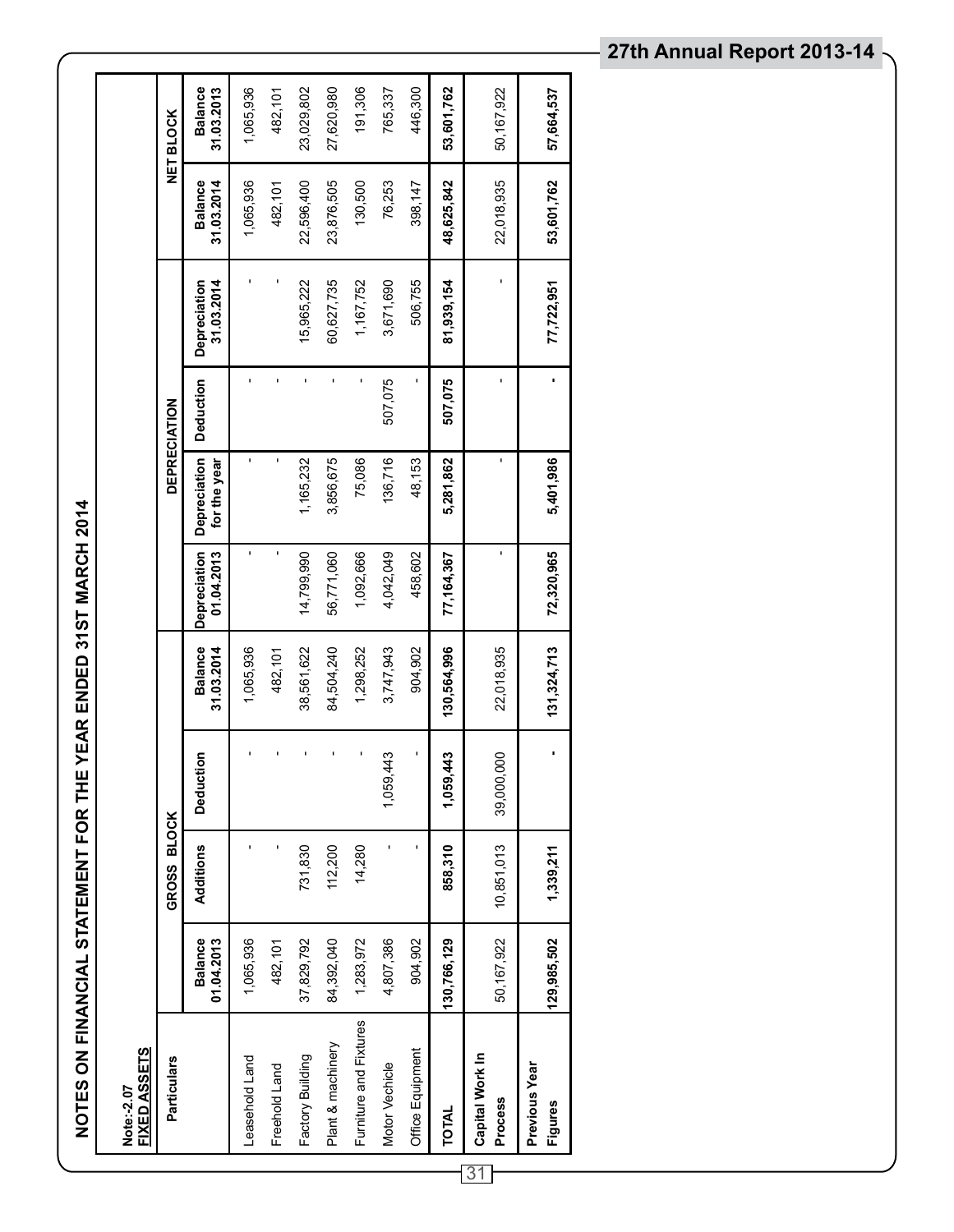NOTES ON FINANCIAL STATEMENT FOR THE YEAR ENDED 31ST MARCH 2014 **NOTES ON financial statement for the year ended 31st March 2014**

Nota: 207 **Note:-2.07**

| <b>FIXED ASSETS</b><br>//r7-:30N |                                 |             |            |                              |                            |                              |                     |                            |                       |                              |
|----------------------------------|---------------------------------|-------------|------------|------------------------------|----------------------------|------------------------------|---------------------|----------------------------|-----------------------|------------------------------|
| Particulars                      |                                 | GROSS BLOCK |            |                              |                            |                              | <b>DEPRECIATION</b> |                            |                       | NET BLOCK                    |
|                                  | <b>Balance</b><br>.04.2013<br>ξ | Additions   | Deduction  | <b>Balance</b><br>31.03.2014 | Depreciation<br>01.04.2013 | Depreciation<br>for the year | Deduction           | 31.03.2014<br>Depreciation | Balance<br>31.03.2014 | <b>Balance</b><br>31.03.2013 |
| Leasehold Land                   | ,065,936                        |             |            | 1,065,936                    |                            |                              |                     |                            | 1,065,936             | 1,065,936                    |
| Freehold Land                    | 482,101                         |             |            | 482, 101                     |                            |                              |                     |                            | 482,101               | 482, 101                     |
| Factory Building                 | 829,792<br>37,                  | 731,830     |            | 38,561,622                   | 14,799,990                 | 1,165,232                    |                     | 15,965,222                 | 22,596,400            | 23,029,802                   |
| Plant & machinery                | 84,392,040                      | 112,200     |            | 84,504,240                   | 56,771,060                 | 3,856,675                    |                     | 60,627,735                 | 23,876,505            | 27,620,980                   |
| Furniture and Fixtures           | ,283,972                        | 14,280      |            | 1,298,252                    | 1,092,666                  | 75,086                       |                     | 1,167,752                  | 130,500               | 191,306                      |
| Motor Vechicle                   | 807,386                         |             | 1,059,443  | 3,747,943                    | 4,042,049                  | 136,716                      | 507,075             | 3,671,690                  | 76,253                | 765,337                      |
| Office Equipment                 | 904,902                         |             |            | 904,902                      | 458,602                    | 48,153                       |                     | 506,755                    | 398,147               | 446,300                      |
| TOTAL                            | 130,766,129                     | 858,310     | 1,059,443  | 130,564,996                  | 77,164,367                 | 5,281,862                    | 507,075             | 81,939,154                 | 48,625,842            | 53,601,762                   |
| Capital Work In<br>Process       | 50,167,922                      | 10,851,013  | 39,000,000 | 22,018,935                   |                            |                              |                     |                            | 22,018,935            | 50, 167, 922                 |
| Previous Year<br>Figures         | 129,985,502                     | 1,339,211   |            | 131,324,713                  | 72,320,965                 | 5,401,986                    |                     | 77,722,951                 | 53,601,762            | 57,664,537                   |
|                                  |                                 |             |            |                              |                            |                              |                     |                            |                       |                              |

## **27th Annual Report 2013-14**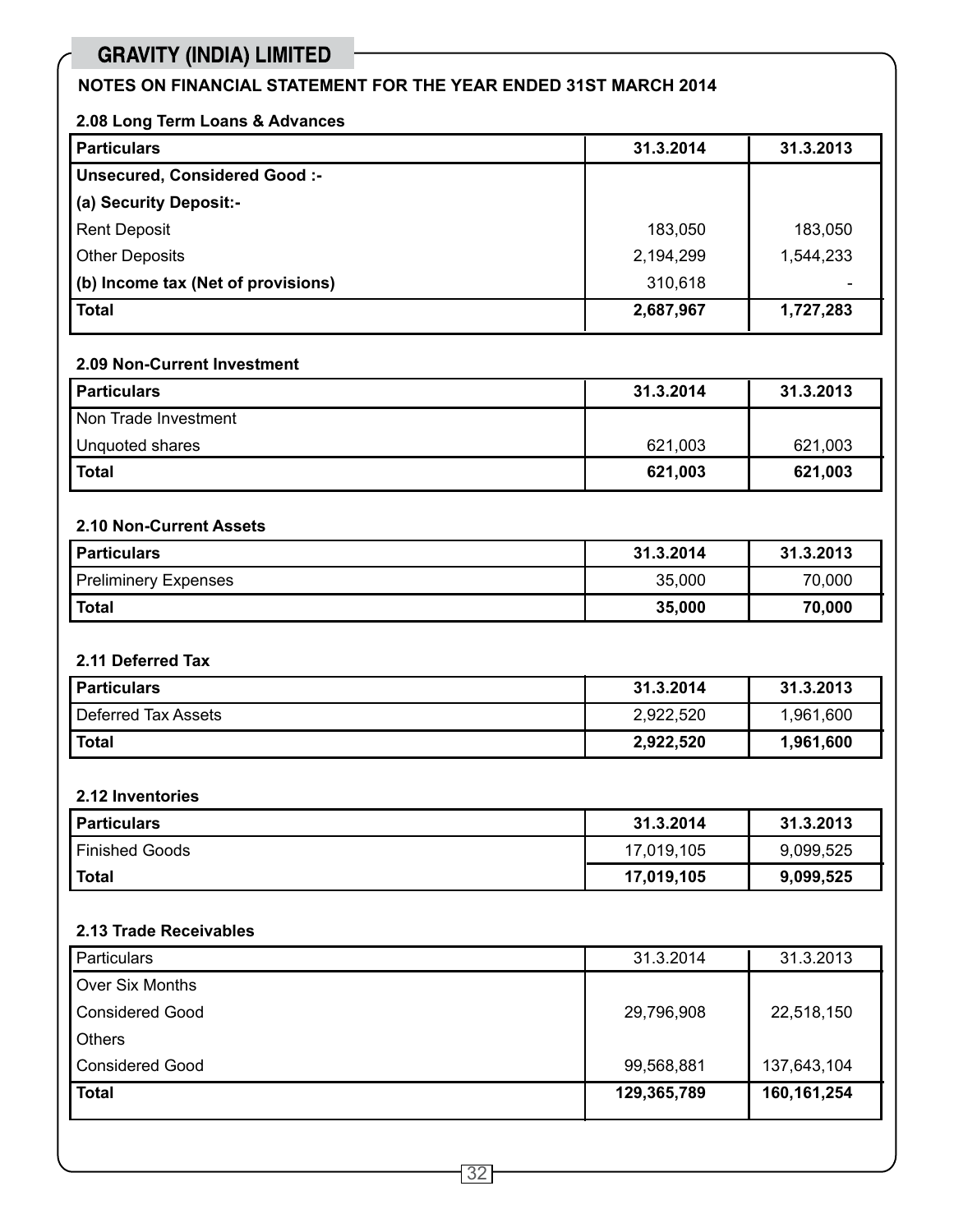## **NOTES ON financial statement for the year ended 31st March 2014**

#### **2.08 Long Term Loans & Advances**

| l Particulars                      | 31.3.2014 | 31.3.2013 |
|------------------------------------|-----------|-----------|
| Unsecured, Considered Good :-      |           |           |
| (a) Security Deposit:-             |           |           |
| Rent Deposit                       | 183.050   | 183.050   |
| Other Deposits                     | 2,194,299 | 1.544.233 |
| (b) Income tax (Net of provisions) | 310.618   |           |
| l Total                            | 2,687,967 | 1,727,283 |

#### **2.09 Non-Current Investment**

ֺֺ

| <b>Particulars</b>     | 31.3.2014 | 31.3.2013 |
|------------------------|-----------|-----------|
| i Non Trade Investment |           |           |
| Unquoted shares        | 621.003   | 621,003   |
| Total                  | 621.003   | 621,003   |

#### **2.10 Non-Current Assets**

| <b>Particulars</b>   | 31.3.2014 | 31.3.2013 |
|----------------------|-----------|-----------|
| Preliminery Expenses | 35,000    | 70.000    |
| <b>Total</b>         | 35,000    | 70.000    |

## **2.11 Deferred Tax**

| <b>Particulars</b>  | 31.3.2014 | 31.3.2013 |
|---------------------|-----------|-----------|
| Deferred Tax Assets | 2.922.520 | 1,961,600 |
| Total               | 2,922,520 | 1.961.600 |

#### **2.12 Inventories**

| l Particulars  | 31.3.2014  | 31.3.2013 |
|----------------|------------|-----------|
| Finished Goods | 17.019.105 | 9,099,525 |
| ∣ Total        | 17.019.105 | 9,099,525 |

#### **2.13 Trade Receivables**

| Particulars            | 31.3.2014   | 31.3.2013   |
|------------------------|-------------|-------------|
| Over Six Months        |             |             |
| <b>Considered Good</b> | 29,796,908  | 22,518,150  |
| Others                 |             |             |
| <b>Considered Good</b> | 99,568,881  | 137,643,104 |
| <b>Total</b>           | 129,365,789 | 160,161,254 |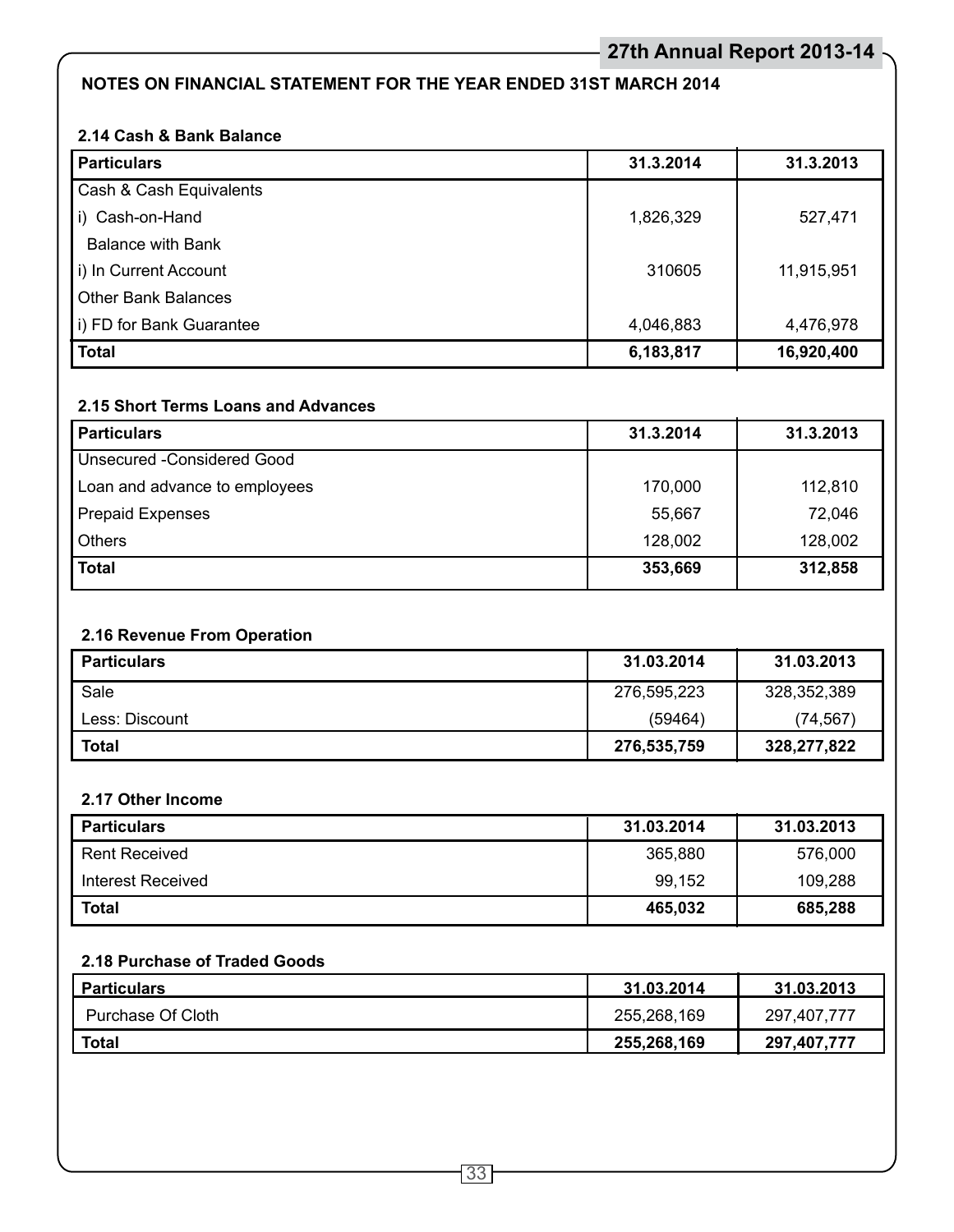#### **NOTES ON financial statement for the year ended 31st March 2014**

#### **2.14 Cash & Bank Balance**

| <b>Particulars</b>       | 31.3.2014 | 31.3.2013  |
|--------------------------|-----------|------------|
| Cash & Cash Equivalents  |           |            |
| i) Cash-on-Hand          | 1,826,329 | 527,471    |
| <b>Balance with Bank</b> |           |            |
| l i) In Current Account  | 310605    | 11,915,951 |
| Other Bank Balances      |           |            |
| i) FD for Bank Guarantee | 4,046,883 | 4,476,978  |
| <b>Total</b>             | 6,183,817 | 16,920,400 |

#### **2.15 Short Terms Loans and Advances**

| <b>Particulars</b>            | 31.3.2014 | 31.3.2013 |
|-------------------------------|-----------|-----------|
| Unsecured -Considered Good    |           |           |
| Loan and advance to employees | 170.000   | 112,810   |
| <b>Prepaid Expenses</b>       | 55.667    | 72,046    |
| Others                        | 128.002   | 128,002   |
| <b>Total</b>                  | 353,669   | 312,858   |

#### **2.16 Revenue From Operation**

| <b>Particulars</b> | 31.03.2014  | 31.03.2013  |
|--------------------|-------------|-------------|
| Sale               | 276.595.223 | 328,352,389 |
| Less: Discount     | (59464)     | (74,567)    |
| <b>Total</b>       | 276,535,759 | 328,277,822 |

#### **2.17 Other Income**

| <b>Particulars</b>   | 31.03.2014 | 31.03.2013 |
|----------------------|------------|------------|
| <b>Rent Received</b> | 365.880    | 576,000    |
| Interest Received    | 99.152     | 109,288    |
| <b>Total</b>         | 465.032    | 685,288    |

## **2.18 Purchase of Traded Goods**

| <b>Particulars</b> | 31.03.2014  | 31.03.2013  |
|--------------------|-------------|-------------|
| Purchase Of Cloth  | 255,268,169 | 297.407.777 |
| Total              | 255,268,169 | 297.407.777 |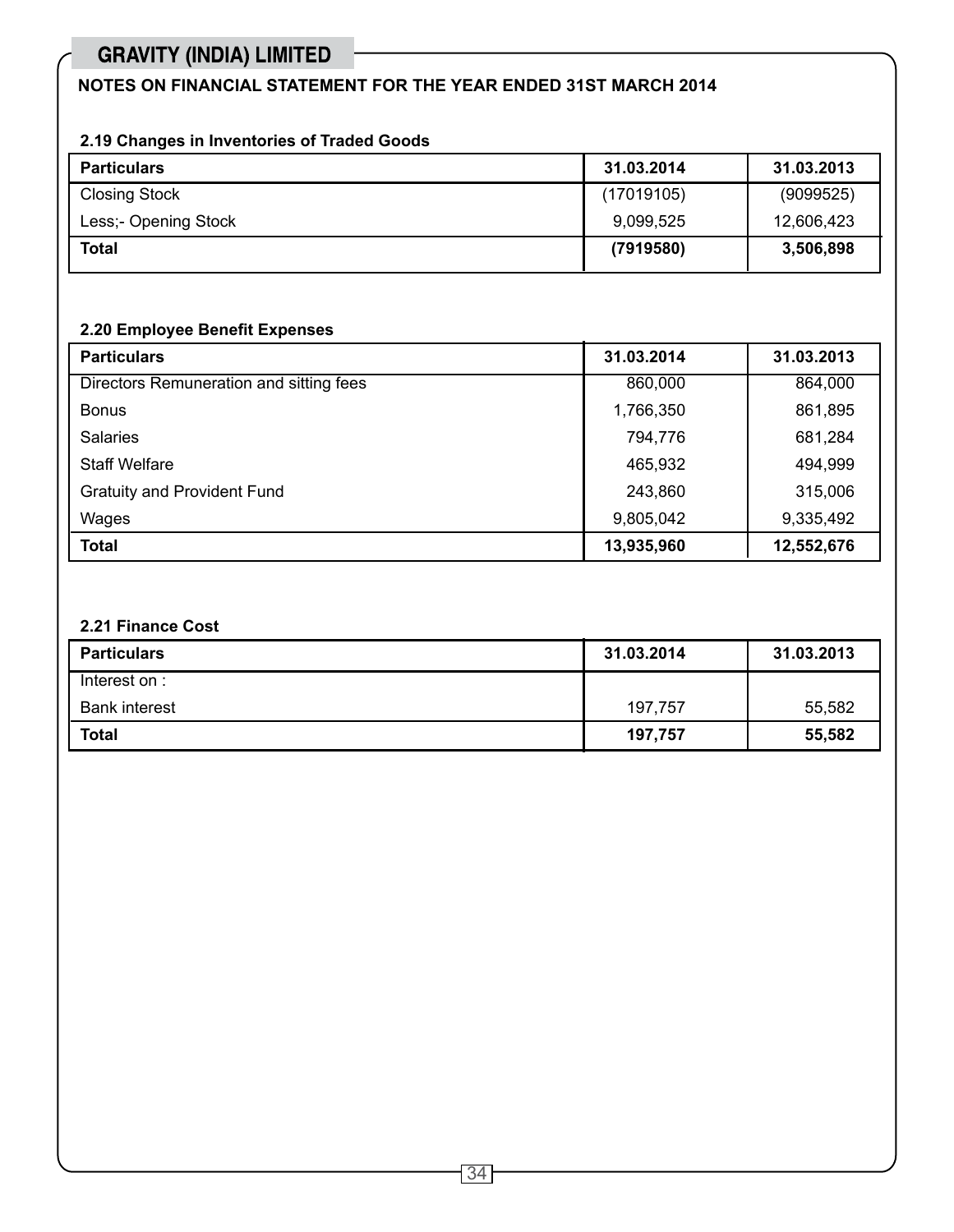## **NOTES ON financial statement for the year ended 31st March 2014**

#### **2.19 Changes in Inventories of Traded Goods**

| <b>Particulars</b>   | 31.03.2014 | 31.03.2013 |
|----------------------|------------|------------|
| Closing Stock        | (17019105) | (9099525)  |
| Less:- Opening Stock | 9.099.525  | 12,606,423 |
| Total                | (7919580)  | 3,506,898  |

#### **2.20 Employee Benefit Expenses**

| <b>Particulars</b>                      | 31.03.2014 | 31.03.2013 |
|-----------------------------------------|------------|------------|
| Directors Remuneration and sitting fees | 860,000    | 864,000    |
| <b>Bonus</b>                            | 1,766,350  | 861,895    |
| Salaries                                | 794,776    | 681,284    |
| <b>Staff Welfare</b>                    | 465,932    | 494,999    |
| Gratuity and Provident Fund             | 243,860    | 315,006    |
| Wages                                   | 9,805,042  | 9,335,492  |
| <b>Total</b>                            | 13,935,960 | 12,552,676 |

#### **2.21 Finance Cost**

| <b>Particulars</b>   | 31.03.2014 | 31.03.2013 |
|----------------------|------------|------------|
| Interest on:         |            |            |
| <b>Bank interest</b> | 197.757    | 55.582     |
| <b>Total</b>         | 197,757    | 55,582     |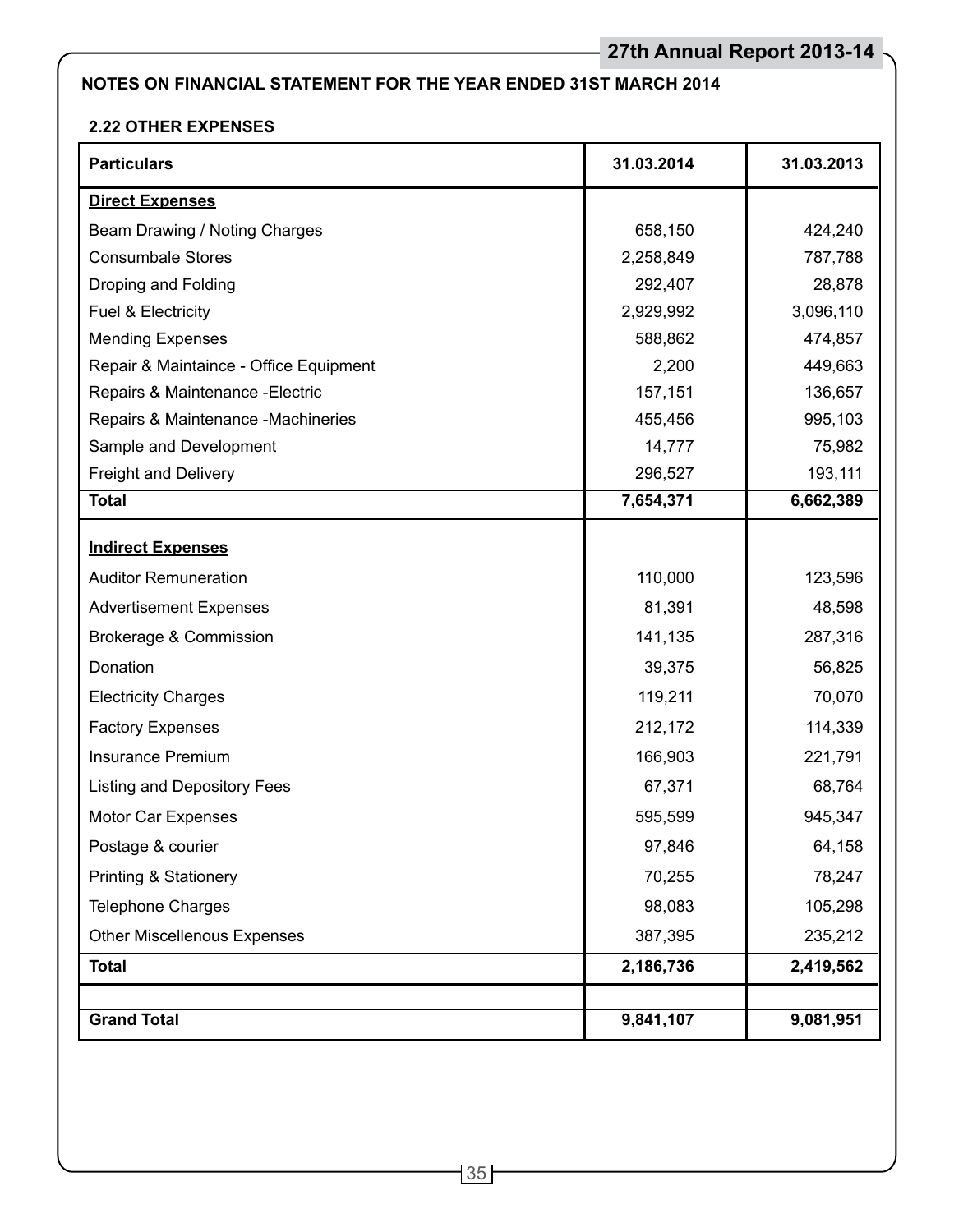## **NOTES ON financial statement for the year ended 31st March 2014**

#### **2.22 Other Expenses**

| <b>Particulars</b>                     | 31.03.2014 | 31.03.2013 |
|----------------------------------------|------------|------------|
| <b>Direct Expenses</b>                 |            |            |
| Beam Drawing / Noting Charges          | 658,150    | 424,240    |
| <b>Consumbale Stores</b>               | 2,258,849  | 787,788    |
| Droping and Folding                    | 292,407    | 28,878     |
| Fuel & Electricity                     | 2,929,992  | 3,096,110  |
| <b>Mending Expenses</b>                | 588,862    | 474,857    |
| Repair & Maintaince - Office Equipment | 2,200      | 449,663    |
| Repairs & Maintenance - Electric       | 157,151    | 136,657    |
| Repairs & Maintenance -Machineries     | 455,456    | 995,103    |
| Sample and Development                 | 14,777     | 75,982     |
| Freight and Delivery                   | 296,527    | 193,111    |
| <b>Total</b>                           | 7,654,371  | 6,662,389  |
| <b>Indirect Expenses</b>               |            |            |
| <b>Auditor Remuneration</b>            | 110,000    | 123,596    |
| <b>Advertisement Expenses</b>          | 81,391     | 48,598     |
| Brokerage & Commission                 | 141,135    | 287,316    |
| Donation                               | 39,375     | 56,825     |
| <b>Electricity Charges</b>             | 119,211    | 70,070     |
| <b>Factory Expenses</b>                | 212,172    | 114,339    |
| Insurance Premium                      | 166,903    | 221,791    |
| Listing and Depository Fees            | 67,371     | 68,764     |
| Motor Car Expenses                     | 595,599    | 945,347    |
| Postage & courier                      | 97,846     | 64,158     |
| Printing & Stationery                  | 70,255     | 78,247     |
| Telephone Charges                      | 98,083     | 105,298    |
| Other Miscellenous Expenses            | 387,395    | 235,212    |
| Total                                  | 2,186,736  | 2,419,562  |
|                                        |            |            |
| <b>Grand Total</b>                     | 9,841,107  | 9,081,951  |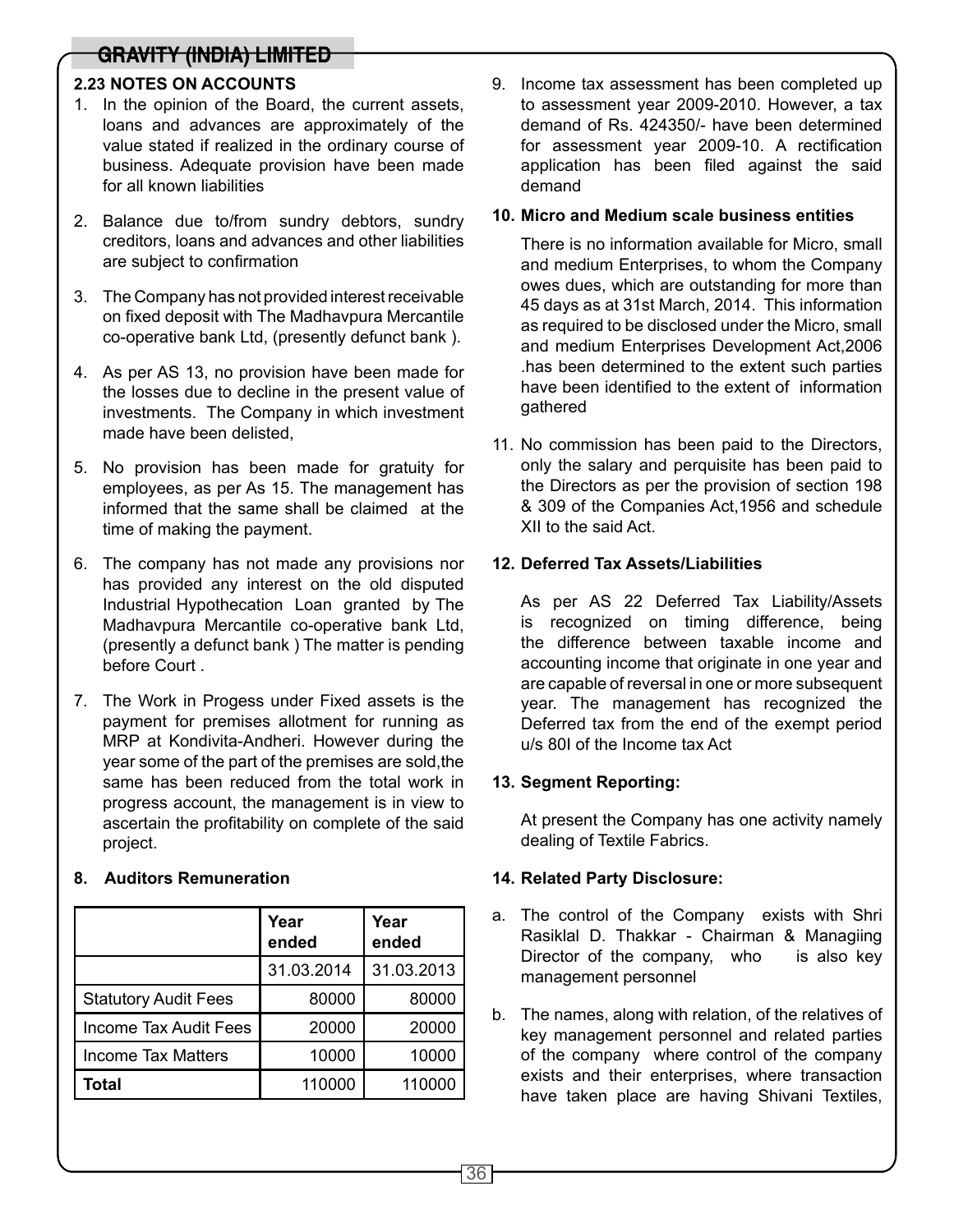#### **2.23 NOTES ON ACCOUNTS**

- 1. In the opinion of the Board, the current assets, loans and advances are approximately of the value stated if realized in the ordinary course of business. Adequate provision have been made for all known liabilities
- 2. Balance due to/from sundry debtors, sundry creditors, loans and advances and other liabilities are subject to confirmation
- 3. The Company has not provided interest receivable on fixed deposit with The Madhavpura Mercantile co-operative bank Ltd, (presently defunct bank ).
- 4. As per AS 13, no provision have been made for the losses due to decline in the present value of investments. The Company in which investment made have been delisted,
- 5. No provision has been made for gratuity for employees, as per As 15. The management has informed that the same shall be claimed at the time of making the payment.
- 6. The company has not made any provisions nor has provided any interest on the old disputed Industrial Hypothecation Loan granted by The Madhavpura Mercantile co-operative bank Ltd, (presently a defunct bank ) The matter is pending before Court .
- 7. The Work in Progess under Fixed assets is the payment for premises allotment for running as MRP at Kondivita-Andheri. However during the year some of the part of the premises are sold,the same has been reduced from the total work in progress account, the management is in view to ascertain the profitability on complete of the said project.

#### **8. Auditors Remuneration**

|                             | Year<br>ended | Year<br>ended |
|-----------------------------|---------------|---------------|
|                             | 31.03.2014    | 31.03.2013    |
| <b>Statutory Audit Fees</b> | 80000         | 80000         |
| Income Tax Audit Fees       | 20000         | 20000         |
| Income Tax Matters          | 10000         | 10000         |
| Total                       | 110000        | 110000        |

9. Income tax assessment has been completed up to assessment year 2009-2010. However, a tax demand of Rs. 424350/- have been determined for assessment year 2009-10. A rectification application has been filed against the said demand

#### **10. Micro and Medium scale business entities**

There is no information available for Micro, small and medium Enterprises, to whom the Company owes dues, which are outstanding for more than 45 days as at 31st March, 2014. This information as required to be disclosed under the Micro, small and medium Enterprises Development Act,2006 .has been determined to the extent such parties have been identified to the extent of information gathered

11. No commission has been paid to the Directors, only the salary and perquisite has been paid to the Directors as per the provision of section 198 & 309 of the Companies Act,1956 and schedule XII to the said Act.

#### **12. Deferred Tax Assets/Liabilities**

As per AS 22 Deferred Tax Liability/Assets is recognized on timing difference, being the difference between taxable income and accounting income that originate in one year and are capable of reversal in one or more subsequent year. The management has recognized the Deferred tax from the end of the exempt period u/s 80I of the Income tax Act

#### **13. Segment Reporting:**

At present the Company has one activity namely dealing of Textile Fabrics.

#### **14. Related Party Disclosure:**

- a. The control of the Company exists with Shri Rasiklal D. Thakkar - Chairman & Managiing Director of the company, who is also key management personnel
- b. The names, along with relation, of the relatives of key management personnel and related parties of the company where control of the company exists and their enterprises, where transaction have taken place are having Shivani Textiles,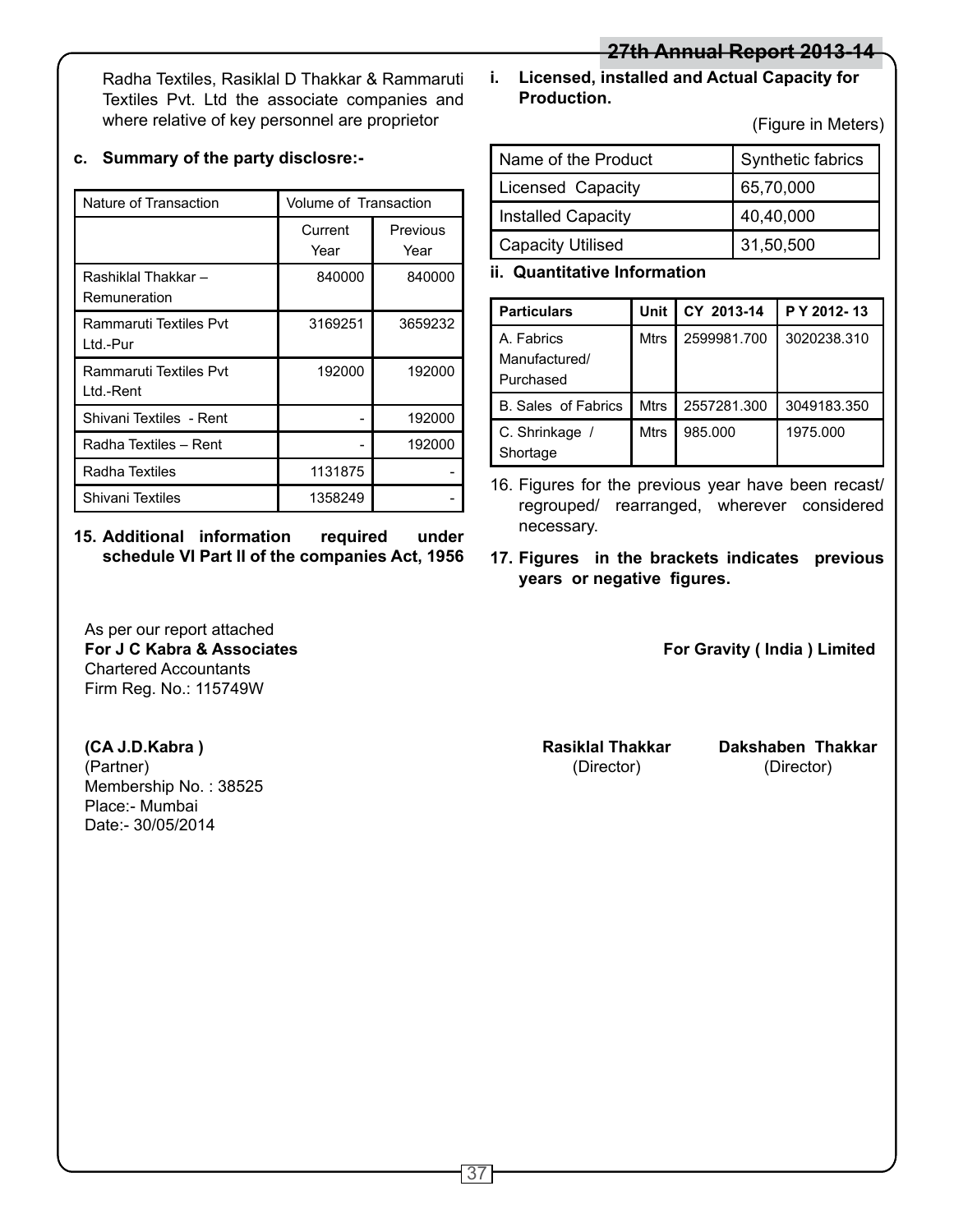## **27th Annual Report 2013-14**

Radha Textiles, Rasiklal D Thakkar & Rammaruti Textiles Pvt. Ltd the associate companies and where relative of key personnel are proprietor

#### **c. Summary of the party disclosre:-**

| Nature of Transaction               | Volume of Transaction |                  |
|-------------------------------------|-----------------------|------------------|
|                                     | Current<br>Year       | Previous<br>Year |
| Rashiklal Thakkar -<br>Remuneration | 840000                | 840000           |
| Rammaruti Textiles Pvt<br>Ltd.-Pur  | 3169251               | 3659232          |
| Rammaruti Textiles Pvt<br>Ltd.-Rent | 192000                | 192000           |
| Shivani Textiles - Rent             |                       | 192000           |
| Radha Textiles - Rent               |                       | 192000           |
| Radha Textiles                      | 1131875               |                  |
| Shivani Textiles                    | 1358249               |                  |

#### **15. Additional information required under schedule VI Part II of the companies Act, 1956**

As per our report attached **For J C Kabra & Associates For Gravity ( India ) Limited**  Chartered Accountants Firm Reg. No.: 115749W

(Partner) (Director) (Director) Membership No. : 38525 Place:- Mumbai Date:- 30/05/2014

#### **i. Licensed, installed and Actual Capacity for Production.**

(Figure in Meters)

| Name of the Product      | Synthetic fabrics |  |
|--------------------------|-------------------|--|
| Licensed Capacity        | 65,70,000         |  |
| Installed Capacity       | 40,40,000         |  |
| <b>Capacity Utilised</b> | 31,50,500         |  |

#### **ii. Quantitative Information**

| <b>Particulars</b>                       | Unit        | CY 2013-14  | P Y 2012-13 |
|------------------------------------------|-------------|-------------|-------------|
| A. Fabrics<br>Manufactured/<br>Purchased | <b>Mtrs</b> | 2599981.700 | 3020238.310 |
| <b>B.</b> Sales of Fabrics               | <b>Mtrs</b> | 2557281.300 | 3049183.350 |
| C. Shrinkage /<br>Shortage               | <b>Mtrs</b> | 985.000     | 1975.000    |

16. Figures for the previous year have been recast/ regrouped/ rearranged, wherever considered necessary.

#### **17. Figures in the brackets indicates previous years or negative figures.**

**(CA J.D.Kabra ) Rasiklal Thakkar Dakshaben Thakkar (Partner) Rasiklal Thakkar Dakshaben Thakkar (Partner) (Director) (Director) (Director)**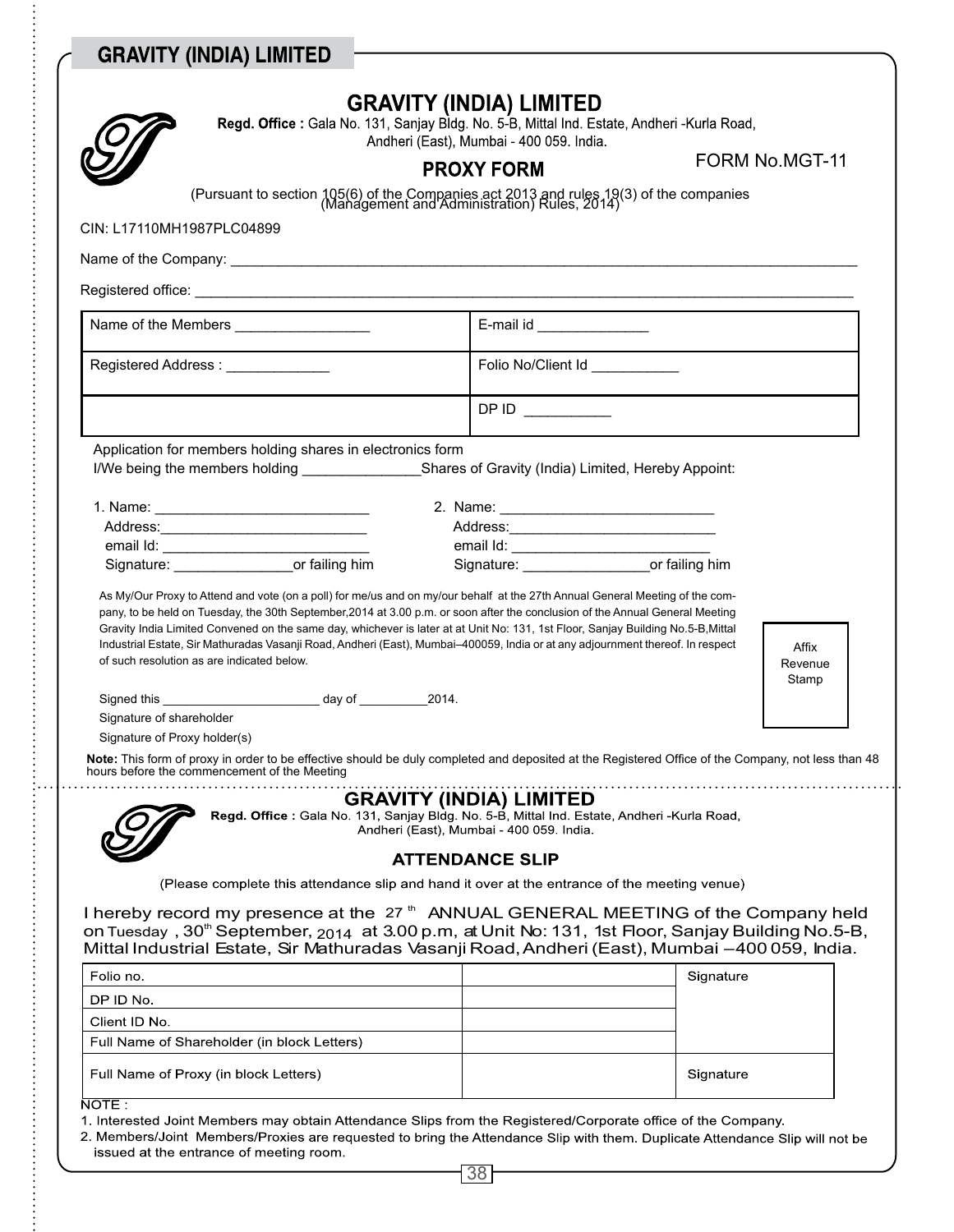## **GRAVITY (INDIA) LIMITED**

Regd. Office : Gala No. 131, Sanjay Bldg. No. 5-B, Mittal Ind. Estate, Andheri -Kurla Road, Andheri (East), Mumbai - 400 059. India.

#### **PROXY FORM**

FORM No.MGT-11

. . . .

| insuant to section 105(6) of the Companies act 2013 and rules 19(3) of the companie |  |
|-------------------------------------------------------------------------------------|--|
|                                                                                     |  |

| CIN: L17110MH1987PLC04899                                                                              |                                                            | (Pursuant to section 105(6) of the Companies act 2013 and rules 19(3) of the companies<br>(Management and Administration) Rules, 2014)                                                                                                                                                                                                                                                                                                                                                                                                                                                                                                                                                    |                           |
|--------------------------------------------------------------------------------------------------------|------------------------------------------------------------|-------------------------------------------------------------------------------------------------------------------------------------------------------------------------------------------------------------------------------------------------------------------------------------------------------------------------------------------------------------------------------------------------------------------------------------------------------------------------------------------------------------------------------------------------------------------------------------------------------------------------------------------------------------------------------------------|---------------------------|
|                                                                                                        |                                                            |                                                                                                                                                                                                                                                                                                                                                                                                                                                                                                                                                                                                                                                                                           |                           |
|                                                                                                        |                                                            |                                                                                                                                                                                                                                                                                                                                                                                                                                                                                                                                                                                                                                                                                           |                           |
| Name of the Members Name of the Members                                                                |                                                            | E-mail id ________________                                                                                                                                                                                                                                                                                                                                                                                                                                                                                                                                                                                                                                                                |                           |
| Registered Address: _____________                                                                      |                                                            | Folio No/Client Id                                                                                                                                                                                                                                                                                                                                                                                                                                                                                                                                                                                                                                                                        |                           |
|                                                                                                        |                                                            | DP ID                                                                                                                                                                                                                                                                                                                                                                                                                                                                                                                                                                                                                                                                                     |                           |
|                                                                                                        | Application for members holding shares in electronics form | I/We being the members holding Shares of Gravity (India) Limited, Hereby Appoint:                                                                                                                                                                                                                                                                                                                                                                                                                                                                                                                                                                                                         |                           |
| of such resolution as are indicated below.<br>Signature of shareholder<br>Signature of Proxy holder(s) | Signed this day of 2014.                                   | As My/Our Proxy to Attend and vote (on a poll) for me/us and on my/our behalf at the 27th Annual General Meeting of the com-<br>pany, to be held on Tuesday, the 30th September, 2014 at 3.00 p.m. or soon after the conclusion of the Annual General Meeting<br>Gravity India Limited Convened on the same day, whichever is later at at Unit No: 131, 1st Floor, Sanjay Building No.5-B, Mittal<br>Industrial Estate, Sir Mathuradas Vasanji Road, Andheri (East), Mumbai-400059, India or at any adjournment thereof. In respect<br>Note: This form of proxy in order to be effective should be duly completed and deposited at the Registered Office of the Company, not less than 48 | Affix<br>Revenue<br>Stamp |
| hours before the commencement of the Meeting                                                           |                                                            | <b>GRAVITY (INDIA) LIMITED</b><br>Regd. Office : Gala No. 131, Sanjay Bldg. No. 5-B, Mittal Ind. Estate, Andheri -Kurla Road,<br>Andheri (East), Mumbai - 400 059. India.<br><b>ATTENDANCE SLIP</b>                                                                                                                                                                                                                                                                                                                                                                                                                                                                                       |                           |
|                                                                                                        |                                                            | (Please complete this attendance slip and hand it over at the entrance of the meeting venue)                                                                                                                                                                                                                                                                                                                                                                                                                                                                                                                                                                                              |                           |
|                                                                                                        |                                                            | I hereby record my presence at the 27 <sup>th</sup> ANNUAL GENERAL MEETING of the Company held<br>on Tuesday, 30 <sup>th</sup> September, 2014 at 3.00 p.m. at Unit No: 131, 1st Floor, Sanjay Building No.5-B.<br>Mittal Industrial Estate, Sir Mathuradas Vasanji Road, Andheri (East), Mumbai -400 059, India.                                                                                                                                                                                                                                                                                                                                                                         |                           |

| Folio no.                                   | Signature |
|---------------------------------------------|-----------|
| DP ID No.                                   |           |
| Client ID No.                               |           |
| Full Name of Shareholder (in block Letters) |           |
| Full Name of Proxy (in block Letters)       | Signature |

#### $NOTE:$

1. Interested Joint Members may obtain Attendance Slips from the Registered/Corporate office of the Company.

2. Members/Joint Members/Proxies are requested to bring the Attendance Slip with them. Duplicate Attendance Slip will not be issued at the entrance of meeting room.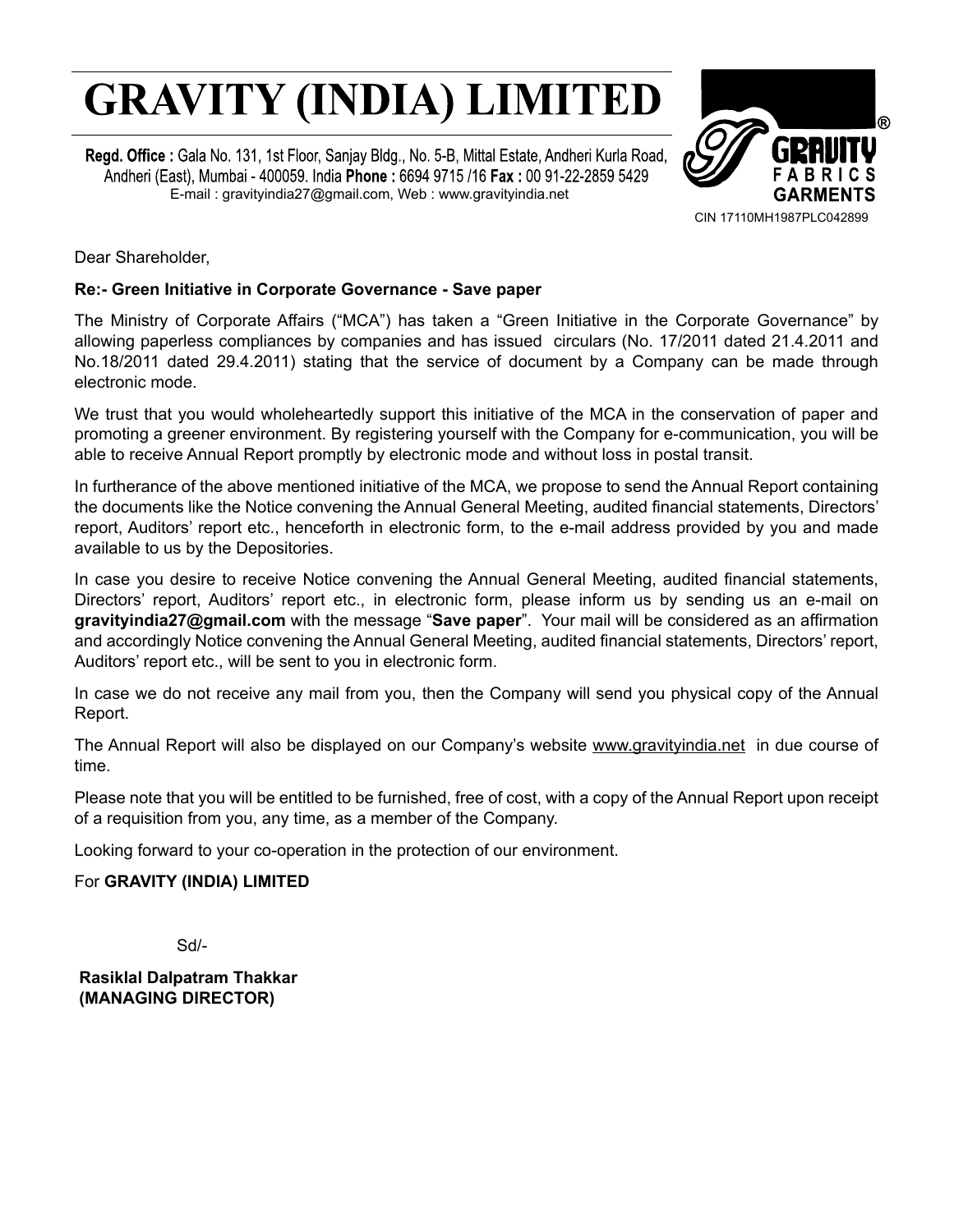Regd. Office: Gala No. 131, 1st Floor, Sanjay Bldg., No. 5-B, Mittal Estate, Andheri Kurla Road, Andheri (East), Mumbai - 400059, India Phone: 6694 9715 /16 Fax: 00 91-22-2859 5429 E-mail : gravityindia27@gmail.com, Web : www.gravityindia.net



Dear Shareholder,

#### **Re:- Green Initiative in Corporate Governance - Save paper**

The Ministry of Corporate Affairs ("MCA") has taken a "Green Initiative in the Corporate Governance" by allowing paperless compliances by companies and has issued circulars (No. 17/2011 dated 21.4.2011 and No.18/2011 dated 29.4.2011) stating that the service of document by a Company can be made through electronic mode.

We trust that you would wholeheartedly support this initiative of the MCA in the conservation of paper and promoting a greener environment. By registering yourself with the Company for e-communication, you will be able to receive Annual Report promptly by electronic mode and without loss in postal transit.

In furtherance of the above mentioned initiative of the MCA, we propose to send the Annual Report containing the documents like the Notice convening the Annual General Meeting, audited financial statements, Directors' report, Auditors' report etc., henceforth in electronic form, to the e-mail address provided by you and made available to us by the Depositories.

In case you desire to receive Notice convening the Annual General Meeting, audited financial statements, Directors' report, Auditors' report etc., in electronic form, please inform us by sending us an e-mail on **gravityindia27@gmail.com** with the message "**Save paper**". Your mail will be considered as an affirmation and accordingly Notice convening the Annual General Meeting, audited financial statements, Directors' report, Auditors' report etc., will be sent to you in electronic form.

In case we do not receive any mail from you, then the Company will send you physical copy of the Annual Report.

The Annual Report will also be displayed on our Company's website www.gravityindia.net in due course of time.

Please note that you will be entitled to be furnished, free of cost, with a copy of the Annual Report upon receipt of a requisition from you, any time, as a member of the Company.

Looking forward to your co-operation in the protection of our environment.

#### For **GRAVITY (INDIA) LIMITED**

Sd/-

**Rasiklal Dalpatram Thakkar (MANAGING DIRECTOR)**